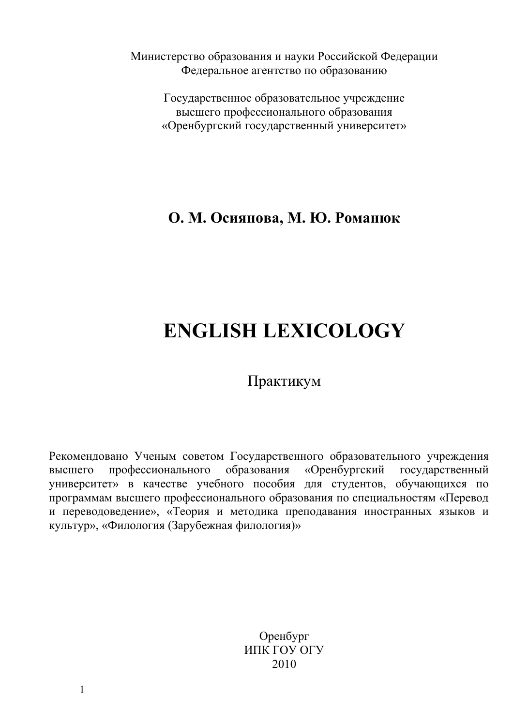Министерство образования и науки Российской Федерации Федеральное агентство по образованию

> Государственное образовательное учреждение высшего профессионального образования «Оренбургский государственный университет»

### **О. М. Осиянова, М. Ю. Романюк**

# **ENGLISH LEXICOLOGY**

# Практикум

Рекомендовано Ученым советом Государственного образовательного учреждения высшего профессионального образования «Оренбургский государственный университет» в качестве учебного пособия для студентов, обучающихся по программам высшего профессионального образования по специальностям «Перевод и переводоведение», «Теория и методика преподавания иностранных языков и культур», «Филология (Зарубежная филология)»

> Оренбург ИПК ГОУ ОГУ 2010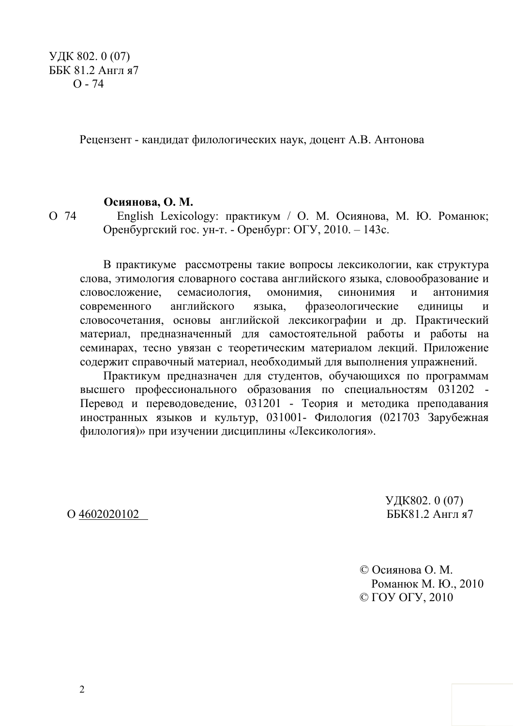Рецензент - кандидат филологических наук, доцент А.В. Антонова

#### **Осиянова, О. М.**

О 74 English Lexicology: практикум / О. М. Осиянова, М. Ю. Романюк; Оренбургский гос. ун-т. - Оренбург: ОГУ, 2010. – 143с.

В практикуме рассмотрены такие вопросы лексикологии, как структура слова, этимология словарного состава английского языка, словообразование и словосложение, семасиология, омонимия, синонимия и антонимия современного английского языка, фразеологические единицы и словосочетания, основы английской лексикографии и др. Практический материал, предназначенный для самостоятельной работы и работы на семинарах, тесно увязан с теоретическим материалом лекций. Приложение содержит справочный материал, необходимый для выполнения упражнений.

Практикум предназначен для студентов, обучающихся по программам высшего профессионального образования по специальностям 031202 - Перевод и переводоведение, 031201 - Теория и методика преподавания иностранных языков и культур, 031001- Филология (021703 Зарубежная филология)» при изучении дисциплины «Лексикология».

 УДК802. 0 (07) О 4602020102 ББК81.2 Англ я7

 © Осиянова О. М. Романюк М. Ю., 2010 © ГОУ ОГУ, 2010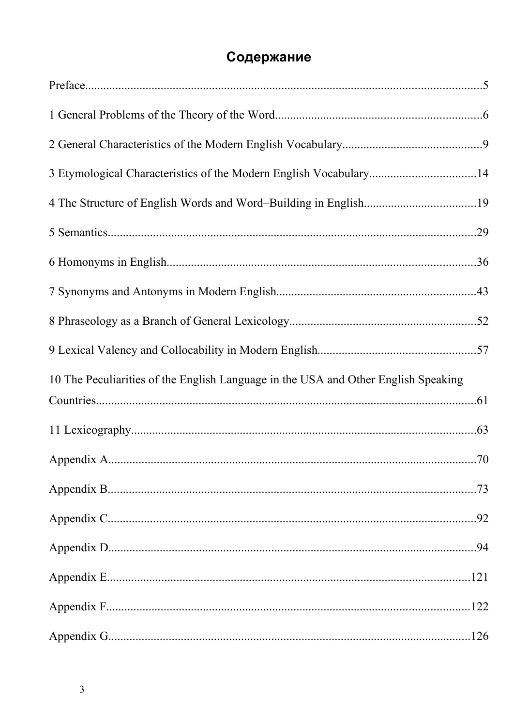# Содержание

| 3 Etymological Characteristics of the Modern English Vocabulary14                  |     |
|------------------------------------------------------------------------------------|-----|
|                                                                                    |     |
|                                                                                    |     |
|                                                                                    |     |
|                                                                                    |     |
|                                                                                    |     |
|                                                                                    |     |
| 10 The Peculiarities of the English Language in the USA and Other English Speaking |     |
|                                                                                    |     |
|                                                                                    |     |
|                                                                                    |     |
|                                                                                    | .73 |
|                                                                                    |     |
|                                                                                    |     |
|                                                                                    |     |
|                                                                                    |     |
|                                                                                    |     |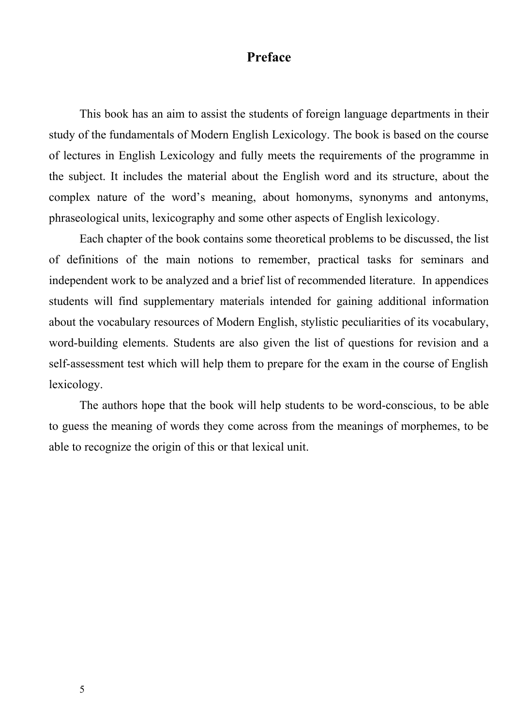### **Preface**

This book has an aim to assist the students of foreign language departments in their study of the fundamentals of Modern English Lexicology. The book is based on the course of lectures in English Lexicology and fully meets the requirements of the programme in the subject. It includes the material about the English word and its structure, about the complex nature of the word's meaning, about homonyms, synonyms and antonyms, phraseological units, lexicography and some other aspects of English lexicology.

Each chapter of the book contains some theoretical problems to be discussed, the list of definitions of the main notions to remember, practical tasks for seminars and independent work to be analyzed and a brief list of recommended literature. In appendices students will find supplementary materials intended for gaining additional information about the vocabulary resources of Modern English, stylistic peculiarities of its vocabulary, word-building elements. Students are also given the list of questions for revision and a self-assessment test which will help them to prepare for the exam in the course of English lexicology.

The authors hope that the book will help students to be word-conscious, to be able to guess the meaning of words they come across from the meanings of morphemes, to be able to recognize the origin of this or that lexical unit.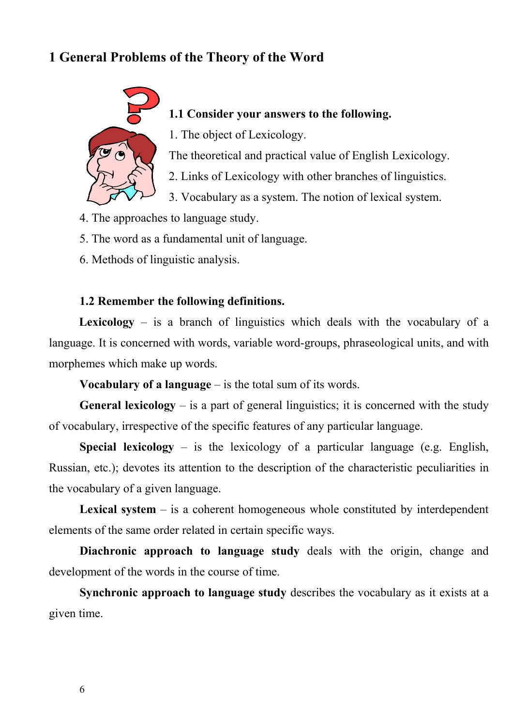### **1 General Problems of the Theory of the Word**



### **1.1 Consider your answers to the following.**

1. The object of Lexicology.

The theoretical and practical value of English Lexicology.

- 2. Links of Lexicology with other branches of linguistics.
- 3. Vocabulary as a system. The notion of lexical system.
- 4. The approaches to language study.
- 5. The word as a fundamental unit of language.
- 6. Methods of linguistic analysis.

#### **1.2 Remember the following definitions.**

**Lexicology** – is a branch of linguistics which deals with the vocabulary of a language. It is concerned with words, variable word-groups, phraseological units, and with morphemes which make up words.

**Vocabulary of a language** – is the total sum of its words.

**General lexicology** – is a part of general linguistics; it is concerned with the study of vocabulary, irrespective of the specific features of any particular language.

**Special lexicology** – is the lexicology of a particular language (e.g. English, Russian, etc.); devotes its attention to the description of the characteristic peculiarities in the vocabulary of a given language.

**Lexical system** – is a coherent homogeneous whole constituted by interdependent elements of the same order related in certain specific ways.

**Diachronic approach to language study** deals with the origin, change and development of the words in the course of time.

**Synchronic approach to language study** describes the vocabulary as it exists at a given time.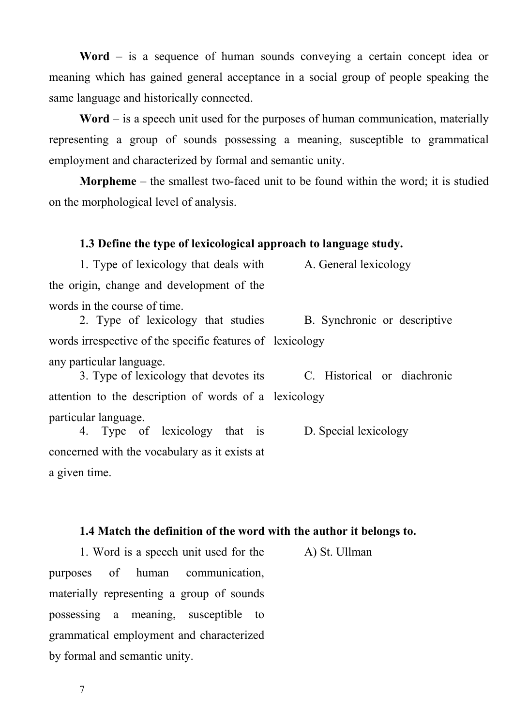**Word** – is a sequence of human sounds conveying a certain concept idea or meaning which has gained general acceptance in a social group of people speaking the same language and historically connected.

**Word** – is a speech unit used for the purposes of human communication, materially representing a group of sounds possessing a meaning, susceptible to grammatical employment and characterized by formal and semantic unity.

**Morpheme** – the smallest two-faced unit to be found within the word; it is studied on the morphological level of analysis.

#### **1.3 Define the type of lexicological approach to language study.**

1. Type of lexicology that deals with the origin, change and development of the words in the course of time. A. General lexicology

2. Type of lexicology that studies words irrespective of the specific features of lexicology any particular language. B. Synchronic or descriptive

3. Type of lexicology that devotes its attention to the description of words of a lexicology particular language. C. Historical or diachronic

4. Type of lexicology that is concerned with the vocabulary as it exists at a given time. D. Special lexicology

#### **1.4 Match the definition of the word with the author it belongs to.**

1. Word is a speech unit used for the purposes of human communication, materially representing a group of sounds possessing a meaning, susceptible to grammatical employment and characterized by formal and semantic unity. A) St. Ullman

7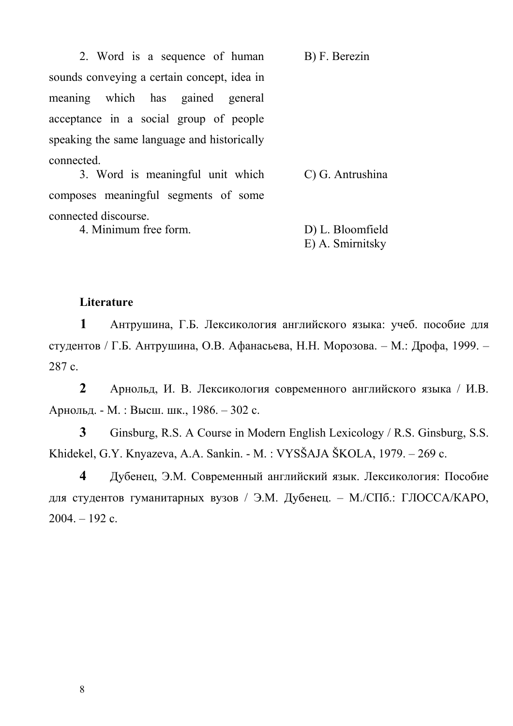2. Word is a sequence of human sounds conveying a certain concept, idea in meaning which has gained general acceptance in a social group of people speaking the same language and historically connected. B) F. Berezin C) G. Antrushina

3. Word is meaningful unit which composes meaningful segments of some connected discourse.

4. Minimum free form. D) L. Bloomfield

E) A. Smirnitsky

#### **Literature**

**1** Антрушина, Г.Б. Лексикология английского языка: учеб. пособие для студентов / Г.Б. Антрушина, О.В. Афанасьева, Н.Н. Морозова. – М.: Дрофа, 1999. – 287 c.

**2** Арнольд, И. В. Лексикология современного английского языка / И.В. Арнольд. - М. : Высш. шк., 1986. – 302 c.

**3** Ginsburg, R.S. A Course in Modern English Lexicology / R.S. Ginsburg, S.S. Khidekel, G.Y. Knyazeva, A.A. Sankin. - M. : VYSŠAJA ŠKOLA, 1979. – 269 c.

**4** Дубенец, Э.М. Современный английский язык. Лексикология: Пособие для студентов гуманитарных вузов / Э.М. Дубенец. – М./СПб.: ГЛОССА/КАРО,  $2004. - 192$  c.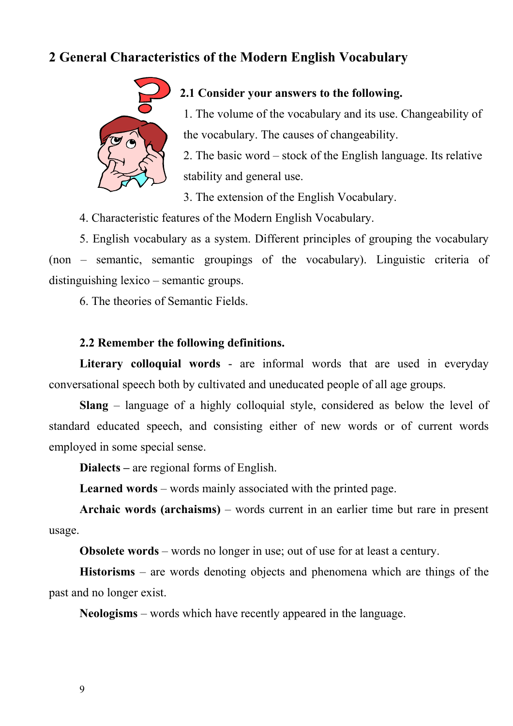### **2 General Characteristics of the Modern English Vocabulary**



#### **2.1 Consider your answers to the following.**

1. The volume of the vocabulary and its use. Changeability of the vocabulary. The causes of changeability.

2. The basic word – stock of the English language. Its relative stability and general use.

3. The extension of the English Vocabulary.

4. Characteristic features of the Modern English Vocabulary.

5. English vocabulary as a system. Different principles of grouping the vocabulary (non – semantic, semantic groupings of the vocabulary). Linguistic criteria of distinguishing lexico – semantic groups.

6. The theories of Semantic Fields.

#### **2.2 Remember the following definitions.**

Literary colloquial words - are informal words that are used in everyday conversational speech both by cultivated and uneducated people of all age groups.

**Slang** – language of a highly colloquial style, considered as below the level of standard educated speech, and consisting either of new words or of current words employed in some special sense.

**Dialects –** are regional forms of English.

**Learned words** – words mainly associated with the printed page.

**Archaic words (archaisms)** – words current in an earlier time but rare in present usage.

**Obsolete words** – words no longer in use; out of use for at least a century.

**Historisms** – are words denoting objects and phenomena which are things of the past and no longer exist.

**Neologisms** – words which have recently appeared in the language.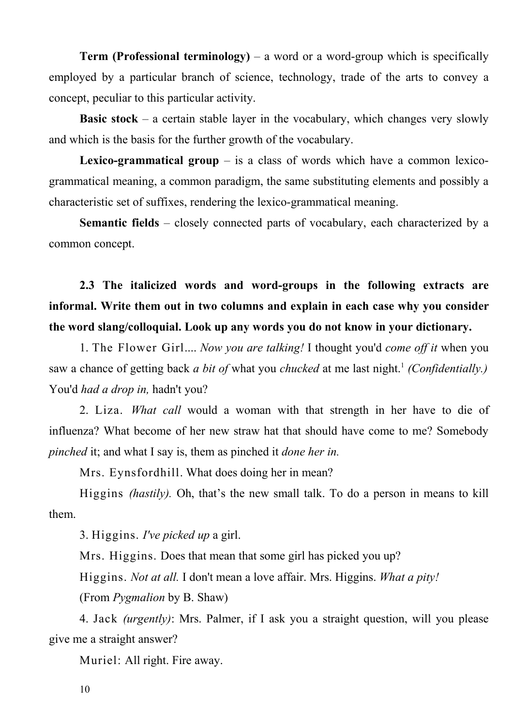**Term (Professional terminology)** – a word or a word-group which is specifically employed by a particular branch of science, technology, trade of the arts to convey a concept, peculiar to this particular activity.

**Basic stock** – a certain stable layer in the vocabulary, which changes very slowly and which is the basis for the further growth of the vocabulary.

**Lexico-grammatical group** – is a class of words which have a common lexicogrammatical meaning, a common paradigm, the same substituting elements and possibly a characteristic set of suffixes, rendering the lexico-grammatical meaning.

**Semantic fields** – closely connected parts of vocabulary, each characterized by a common concept.

**2.3 The italicized words and word-groups in the following extracts are informal. Write them out in two columns and explain in each case why you consider the word slang/colloquial. Look up any words you do not know in your dictionary.**

1. Тhe Flower Girl.... *Now you are talking!* I thought you'd *come off it* when you saw a chance of getting back *a bit of* what you *chucked* at me last night.<sup>1</sup> (Confidentially.) You'd *had a drop in,* hadn't you?

2. Liza. *What call* would a woman with that strength in her have to die of influenza? What become of her new straw hat that should have come to me? Somebody *pinched* it; and what I say is, them as pinched it *done her in.*

Mrs. Eynsfordhill. What does doing her in mean?

Higgins *(hastily).* Oh, that's the new small talk. To do a person in means to kill them.

3. Higgins. *I've picked up* a girl.

Mrs. Higgins. Does that mean that some girl has picked you up?

Higgins. *Not at all.* I don't mean a love affair. Mrs. Higgins. *What a pity!*

(From *Pygmalion* by B. Shaw)

4. Jack *(urgently)*: Mrs. Palmer, if I ask you a straight question, will you please give me a straight answer?

Muriel: All right. Fire away.

10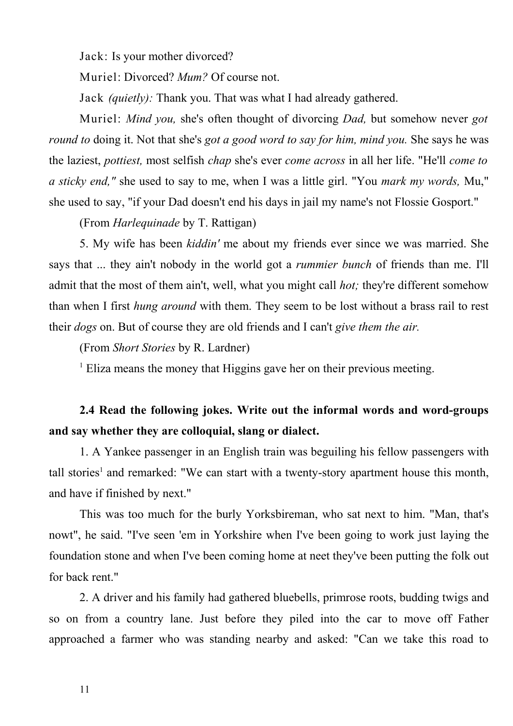Jack: Is your mother divorced?

Muriel: Divorced? *Mum?* Of course not.

Jack *(quietly):* Thank you. That was what I had already gathered.

Muriel: *Mind you,* she's often thought of divorcing *Dad,* but somehow never *got round to* doing it. Not that she's *got a good word to say for him, mind you.* She says he was the laziest, *pottiest,* most selfish *chap* she's ever *come across* in all her life. "He'll *come to a sticky end,"* she used to say to me, when I was a little girl. "You *mark my words,* Mu," she used to say, "if your Dad doesn't end his days in jail my name's not Flossie Gosport."

(From *Harlequinade* by T. Rattigan)

5. My wife has been *kiddin'* me about my friends ever since we was married. She says that ... they ain't nobody in the world got a *rummier bunch* of friends than me. I'll admit that the most of them ain't, well, what you might call *hot;* they're different somehow than when I first *hung around* with them. They seem to be lost without a brass rail to rest their *dogs* on. But of course they are old friends and I can't *give them the air.*

(From *Short Stories* by R. Lardner)

<sup>1</sup> Eliza means the money that Higgins gave her on their previous meeting.

### **2.4 Read the following jokes. Write out the informal words and word-groups and say whether they are colloquial, slang or dialect.**

1. A Yankee passenger in an English train was beguiling his fellow passengers with tall stories<sup>1</sup> and remarked: "We can start with a twenty-story apartment house this month, and have if finished by next."

This was too much for the burly Yorksbireman, who sat next to him. "Man, that's nowt", he said. "I've seen 'em in Yorkshire when I've been going to work just laying the foundation stone and when I've been coming home at neet they've been putting the folk out for back rent."

2. A driver and his family had gathered bluebells, primrose roots, budding twigs and so on from a country lane. Just before they piled into the car to move off Father approached a farmer who was standing nearby and asked: "Can we take this road to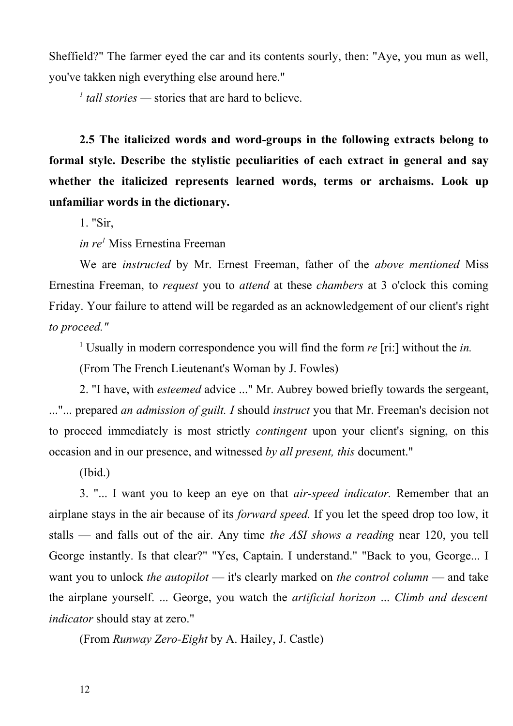Sheffield?" The farmer eyed the car and its contents sourly, then: "Aye, you mun as well, you've takken nigh everything else around here."

 $\frac{1}{1}$  tall stories — stories that are hard to believe.

**2.5 The italicized words and word-groups in the following extracts belong to formal style. Describe the stylistic peculiarities of each extract in general and say whether the italicized represents learned words, terms or archaisms. Look up unfamiliar words in the dictionary.**

1. "Sir,

*in re<sup>1</sup>* Miss Ernestina Freeman

We are *instructed* by Mr. Ernest Freeman, father of the *above mentioned* Miss Ernestina Freeman, to *request* you to *attend* at these *chambers* at 3 o'clock this coming Friday. Your failure to attend will be regarded as an acknowledgement of our client's right *to proceed."*

1 Usually in modern correspondence you will find the form *re* [ri:] without the *in.*

(From The French Lieutenant's Woman by J. Fowles)

2. "I have, with *esteemed* advice ..." Mr. Aubrey bowed briefly towards the sergeant, ..."... prepared *an admission of guilt. I* should *instruct* you that Mr. Freeman's decision not to proceed immediately is most strictly *contingent* upon your client's signing, on this occasion and in our presence, and witnessed *by all present, this* document."

(Ibid.)

3. "... I want you to keep an eye on that *air-speed indicator.* Remember that an airplane stays in the air because of its *forward speed.* If you let the speed drop too low, it stalls — and falls out of the air. Any time *the ASI shows a reading* near 120, you tell George instantly. Is that clear?" "Yes, Captain. I understand." "Back to you, George... I want you to unlock *the autopilot* — it's clearly marked on *the control column* — and take the airplane yourself. ... George, you watch the *artificial horizon* ... *Climb and descent indicator* should stay at zero."

(From *Runway Zero-Eight* by A. Hailey, J. Castle)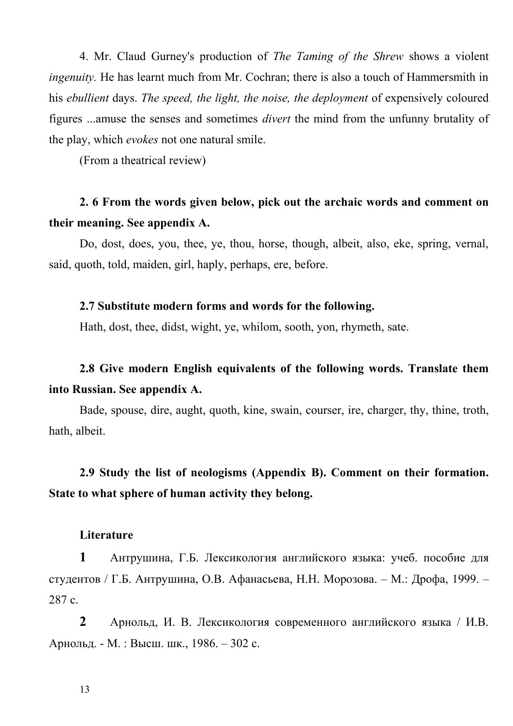4. Mr. Claud Gurney's production of *The Taming of the Shrew* shows a violent *ingenuity*. He has learnt much from Mr. Cochran; there is also a touch of Hammersmith in his *ebullient* days. *The speed, the light, the noise, the deployment* of expensively coloured figures ...amuse the senses and sometimes *divert* the mind from the unfunny brutality of the play, which *evokes* not one natural smile.

(From a theatrical review)

### **2. 6 From the words given below, pick out the archaic words and comment on their meaning. See appendix А.**

Do, dost, does, you, thee, ye, thou, horse, though, albeit, also, eke, spring, vernal, said, quoth, told, maiden, girl, haply, perhaps, ere, before.

#### **2.7 Substitute modern forms and words for the following.**

Hath, dost, thee, didst, wight, ye, whilom, sooth, yon, rhymeth, sate.

### **2.8 Give modern English equivalents of the following words. Translate them into Russian. See appendix А.**

Bade, spouse, dire, aught, quoth, kine, swain, courser, ire, charger, thy, thine, troth, hath, albeit.

### **2.9 Study the list of neologisms (Appendix B). Comment on their formation. State to what sphere of human activity they belong.**

#### **Literature**

**1** Антрушина, Г.Б. Лексикология английского языка: учеб. пособие для студентов / Г.Б. Антрушина, О.В. Афанасьева, Н.Н. Морозова. – М.: Дрофа, 1999. – 287 c.

**2** Арнольд, И. В. Лексикология современного английского языка / И.В. Арнольд. - М. : Высш. шк., 1986. – 302 c.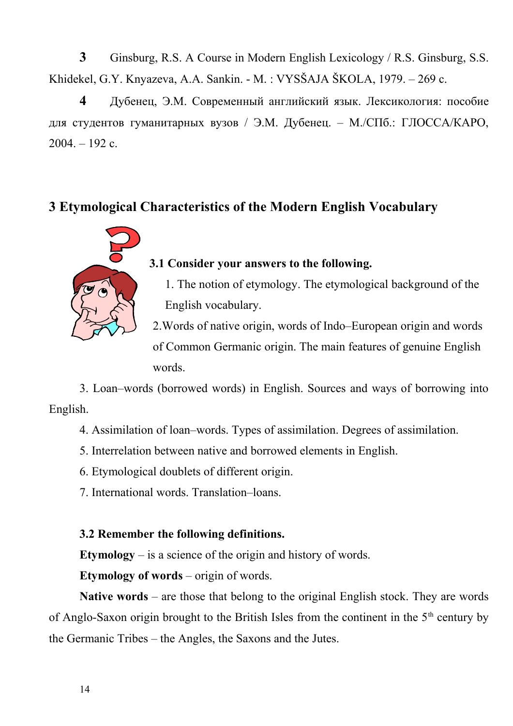**3** Ginsburg, R.S. A Course in Modern English Lexicology / R.S. Ginsburg, S.S. Khidekel, G.Y. Knyazeva, A.A. Sankin. - M. : VYSŠAJA ŠKOLA, 1979. – 269 c.

**4** Дубенец, Э.М. Современный английский язык. Лексикология: пособие для студентов гуманитарных вузов / Э.М. Дубенец. – М./СПб.: ГЛОССА/КАРО, 2004. – 192 c.

### **3 Etymological Characteristics of the Modern English Vocabulary**



### **3.1 Consider your answers to the following.**

- 1. The notion of etymology. The etymological background of the English vocabulary.
- 2.Words of native origin, words of Indo–European origin and words of Common Germanic origin. The main features of genuine English words.

3. Loan–words (borrowed words) in English. Sources and ways of borrowing into English.

- 4. Assimilation of loan–words. Types of assimilation. Degrees of assimilation.
- 5. Interrelation between native and borrowed elements in English.
- 6. Etymological doublets of different origin.
- 7. International words. Translation–loans.

### **3.2 Remember the following definitions.**

**Etymology** – is a science of the origin and history of words.

**Etymology of words** – origin of words.

**Native words** – are those that belong to the original English stock. They are words of Anglo-Saxon origin brought to the British Isles from the continent in the 5<sup>th</sup> century by the Germanic Tribes – the Angles, the Saxons and the Jutes.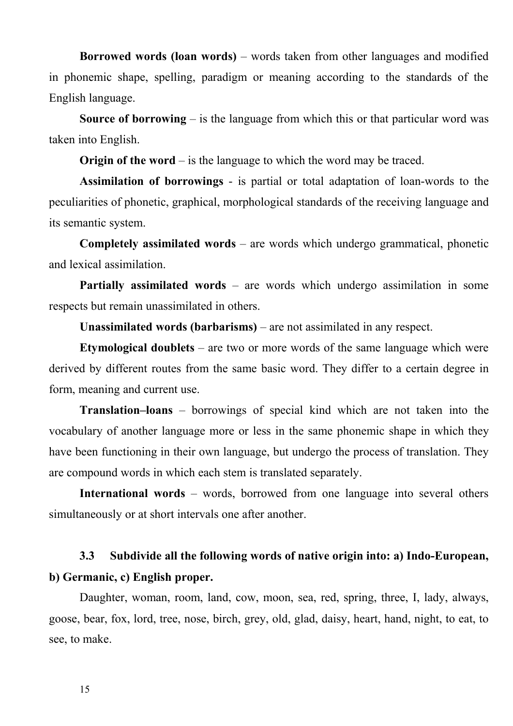**Borrowed words (loan words)** – words taken from other languages and modified in phonemic shape, spelling, paradigm or meaning according to the standards of the English language.

**Source of borrowing** – is the language from which this or that particular word was taken into English.

**Origin of the word** – is the language to which the word may be traced.

**Assimilation of borrowings** - is partial or total adaptation of loan-words to the peculiarities of phonetic, graphical, morphological standards of the receiving language and its semantic system.

**Completely assimilated words** – are words which undergo grammatical, phonetic and lexical assimilation.

**Partially assimilated words** – are words which undergo assimilation in some respects but remain unassimilated in others.

**Unassimilated words (barbarisms)** – are not assimilated in any respect.

**Etymological doublets** – are two or more words of the same language which were derived by different routes from the same basic word. They differ to a certain degree in form, meaning and current use.

**Translation***–***loans** – borrowings of special kind which are not taken into the vocabulary of another language more or less in the same phonemic shape in which they have been functioning in their own language, but undergo the process of translation. They are compound words in which each stem is translated separately.

**International words** – words, borrowed from one language into several others simultaneously or at short intervals one after another.

### **3.3 Subdivide all the following words of native origin into: a) Indo-European, b) Germanic, c) English proper.**

Daughter, woman, room, land, cow, moon, sea, red, spring, three, I, lady, always, goose, bear, fox, lord, tree, nose, birch, grey, old, glad, daisy, heart, hand, night, to eat, to see, to make.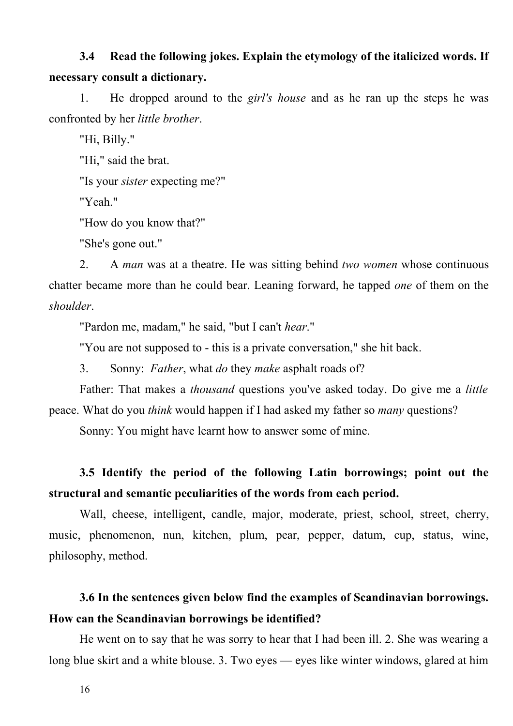### **3.4 Read the following jokes. Explain the etymology of the italicized words. If necessary consult a dictionary.**

1. He dropped around to the *girl's house* and as he ran up the steps he was confronted by her *little brother*.

"Hi, Billy." "Hi," said the brat. "Is your *sister* expecting me?"

"Yeah."

"How do you know that?"

"She's gone out."

2. A *man* was at a theatre. He was sitting behind *two women* whose continuous chatter became more than he could bear. Leaning forward, he tapped *one* of them on the *shoulder*.

"Pardon me, madam," he said, "but I can't *hear*."

"You are not supposed to - this is a private conversation," she hit back.

3. Sonny: *Father*, what *do* they *make* asphalt roads of?

Father: That makes a *thousand* questions you've asked today. Do give me a *little* peace. What do you *think* would happen if I had asked my father so *many* questions?

Sonny: You might have learnt how to answer some of mine.

# **3.5 Identify the period of the following Latin borrowings; point out the structural and semantic peculiarities of the words from each period.**

Wall, cheese, intelligent, candle, major, moderate, priest, school, street, cherry, music, phenomenon, nun, kitchen, plum, pear, pepper, datum, cup, status, wine, philosophy, method.

# **3.6 In the sentences given below find the examples of Scandinavian borrowings. How can the Scandinavian borrowings be identified?**

He went on to say that he was sorry to hear that I had been ill. 2. She was wearing a long blue skirt and a white blouse. 3. Two eyes — eyes like winter windows, glared at him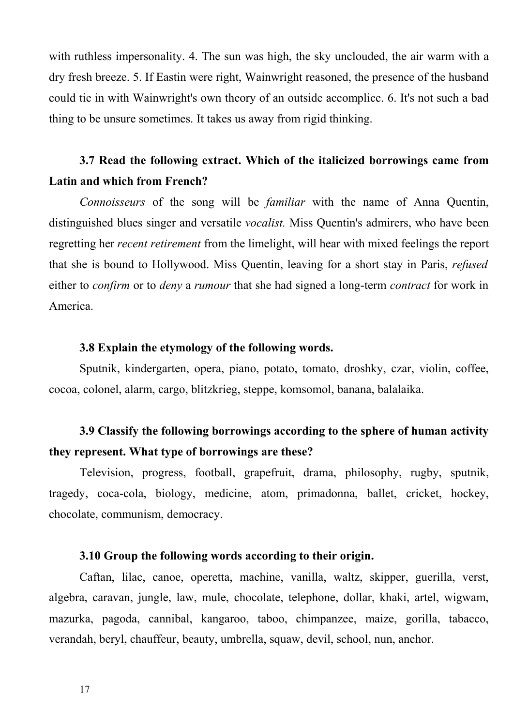with ruthless impersonality. 4. The sun was high, the sky unclouded, the air warm with a dry fresh breeze. 5. If Eastin were right, Wainwright reasoned, the presence of the husband could tie in with Wainwright's own theory of an outside accomplice. 6. It's not such a bad thing to be unsure sometimes. It takes us away from rigid thinking.

### **3.7 Read the following extract. Which of the italicized borrowings came from Latin and which from French?**

*Connoisseurs* of the song will be *familiar* with the name of Anna Quentin, distinguished blues singer and versatile *vocalist.* Miss Quentin's admirers, who have been regretting her *recent retirement* from the limelight, will hear with mixed feelings the report that she is bound to Hollywood. Miss Quentin, leaving for a short stay in Paris, *refused* either to *confirm* or to *deny* a *rumour* that she had signed a long-term *contract* for work in America.

#### **3.8 Explain the etymology of the following words.**

Sputnik, kindergarten, opera, piano, potato, tomato, droshky, czar, violin, coffee, cocoa, colonel, alarm, cargo, blitzkrieg, steppe, komsomol, banana, balalaika.

### **3.9 Classify the following borrowings according to the sphere of human activity they represent. What type of borrowings are these?**

Television, progress, football, grapefruit, drama, philosophy, rugby, sputnik, tragedy, coca-cola, biology, medicine, atom, primadonna, ballet, cricket, hockey, chocolate, communism, democracy.

#### **3.10 Group the following words according to their origin.**

Caftan, lilac, canoe, operetta, machine, vanilla, waltz, skipper, guerilla, verst, algebra, caravan, jungle, law, mule, chocolate, telephone, dollar, khaki, artel, wigwam, mazurka, pagoda, cannibal, kangaroo, taboo, chimpanzee, maize, gorilla, tabacco, verandah, beryl, chauffeur, beauty, umbrella, squaw, devil, school, nun, anchor.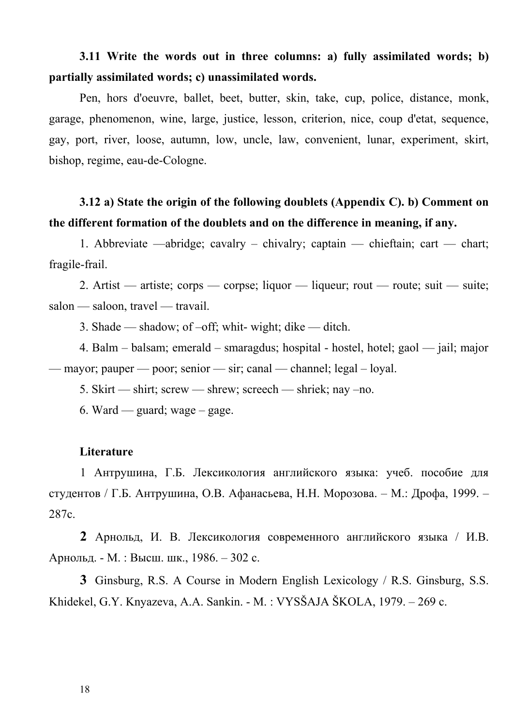**3.11 Write the words out in three columns: a) fully assimilated words; b) partially assimilated words; c) unassimilated words.**

Pen, hors d'oeuvre, ballet, beet, butter, skin, take, cup, police, distance, monk, garage, phenomenon, wine, large, justice, lesson, criterion, nice, coup d'etat, sequence, gay, port, river, loose, autumn, low, uncle, law, convenient, lunar, experiment, skirt, bishop, regime, eau-de-Cologne.

**3.12 a) State the origin of the following doublets (Appendix C). b) Comment on the different formation of the doublets and on the difference in meaning, if any.**

1. Abbreviate —abridge; cavalry – chivalry; captain — chieftain; cart — chart; fragile-frail.

2. Artist — artiste; corps — corpse; liquor — liqueur; rout — route; suit — suite; salon — saloon, travel — travail.

3. Shade — shadow; of –off; whit- wight; dike — ditch.

4. Balm – balsam; emerald – smaragdus; hospital - hostel, hotel; gaol — jail; major — mayor; pauper — poor; senior — sir; canal — channel; legal – loyal.

5. Skirt — shirt; screw — shrew; screech — shriek; nay –no.

6. Ward — guard; wage – gage.

#### **Literature**

1 Антрушина, Г.Б. Лексикология английского языка: учеб. пособие для студентов / Г.Б. Антрушина, О.В. Афанасьева, Н.Н. Морозова. – М.: Дрофа, 1999. – 287с.

**2** Арнольд, И. В. Лексикология современного английского языка / И.В. Арнольд. - М. : Высш. шк., 1986. – 302 с.

**3** Ginsburg, R.S. A Course in Modern English Lexicology / R.S. Ginsburg, S.S. Khidekel, G.Y. Knyazeva, A.A. Sankin. - M. : VYSŠAJA ŠKOLA, 1979. – 269 с.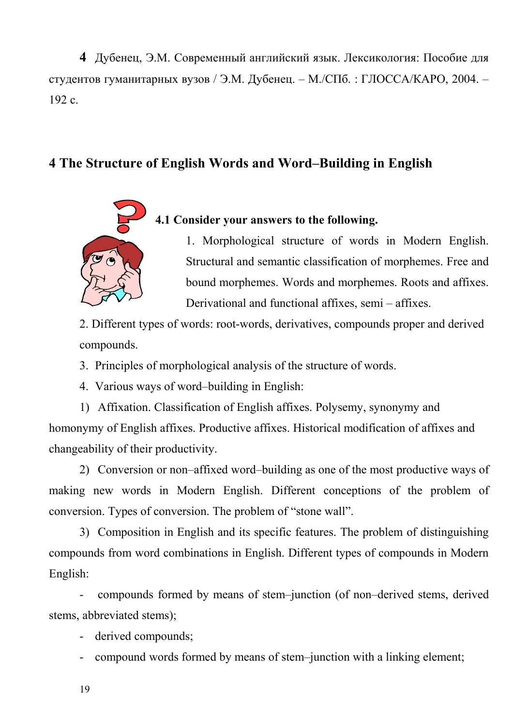**4** Дубенец, Э.М. Современный английский язык. Лексикология: Пособие для студентов гуманитарных вузов / Э.М. Дубенец. – М./СПб. : ГЛОССА/КАРО, 2004. – 192 с.

### **4 The Structure of English Words and Word–Building in English**



**4.1 Consider your answers to the following.**

1. Morphological structure of words in Modern English. Structural and semantic classification of morphemes. Free and bound morphemes. Words and morphemes. Roots and affixes. Derivational and functional affixes, semi – affixes.

2. Different types of words: root-words, derivatives, compounds proper and derived compounds.

3. Principles of morphological analysis of the structure of words.

4. Various ways of word–building in English:

1) Affixation. Classification of English affixes. Polysemy, synonymy and homonymy of English affixes. Productive affixes. Historical modification of affixes and changeability of their productivity.

2) Conversion or non–affixed word–building as one of the most productive ways of making new words in Modern English. Different conceptions of the problem of conversion. Types of conversion. The problem of "stone wall".

3) Composition in English and its specific features. The problem of distinguishing compounds from word combinations in English. Different types of compounds in Modern English:

- compounds formed by means of stem–junction (of non–derived stems, derived stems, abbreviated stems);

- derived compounds;

- compound words formed by means of stem–junction with a linking element;

19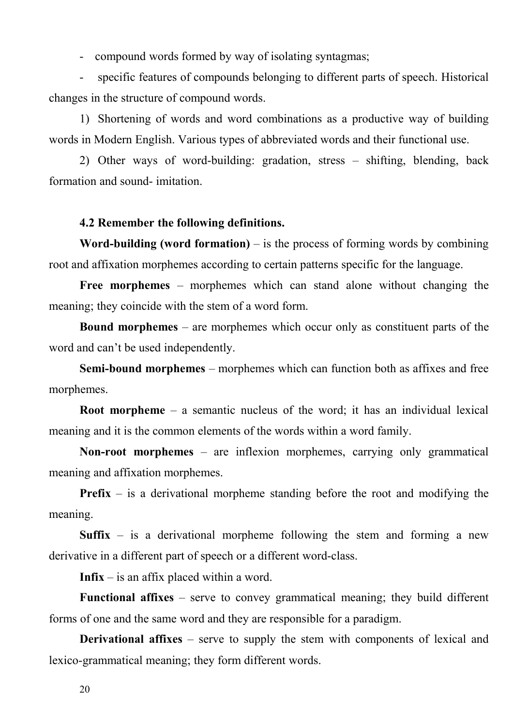- compound words formed by way of isolating syntagmas;

specific features of compounds belonging to different parts of speech. Historical changes in the structure of compound words.

1) Shortening of words and word combinations as a productive way of building words in Modern English. Various types of abbreviated words and their functional use.

2) Other ways of word-building: gradation, stress – shifting, blending, back formation and sound- imitation.

#### **4.2 Remember the following definitions.**

**Word-building (word formation)** – is the process of forming words by combining root and affixation morphemes according to certain patterns specific for the language.

**Free morphemes** – morphemes which can stand alone without changing the meaning; they coincide with the stem of a word form.

**Bound morphemes** – are morphemes which occur only as constituent parts of the word and can't be used independently.

**Semi-bound morphemes** – morphemes which can function both as affixes and free morphemes.

**Root morpheme** – a semantic nucleus of the word; it has an individual lexical meaning and it is the common elements of the words within a word family.

**Non-root morphemes** – are inflexion morphemes, carrying only grammatical meaning and affixation morphemes.

**Prefix** – is a derivational morpheme standing before the root and modifying the meaning.

**Suffix** – is a derivational morpheme following the stem and forming a new derivative in a different part of speech or a different word-class.

**Infix** – is an affix placed within a word.

**Functional affixes** – serve to convey grammatical meaning; they build different forms of one and the same word and they are responsible for a paradigm.

**Derivational affixes** – serve to supply the stem with components of lexical and lexico-grammatical meaning; they form different words.

20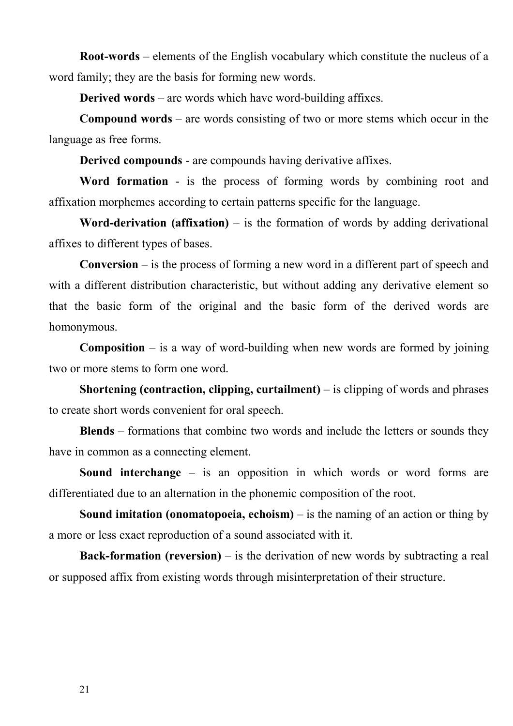**Root-words** – elements of the English vocabulary which constitute the nucleus of a word family; they are the basis for forming new words.

**Derived words** – are words which have word-building affixes.

**Compound words** – are words consisting of two or more stems which occur in the language as free forms.

**Derived compounds** - are compounds having derivative affixes.

**Word formation** - is the process of forming words by combining root and affixation morphemes according to certain patterns specific for the language.

**Word-derivation (affixation)** – is the formation of words by adding derivational affixes to different types of bases.

**Conversion** – is the process of forming a new word in a different part of speech and with a different distribution characteristic, but without adding any derivative element so that the basic form of the original and the basic form of the derived words are homonymous.

**Composition** – is a way of word-building when new words are formed by joining two or more stems to form one word.

**Shortening (contraction, clipping, curtailment)** – is clipping of words and phrases to create short words convenient for oral speech.

**Blends** – formations that combine two words and include the letters or sounds they have in common as a connecting element.

**Sound interchange** – is an opposition in which words or word forms are differentiated due to an alternation in the phonemic composition of the root.

**Sound imitation (onomatopoeia, echoism)** – is the naming of an action or thing by a more or less exact reproduction of a sound associated with it.

**Back-formation (reversion)**  $-$  is the derivation of new words by subtracting a real or supposed affix from existing words through misinterpretation of their structure.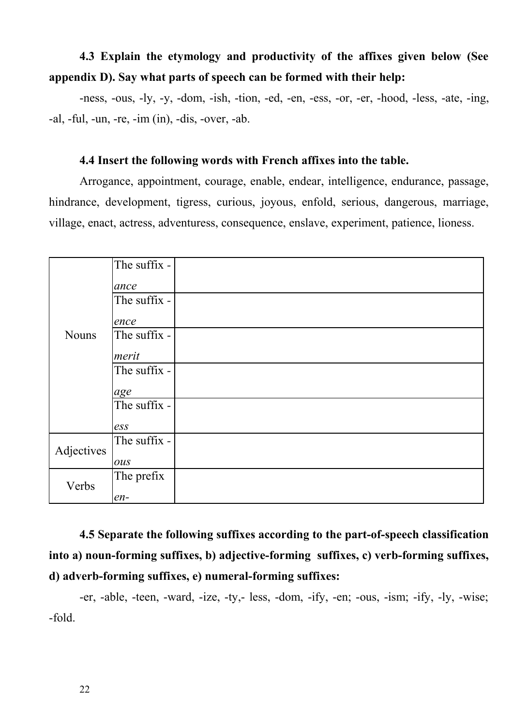### **4.3 Explain the etymology and productivity of the affixes given below (See appendix D). Say what parts of speech can be formed with their help:**

-ness, -ous, -ly, -y, -dom, -ish, -tion, -ed, -en, -ess, -or, -er, -hood, -less, -ate, -ing,  $-al$ ,  $-ful$ ,  $-un$ ,  $-re$ ,  $-im$   $(in)$ ,  $-dis$ ,  $-over$ ,  $-ab$ .

#### **4.4 Insert the following words with French affixes into the table.**

Arrogance, appointment, courage, enable, endear, intelligence, endurance, passage, hindrance, development, tigress, curious, joyous, enfold, serious, dangerous, marriage, village, enact, actress, adventuress, consequence, enslave, experiment, patience, lioness.

|              | The suffix - |  |
|--------------|--------------|--|
|              | ance         |  |
|              | The suffix - |  |
|              | ence         |  |
| <b>Nouns</b> | The suffix - |  |
|              | merit        |  |
|              | The suffix - |  |
|              | age          |  |
|              | The suffix - |  |
|              | ess          |  |
| Adjectives   | The suffix - |  |
|              | 0us          |  |
|              | The prefix   |  |
| Verbs        | $en-$        |  |

**4.5 Separate the following suffixes according to the part-of-speech classification into a) noun-forming suffixes, b) adjective-forming suffixes, c) verb-forming suffixes, d) adverb-forming suffixes, e) numeral-forming suffixes:**

-er, -able, -teen, -ward, -ize, -ty,- less, -dom, -ify, -en; -ous, -ism; -ify, -ly, -wise; -fold.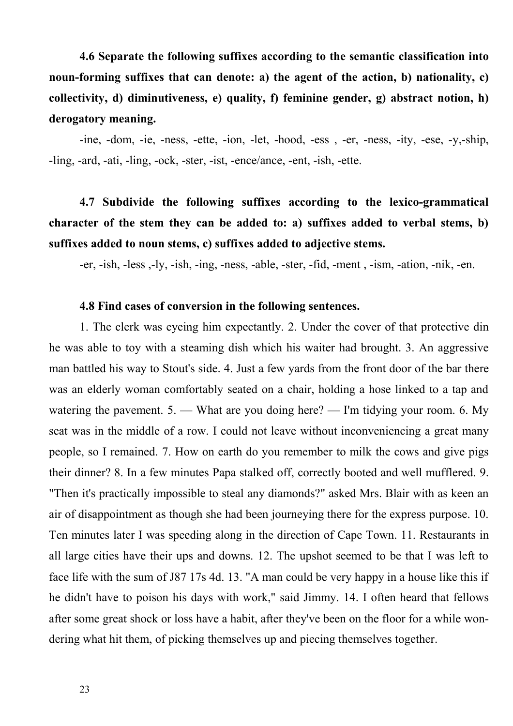**4.6 Separate the following suffixes according to the semantic classification into noun-forming suffixes that can denote: a) the agent of the action, b) nationality, c) collectivity, d) diminutiveness, e) quality, f) feminine gender, g) abstract notion, h) derogatory meaning.**

-ine, -dom, -ie, -ness, -ette, -ion, -let, -hood, -ess , -er, -ness, -ity, -ese, -y,-ship, -ling, -ard, -ati, -ling, -ock, -ster, -ist, -ence/ance, -ent, -ish, -ette.

**4.7 Subdivide the following suffixes according to the lexico-grammatical character of the stem they can be added to: a) suffixes added to verbal stems, b) suffixes added to noun stems, c) suffixes added to adjective stems.**

-er, -ish, -less ,-ly, -ish, -ing, -ness, -able, -ster, -fid, -ment , -ism, -ation, -nik, -en.

#### **4.8 Find cases of conversion in the following sentences.**

1. The clerk was eyeing him expectantly. 2. Under the cover of that protective din he was able to toy with a steaming dish which his waiter had brought. 3. An aggressive man battled his way to Stout's side. 4. Just a few yards from the front door of the bar there was an elderly woman comfortably seated on a chair, holding a hose linked to a tap and watering the pavement. 5. — What are you doing here? — I'm tidying your room. 6. My seat was in the middle of a row. I could not leave without inconveniencing a great many people, so I remained. 7. How on earth do you remember to milk the cows and give pigs their dinner? 8. In a few minutes Papa stalked off, correctly booted and well mufflered. 9. "Then it's practically impossible to steal any diamonds?" asked Mrs. Blair with as keen an air of disappointment as though she had been journeying there for the express purpose. 10. Ten minutes later I was speeding along in the direction of Cape Town. 11. Restaurants in all large cities have their ups and downs. 12. The upshot seemed to be that I was left to face life with the sum of Ј87 17s 4d. 13. "A man could be very happy in a house like this if he didn't have to poison his days with work," said Jimmy. 14. I often heard that fellows after some great shock or loss have a habit, after they've been on the floor for a while wondering what hit them, of picking themselves up and piecing themselves together.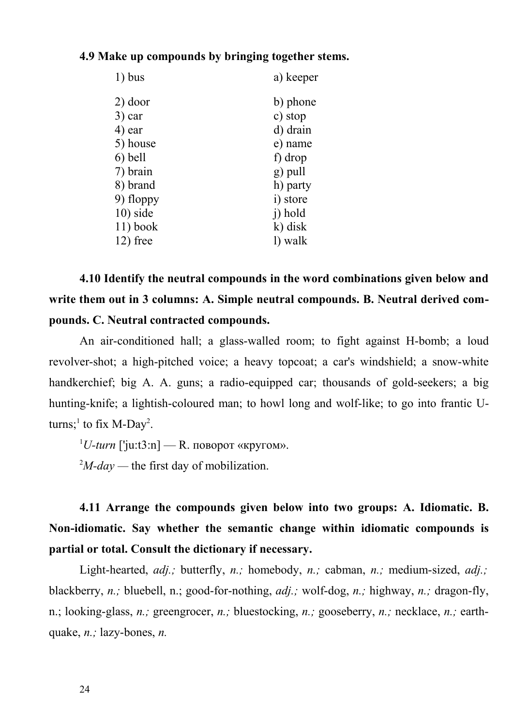|  |  |  | 4.9 Make up compounds by bringing together stems. |  |  |  |  |
|--|--|--|---------------------------------------------------|--|--|--|--|
|--|--|--|---------------------------------------------------|--|--|--|--|

| 2) door<br>b) phone<br>$3)$ car<br>c) stop<br>d) drain<br>4) ear<br>5) house<br>e) name<br>6) bell<br>f) drop<br>7) brain<br>g) pull<br>8) brand<br>h) party<br>9) floppy<br>i) store<br>$10$ ) side<br>j) hold<br>$11)$ book<br>k) disk<br>$12)$ free<br>l) walk | $1)$ bus | a) keeper |
|-------------------------------------------------------------------------------------------------------------------------------------------------------------------------------------------------------------------------------------------------------------------|----------|-----------|
|                                                                                                                                                                                                                                                                   |          |           |
|                                                                                                                                                                                                                                                                   |          |           |
|                                                                                                                                                                                                                                                                   |          |           |
|                                                                                                                                                                                                                                                                   |          |           |
|                                                                                                                                                                                                                                                                   |          |           |
|                                                                                                                                                                                                                                                                   |          |           |
|                                                                                                                                                                                                                                                                   |          |           |
|                                                                                                                                                                                                                                                                   |          |           |
|                                                                                                                                                                                                                                                                   |          |           |
|                                                                                                                                                                                                                                                                   |          |           |
|                                                                                                                                                                                                                                                                   |          |           |

**4.10 Identify the neutral compounds in the word combinations given below and write them out in 3 columns: A. Simple neutral compounds. B. Neutral derived compounds. C. Neutral contracted compounds.**

An air-conditioned hall; a glass-walled room; to fight against H-bomb; a loud revolver-shot; a high-pitched voice; a heavy topcoat; a car's windshield; a snow-white handkerchief; big A. A. guns; a radio-equipped car; thousands of gold-seekers; a big hunting-knife; a lightish-coloured man; to howl long and wolf-like; to go into frantic Uturns;<sup>1</sup> to fix M-Day<sup>2</sup>.

<sup>1</sup>U-turn ['ju:t3:n] — R. поворот «кругом».

 $^{2}M$ -day — the first day of mobilization.

**4.11 Arrange the compounds given below into two groups: A. Idiomatic. B. Non-idiomatic. Say whether the semantic change within idiomatic compounds is partial or total. Consult the dictionary if necessary.**

Light-hearted, *adj.;* butterfly, *п.;* homebody, *п.;* cabman, *п.;* medium-sized, *adj.;* blackberry, *п.;* bluebell, n.; good-for-nothing, *adj.;* wolf-dog, *п.;* highway, *п.;* dragon-fly, n.; looking-glass, *n.*; greengrocer, *n.*; bluestocking, *n.*; gooseberry, *n.*; necklace, *n.*; earthquake, *п.;* lazy-bones, *n.*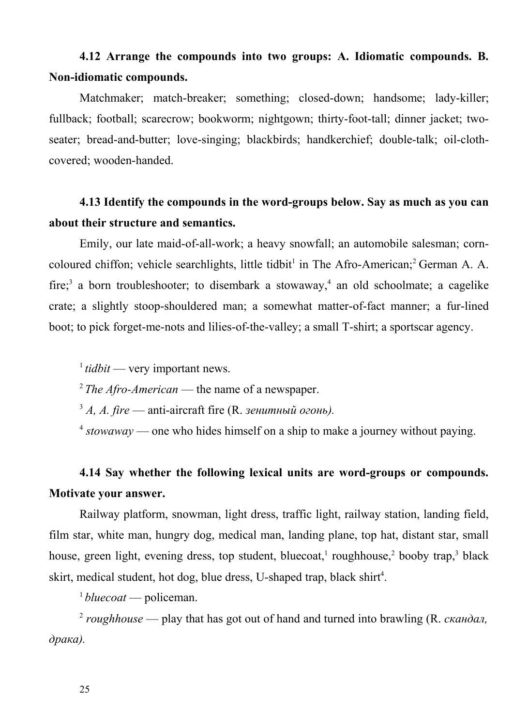### **4.12 Arrange the compounds into two groups: A. Idiomatic compounds. B. Non-idiomatic compounds.**

Matchmaker; match-breaker; something; closed-down; handsome; lady-killer; fullback; football; scarecrow; bookworm; nightgown; thirty-foot-tall; dinner jacket; twoseater; bread-and-butter; love-singing; blackbirds; handkerchief; double-talk; oil-clothcovered; wooden-handed.

### **4.13 Identify the compounds in the word-groups below. Say as much as you can about their structure and semantics.**

Emily, our late maid-of-all-work; a heavy snowfall; an automobile salesman; corncoloured chiffon; vehicle searchlights, little tidbit<sup>1</sup> in The Afro-American;<sup>2</sup> German A. A. fire;<sup>3</sup> a born troubleshooter; to disembark a stowaway,<sup>4</sup> an old schoolmate; a cagelike crate; a slightly stoop-shouldered man; a somewhat matter-of-fact manner; a fur-lined boot; to pick forget-me-nots and lilies-of-the-valley; a small T-shirt; a sportscar agency.

 $\frac{1}{1}$ *tidbit* — very important news.

<sup>2</sup>*The Afro-American* — the name of a newspaper.

<sup>3</sup> *A, A. fire* — anti-aircraft fire (R. *зенитный огонь).*

<sup>4</sup> stowaway — one who hides himself on a ship to make a journey without paying.

# **4.14 Say whether the following lexical units are word-groups or compounds. Motivate your answer.**

Railway platform, snowman, light dress, traffic light, railway station, landing field, film star, white man, hungry dog, medical man, landing plane, top hat, distant star, small house, green light, evening dress, top student, bluecoat, roughhouse, booby trap, black skirt, medical student, hot dog, blue dress, U-shaped trap, black shirt<sup>4</sup>.

<sup>1</sup>*bluecoat* — policeman.

2 *roughhouse* — play that has got out of hand and turned into brawling (R. *скандал, драка).*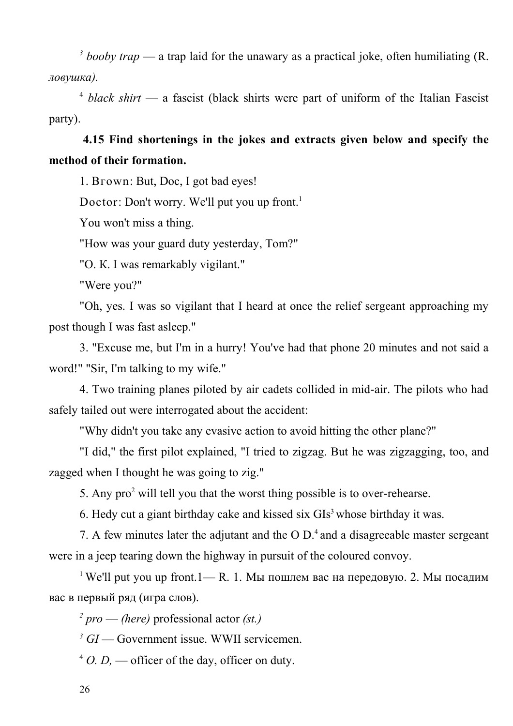<sup>3</sup> booby trap — a trap laid for the unawary as a practical joke, often humiliating (R. *ловушка).*

<sup>4</sup> black shirt — a fascist (black shirts were part of uniform of the Italian Fascist party).

 **4.15 Find shortenings in the jokes and extracts given below and specify the method of their formation.**

1. Вгоwn: But, Doc, I got bad eyes!

Doctor: Don't worry. We'll put you up front.<sup>1</sup>

You won't miss a thing.

"How was your guard duty yesterday, Tom?"

"О. К. I was remarkably vigilant."

"Were you?"

"Oh, yes. I was so vigilant that I heard at once the relief sergeant approaching my post though I was fast asleep."

3. "Excuse me, but I'm in a hurry! You've had that phone 20 minutes and not said a word!" "Sir, I'm talking to my wife."

4. Two training planes piloted by air cadets collided in mid-air. The pilots who had safely tailed out were interrogated about the accident:

"Why didn't you take any evasive action to avoid hitting the other plane?"

"I did," the first pilot explained, "I tried to zigzag. But he was zigzagging, too, and zagged when I thought he was going to zig."

5. Any pro<sup>2</sup> will tell you that the worst thing possible is to over-rehearse.

6. Hedy cut a giant birthday cake and kissed six  $\text{GIs}^3$  whose birthday it was.

7. A few minutes later the adjutant and the O  $D<sup>4</sup>$  and a disagreeable master sergeant were in a jeep tearing down the highway in pursuit of the coloured convoy.

<sup>1</sup> We'll put you up front.1— R. 1. Мы пошлем вас на передовую. 2. Мы посадим вас в первый ряд (игра слов).

*2 pro* — *(here)* professional actor *(st.)*

<sup>3</sup> GI — Government issue. WWII servicemen.

 $^{4}$  *O. D, —* officer of the day, officer on duty.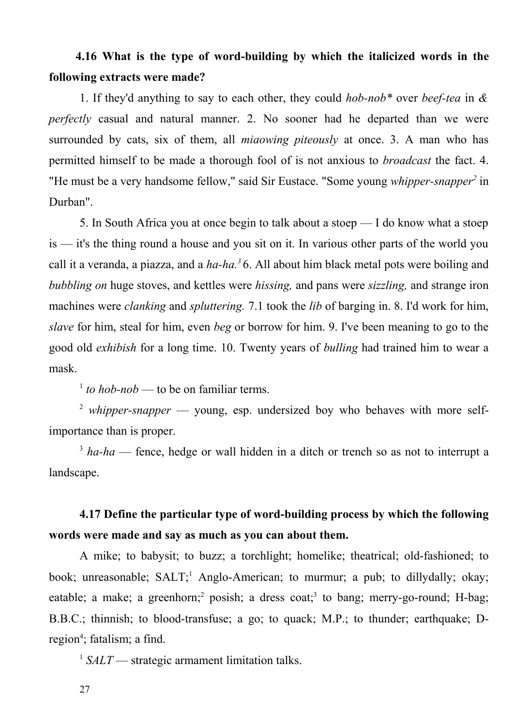### **4.16 What is the type of word-building by which the italicized words in the following extracts were made?**

1. If they'd anything to say to each other, they could *hob-nob\** over *beef-tea* in *& perfectly* casual and natural manner. 2. No sooner had he departed than we were surrounded by cats, six of them, all *miaowing piteously* at once. 3. A man who has permitted himself to be made a thorough fool of is not anxious to *broadcast* the fact. 4. "He must be a very handsome fellow," said Sir Eustace. "Some young *whipper-snapper<sup>2</sup>* in Durban".

5. In South Africa you at once begin to talk about a stoep — I do know what a stoep is — it's the thing round a house and you sit on it. In various other parts of the world you call it a veranda, a piazza, and a *ha-ha.<sup>3</sup>*6. All about him black metal pots were boiling and *bubbling on* huge stoves, and kettles were *hissing,* and pans were *sizzling,* and strange iron machines were *clanking* and *spluttering.* 7.1 took the *lib* of barging in. 8. I'd work for him, *slave* for him, steal for him, even *beg* or borrow for him. 9. I've been meaning to go to the good old *exhibish* for a long time. 10. Twenty years of *bulling* had trained him to wear a mask.

 $\frac{1}{1}$  to hob-nob — to be on familiar terms.

<sup>2</sup> *whipper-snapper* — young, esp. undersized boy who behaves with more selfimportance than is proper.

<sup>3</sup> ha-ha — fence, hedge or wall hidden in a ditch or trench so as not to interrupt a landscape.

# **4.17 Define the particular type of word-building process by which the following words were made and say as much as you can about them.**

A mike; to babysit; to buzz; a torchlight; homelike; theatrical; old-fashioned; to book; unreasonable; SALT;<sup>1</sup> Anglo-American; to murmur; a pub; to dillydally; okay; eatable; a make; a greenhorn;<sup>2</sup> posish; a dress coat;<sup>3</sup> to bang; merry-go-round; H-bag; B.B.C.; thinnish; to blood-transfuse; a go; to quack; M.P.; to thunder; earthquake; Dregion<sup>4</sup>; fatalism; a find.

<sup>1</sup> SALT — strategic armament limitation talks.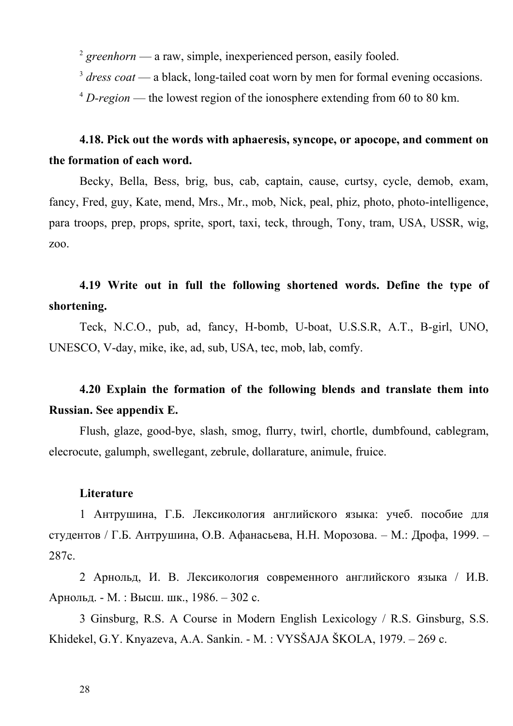<sup>2</sup> greenhorn — a raw, simple, inexperienced person, easily fooled.

<sup>3</sup> dress coat — a black, long-tailed coat worn by men for formal evening occasions.

<sup>4</sup> *D-region* — the lowest region of the ionosphere extending from 60 to 80 km.

### **4.18. Pick out the words with aphaeresis, syncope, or apocope, and comment on the formation of each word.**

Becky, Bella, Bess, brig, bus, cab, captain, cause, curtsy, cycle, demob, exam, fancy, Fred, guy, Kate, mend, Mrs., Mr., mob, Nick, peal, phiz, photo, photo-intelligence, para troops, prep, props, sprite, sport, taxi, teck, through, Tony, tram, USA, USSR, wig, zoo.

**4.19 Write out in full the following shortened words. Define the type of shortening.**

Teck, N.C.O., pub, ad, fancy, H-bomb, U-boat, U.S.S.R, A.T., B-girl, UNO, UNESCO, V-day, mike, ike, ad, sub, USA, tec, mob, lab, comfy.

### **4.20 Explain the formation of the following blends and translate them into Russian. See appendix E.**

Flush, glaze, good-bye, slash, smog, flurry, twirl, chortle, dumbfound, cablegram, elecrocute, galumph, swellegant, zebrule, dollarature, animule, fruice.

#### **Literature**

1 Антрушина, Г.Б. Лексикология английского языка: учеб. пособие для студентов / Г.Б. Антрушина, О.В. Афанасьева, Н.Н. Морозова. – М.: Дрофа, 1999. – 287с.

2 Арнольд, И. В. Лексикология современного английского языка / И.В. Арнольд. - М. : Высш. шк., 1986. – 302 с.

3 Ginsburg, R.S. A Course in Modern English Lexicology / R.S. Ginsburg, S.S. Khidekel, G.Y. Knyazeva, A.A. Sankin. - M. : VYSŠAJA ŠKOLA, 1979. – 269 с.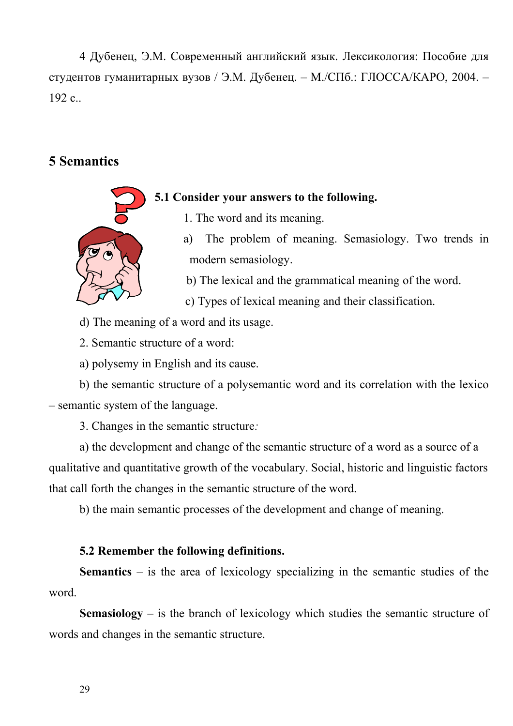4 Дубенец, Э.М. Современный английский язык. Лексикология: Пособие для студентов гуманитарных вузов / Э.М. Дубенец. – М./СПб.: ГЛОССА/КАРО, 2004. – 192 с..

### **5 Semantics**



### **5.1 Consider your answers to the following.**

- 1. The word and its meaning.
- a) The problem of meaning. Semasiology. Two trends in modern semasiology.
- b) The lexical and the grammatical meaning of the word.
- c) Types of lexical meaning and their classification.
- d) The meaning of a word and its usage.
- 2. Semantic structure of a word:
- a) polysemy in English and its cause.

b) the semantic structure of a polysemantic word and its correlation with the lexico – semantic system of the language.

3. Changes in the semantic structure*:*

а) the development and change of the semantic structure of a word as a source of a qualitative and quantitative growth of the vocabulary. Social, historic and linguistic factors that call forth the changes in the semantic structure of the word.

b) the main semantic processes of the development and change of meaning.

#### **5.2 Remember the following definitions.**

**Semantics** – is the area of lexicology specializing in the semantic studies of the word.

**Semasiology** – is the branch of lexicology which studies the semantic structure of words and changes in the semantic structure.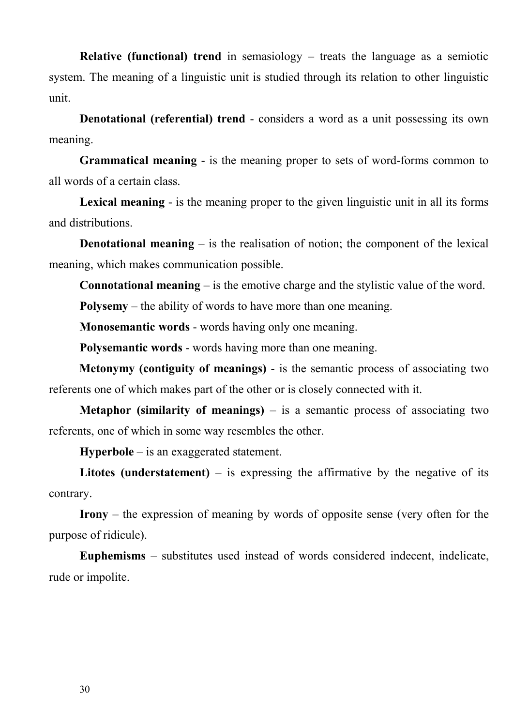**Relative (functional) trend** in semasiology – treats the language as a semiotic system. The meaning of a linguistic unit is studied through its relation to other linguistic unit.

**Denotational (referential) trend** - considers a word as a unit possessing its own meaning.

**Grammatical meaning** - is the meaning proper to sets of word-forms common to all words of a certain class.

**Lexical meaning** - is the meaning proper to the given linguistic unit in all its forms and distributions.

**Denotational meaning** – is the realisation of notion; the component of the lexical meaning, which makes communication possible.

**Connotational meaning** – is the emotive charge and the stylistic value of the word.

**Polysemy** – the ability of words to have more than one meaning.

**Monosemantic words** - words having only one meaning.

**Polysemantic words** - words having more than one meaning.

**Metonymy (contiguity of meanings)** - is the semantic process of associating two referents one of which makes part of the other or is closely connected with it.

**Metaphor (similarity of meanings)** – is a semantic process of associating two referents, one of which in some way resembles the other.

**Hyperbole** – is an exaggerated statement.

**Litotes (understatement)** – is expressing the affirmative by the negative of its contrary.

**Irony** – the expression of meaning by words of opposite sense (very often for the purpose of ridicule).

**Euphemisms** – substitutes used instead of words considered indecent, indelicate, rude or impolite.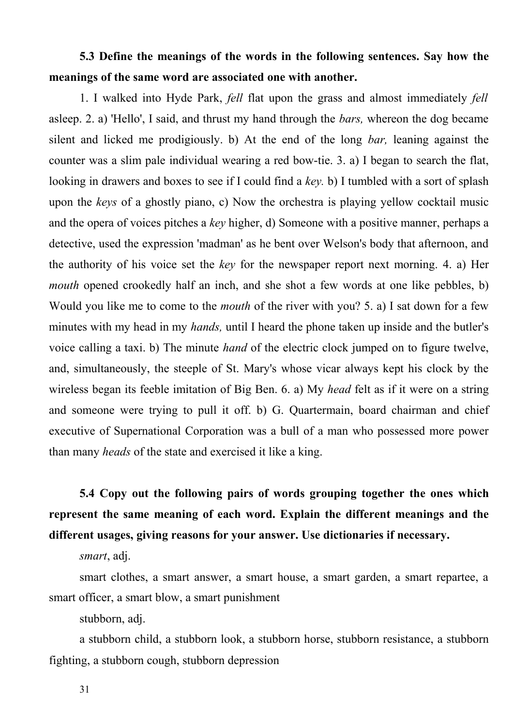### **5.3 Define the meanings of the words in the following sentences. Say how the meanings of the same word are associated one with another.**

1. I walked into Hyde Park, *fell* flat upon the grass and almost immediately *fell* asleep. 2. a) 'Hello', I said, and thrust my hand through the *bars,* whereon the dog became silent and licked me prodigiously. b) At the end of the long *bar,* leaning against the counter was a slim pale individual wearing a red bow-tie. 3. a) I began to search the flat, looking in drawers and boxes to see if I could find a *key.* b) I tumbled with a sort of splash upon the *keys* of a ghostly piano, c) Now the orchestra is playing yellow cocktail music and the opera of voices pitches a *key* higher, d) Someone with a positive manner, perhaps a detective, used the expression 'madman' as he bent over Welson's body that afternoon, and the authority of his voice set the *key* for the newspaper report next morning. 4. a) Her *mouth* opened crookedly half an inch, and she shot a few words at one like pebbles, b) Would you like me to come to the *mouth* of the river with you? 5. a) I sat down for a few minutes with my head in my *hands,* until I heard the phone taken up inside and the butler's voice calling a taxi. b) The minute *hand* of the electric clock jumped on to figure twelve, and, simultaneously, the steeple of St. Mary's whose vicar always kept his clock by the wireless began its feeble imitation of Big Ben. 6. a) My *head* felt as if it were on a string and someone were trying to pull it off. b) G. Quartermain, board chairman and chief executive of Supernational Corporation was a bull of a man who possessed more power than many *heads* of the state and exercised it like a king.

# **5.4 Copy out the following pairs of words grouping together the ones which represent the same meaning of each word. Explain the different meanings and the different usages, giving reasons for your answer. Use dictionaries if necessary.**

*smart*, adj.

smart clothes, a smart answer, a smart house, a smart garden, a smart repartee, a smart officer, a smart blow, a smart punishment

stubborn, adj.

a stubborn child, a stubborn look, a stubborn horse, stubborn resistance, a stubborn fighting, a stubborn cough, stubborn depression

31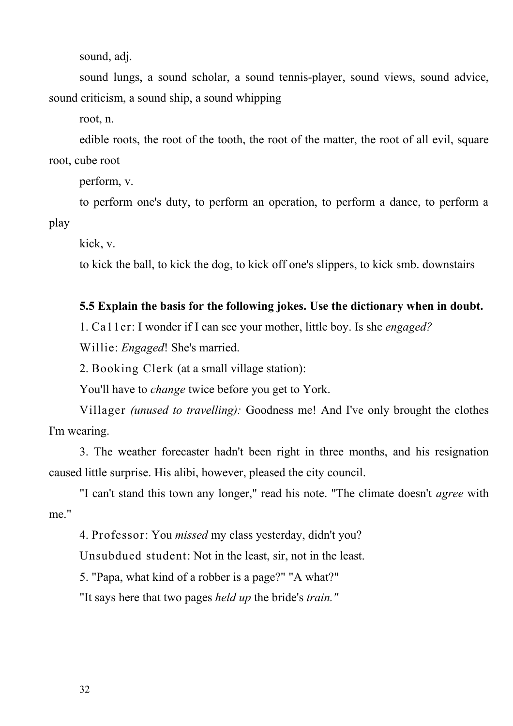sound, adj.

sound lungs, a sound scholar, a sound tennis-player, sound views, sound advice, sound criticism, a sound ship, a sound whipping

root, n.

edible roots, the root of the tooth, the root of the matter, the root of all evil, square root, cube root

perform, v.

to perform one's duty, to perform an operation, to perform a dance, to perform a play

kick, v.

to kick the ball, to kick the dog, to kick off one's slippers, to kick smb. downstairs

#### **5.5 Explain the basis for the following jokes. Use the dictionary when in doubt.**

1. Сa11er: I wonder if I can see your mother, little boy. Is she *engaged?*

Willie: *Engaged*! She's married.

2. Booking Clerk (at a small village station):

You'll have to *change* twice before you get to York.

Villager *(unused to travelling):* Goodness me! And I've only brought the clothes I'm wearing.

3. The weather forecaster hadn't been right in three months, and his resignation caused little surprise. His alibi, however, pleased the city council.

"I can't stand this town any longer," read his note. "The climate doesn't *agree* with me."

4. Professor: You *missed* my class yesterday, didn't you?

Unsubdued student: Not in the least, sir, not in the least.

5. "Papa, what kind of a robber is a page?" "A what?"

"It says here that two pages *held up* the bride's *train."*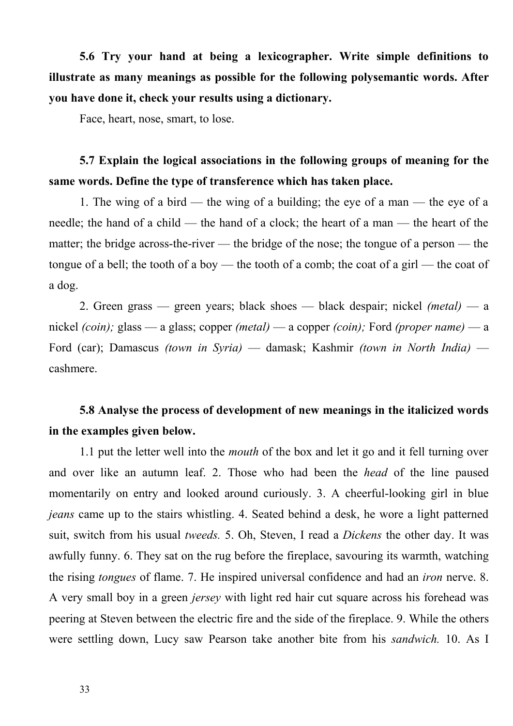**5.6 Try your hand at being a lexicographer. Write simple definitions to illustrate as many meanings as possible for the following polysemantic words. After you have done it, check your results using a dictionary.**

Face, heart, nose, smart, to lose.

### **5.7 Explain the logical associations in the following groups of meaning for the same words. Define the type of transference which has taken place.**

1. The wing of a bird — the wing of a building; the eye of a man — the eye of a needle; the hand of a child — the hand of a clock; the heart of a man — the heart of the matter; the bridge across-the-river — the bridge of the nose; the tongue of a person — the tongue of a bell; the tooth of a boy — the tooth of a comb; the coat of a girl — the coat of a dog.

2. Green grass — green years; black shoes — black despair; nickel *(metal)* — a nickel *(coin);* glass — a glass; copper *(metal)* — a copper *(coin);* Ford *(proper name)* — a Ford (car); Damascus *(town in Syria)* — damask; Kashmir *(town in North India)*  cashmere.

# **5.8 Analyse the process of development of new meanings in the italicized words in the examples given below.**

1.1 put the letter well into the *mouth* of the box and let it go and it fell turning over and over like an autumn leaf. 2. Those who had been the *head* of the line paused momentarily on entry and looked around curiously. 3. A cheerful-looking girl in blue *jeans* came up to the stairs whistling. 4. Seated behind a desk, he wore a light patterned suit, switch from his usual *tweeds.* 5. Oh, Steven, I read a *Dickens* the other day. It was awfully funny. 6. They sat on the rug before the fireplace, savouring its warmth, watching the rising *tongues* of flame. 7. He inspired universal confidence and had an *iron* nerve. 8. A very small boy in a green *jersey* with light red hair cut square across his forehead was peering at Steven between the electric fire and the side of the fireplace. 9. While the others were settling down, Lucy saw Pearson take another bite from his *sandwich.* 10. As I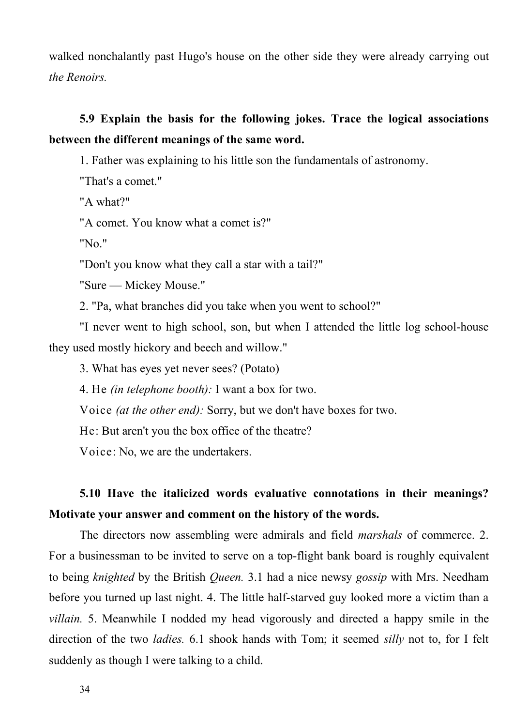walked nonchalantly past Hugo's house on the other side they were already carrying out *the Renoirs.*

### **5.9 Explain the basis for the following jokes. Trace the logical associations between the different meanings of the same word.**

1. Father was explaining to his little son the fundamentals of astronomy.

"That's a comet."

"A what?"

"A comet. You know what a comet is?"

"No."

"Don't you know what they call a star with a tail?"

"Sure — Mickey Mouse."

2. "Pa, what branches did you take when you went to school?"

"I never went to high school, son, but when I attended the little log school-house they used mostly hickory and beech and willow."

3. What has eyes yet never sees? (Potato)

4. He *(in telephone booth):* I want a box for two.

Voice *(at the other end):* Sorry, but we don't have boxes for two.

He: But aren't you the box office of the theatre?

Voice: No, we are the undertakers.

### **5.10 Have the italicized words evaluative connotations in their meanings? Motivate your answer and comment on the history of the words.**

The directors now assembling were admirals and field *marshals* of commerce. 2. For a businessman to be invited to serve on a top-flight bank board is roughly equivalent to being *knighted* by the British *Queen.* 3.1 had a nice newsy *gossip* with Mrs. Needham before you turned up last night. 4. The little half-starved guy looked more a victim than a *villain.* 5. Meanwhile I nodded my head vigorously and directed a happy smile in the direction of the two *ladies.* 6.1 shook hands with Tom; it seemed *silly* not to, for I felt suddenly as though I were talking to a child.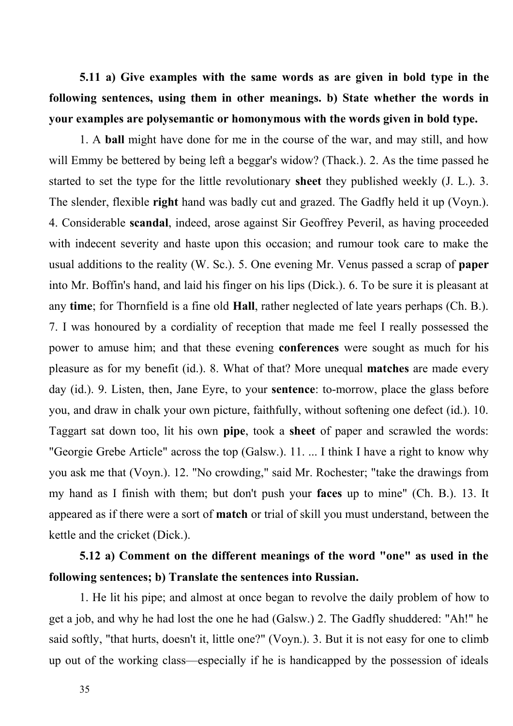**5.11 a) Give examples with the same words as are given in bold type in the following sentences, using them in other meanings. b) State whether the words in your examples are polysemantic or homonymous with the words given in bold type.**

1. A **ball** might have done for me in the course of the war, and may still, and how will Emmy be bettered by being left a beggar's widow? (Thack.). 2. As the time passed he started to set the type for the little revolutionary **sheet** they published weekly (J. L.). 3. The slender, flexible **right** hand was badly cut and grazed. The Gadfly held it up (Voyn.). 4. Considerable **scandal**, indeed, arose against Sir Geoffrey Peveril, as having proceeded with indecent severity and haste upon this occasion; and rumour took care to make the usual additions to the reality (W. Sc.). 5. One evening Mr. Venus passed a scrap of **paper** into Mr. Boffin's hand, and laid his finger on his lips (Dick.). 6. To be sure it is pleasant at any **time**; for Thornfield is a fine old **Hall**, rather neglected of late years perhaps (Ch. В.). 7. I was honoured by a cordiality of reception that made me feel I really possessed the power to amuse him; and that these evening **conferences** were sought as much for his pleasure as for my benefit (id.). 8. What of that? More unequal **matches** are made every day (id.). 9. Listen, then, Jane Eyre, to your **sentence**: to-morrow, place the glass before you, and draw in chalk your own picture, faithfully, without softening one defect (id.). 10. Taggart sat down too, lit his own **pipe**, took a **sheet** of paper and scrawled the words: "Georgie Grebe Article" across the top (Galsw.). 11. ... I think I have a right to know why you ask me that (Voyn.). 12. "No crowding," said Mr. Rochester; "take the drawings from my hand as I finish with them; but don't push your **faces** up to mine" (Ch. В.). 13. It appeared as if there were a sort of **match** or trial of skill you must understand, between the kettle and the cricket (Dick.).

# **5.12 a) Comment on the different meanings of the word "one" as used in the following sentences; b) Translate the sentences into Russian.**

1. He lit his pipe; and almost at once began to revolve the daily problem of how to get a job, and why he had lost the one he had (Galsw.) 2. The Gadfly shuddered: "Ah!" he said softly, "that hurts, doesn't it, little one?" (Voyn.). 3. But it is not easy for one to climb up out of the working class—especially if he is handicapped by the possession of ideals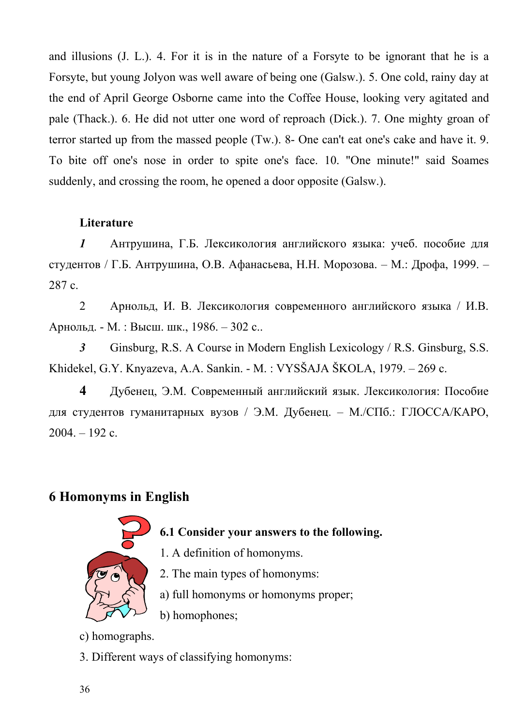and illusions (J. L.). 4. For it is in the nature of a Forsyte to be ignorant that he is a Forsyte, but young Jolyon was well aware of being one (Galsw.). 5. One cold, rainy day at the end of April George Osborne came into the Coffee House, looking very agitated and pale (Thack.). 6. He did not utter one word of reproach (Dick.). 7. One mighty groan of terror started up from the massed people (Tw.). 8- One can't eat one's cake and have it. 9. To bite off one's nose in order to spite one's face. 10. "One minute!" said Soames suddenly, and crossing the room, he opened a door opposite (Galsw.).

### **Literature**

*1* Антрушина, Г.Б. Лексикология английского языка: учеб. пособие для студентов / Г.Б. Антрушина, О.В. Афанасьева, Н.Н. Морозова. – М.: Дрофа, 1999. – 287 с.

2 Арнольд, И. В. Лексикология современного английского языка / И.В. Арнольд. - М. : Высш. шк., 1986. – 302 с..

*3* Ginsburg, R.S. A Course in Modern English Lexicology / R.S. Ginsburg, S.S. Khidekel, G.Y. Knyazeva, A.A. Sankin. - M. : VYSŠAJA ŠKOLA, 1979. – 269 с.

**4** Дубенец, Э.М. Современный английский язык. Лексикология: Пособие для студентов гуманитарных вузов / Э.М. Дубенец. – М./СПб.: ГЛОССА/КАРО,  $2004. - 192$  c.

# **6 Homonyms in English**



**6.1 Consider your answers to the following.**

- 1. A definition of homonyms.
- 2. The main types of homonyms:
- a) full homonyms or homonyms proper;
- b) homophones;

c) homographs.

3. Different ways of classifying homonyms: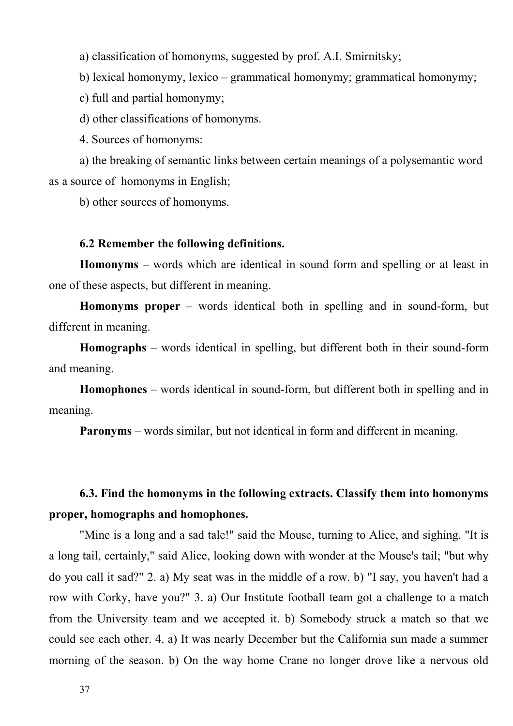a) classification of homonyms, suggested by prof. A.I. Smirnitsky;

b) lexical homonymy, lexico – grammatical homonymy; grammatical homonymy;

c) full and partial homonymy;

d) other classifications of homonyms.

4. Sources of homonyms:

a) the breaking of semantic links between certain meanings of a polysemantic word as a source of homonyms in English;

b) other sources of homonyms.

#### **6.2 Remember the following definitions.**

**Homonyms** – words which are identical in sound form and spelling or at least in one of these aspects, but different in meaning.

**Homonyms proper** – words identical both in spelling and in sound-form, but different in meaning.

**Homographs** – words identical in spelling, but different both in their sound-form and meaning.

**Homophones** – words identical in sound-form, but different both in spelling and in meaning.

**Paronyms** – words similar, but not identical in form and different in meaning.

### **6.3. Find the homonyms in the following extracts. Classify them into homonyms proper, homographs and homophones.**

"Mine is a long and a sad tale!" said the Mouse, turning to Alice, and sighing. "It is a long tail, certainly," said Alice, looking down with wonder at the Mouse's tail; "but why do you call it sad?" 2. a) My seat was in the middle of a row. b) "I say, you haven't had a row with Corky, have you?" 3. a) Our Institute football team got a challenge to a match from the University team and we accepted it. b) Somebody struck a match so that we could see each other. 4. a) It was nearly December but the California sun made a summer morning of the season. b) On the way home Crane no longer drove like a nervous old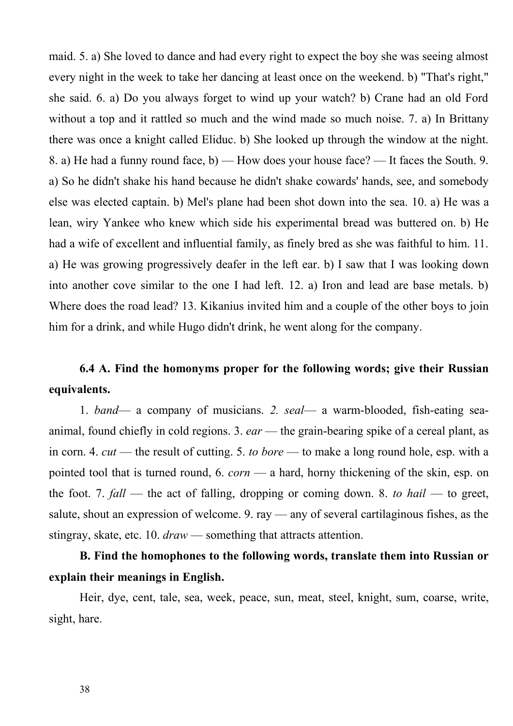maid. 5. a) She loved to dance and had every right to expect the boy she was seeing almost every night in the week to take her dancing at least once on the weekend. b) "That's right," she said. 6. a) Do you always forget to wind up your watch? b) Crane had an old Ford without a top and it rattled so much and the wind made so much noise. 7. a) In Brittany there was once a knight called Eliduc. b) She looked up through the window at the night. 8. a) He had a funny round face, b) — How does your house face? — It faces the South. 9. a) So he didn't shake his hand because he didn't shake cowards' hands, see, and somebody else was elected captain. b) Mel's plane had been shot down into the sea. 10. a) He was a lean, wiry Yankee who knew which side his experimental bread was buttered on. b) He had a wife of excellent and influential family, as finely bred as she was faithful to him. 11. a) He was growing progressively deafer in the left ear. b) I saw that I was looking down into another cove similar to the one I had left. 12. a) Iron and lead are base metals. b) Where does the road lead? 13. Kikanius invited him and a couple of the other boys to join him for a drink, and while Hugo didn't drink, he went along for the company.

### **6.4 A. Find the homonyms proper for the following words; give their Russian equivalents.**

1. *band*— a company of musicians. *2. seal*— a warm-blooded, fish-eating seaanimal, found chiefly in cold regions. 3. *ear* — the grain-bearing spike of a cereal plant, as in corn. 4. *cut* — the result of cutting. 5. *to bore* — to make a long round hole, esp. with a pointed tool that is turned round, 6. *corn* — a hard, horny thickening of the skin, esp. on the foot. 7. *fall* — the act of falling, dropping or coming down. 8. *to hail* — to greet, salute, shout an expression of welcome. 9. ray — any of several cartilaginous fishes, as the stingray, skate, etc. 10. *draw* — something that attracts attention.

### **B. Find the homophones to the following words, translate them into Russian or explain their meanings in English.**

Heir, dye, cent, tale, sea, week, peace, sun, meat, steel, knight, sum, coarse, write, sight, hare.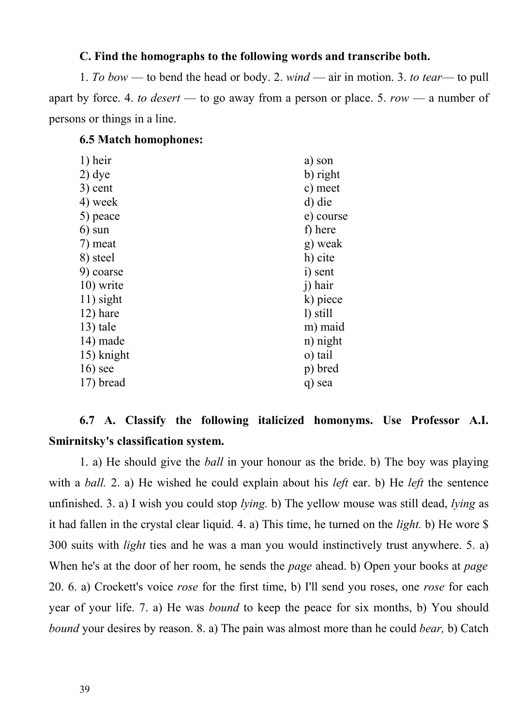#### **C. Find the homographs to the following words and transcribe both.**

1. *To bow* — to bend the head or body. 2. *wind* — air in motion. 3. *to tear*— to pull apart by force. 4. *to desert* — to go away from a person or place. 5. *row* — a number of persons or things in a line.

#### **6.5 Match homophones:**

| 1) heir     | a) son    |
|-------------|-----------|
| $2)$ dye    | b) right  |
| 3) cent     | c) meet   |
| 4) week     | d) die    |
| 5) peace    | e) course |
| 6) sun      | f) here   |
| 7) meat     | g) weak   |
| 8) steel    | h) cite   |
| 9) coarse   | i) sent   |
| 10) write   | j) hair   |
| $11)$ sight | k) piece  |
| 12) hare    | l) still  |
| $13)$ tale  | m) maid   |
| 14) made    | n) night  |
| 15) knight  | o) tail   |
| $16)$ see   | p) bred   |
| 17) bread   | q) sea    |

### **6.7 A. Classify the following italicized homonyms. Use Professor A.I. Smirnitsky's classification system.**

1. a) He should give the *ball* in your honour as the bride. b) The boy was playing with a *ball.* 2. a) He wished he could explain about his *left* ear. b) He *left* the sentence unfinished. 3. a) I wish you could stop *lying.* b) The yellow mouse was still dead, *lying* as it had fallen in the crystal clear liquid. 4. a) This time, he turned on the *light.* b) He wore \$ 300 suits with *light* ties and he was a man you would instinctively trust anywhere. 5. a) When he's at the door of her room, he sends the *page* ahead. b) Open your books at *page* 20. 6. a) Crockett's voice *rose* for the first time, b) I'll send you roses, one *rose* for each year of your life. 7. a) He was *bound* to keep the peace for six months, b) You should *bound* your desires by reason. 8. a) The pain was almost more than he could *bear,* b) Catch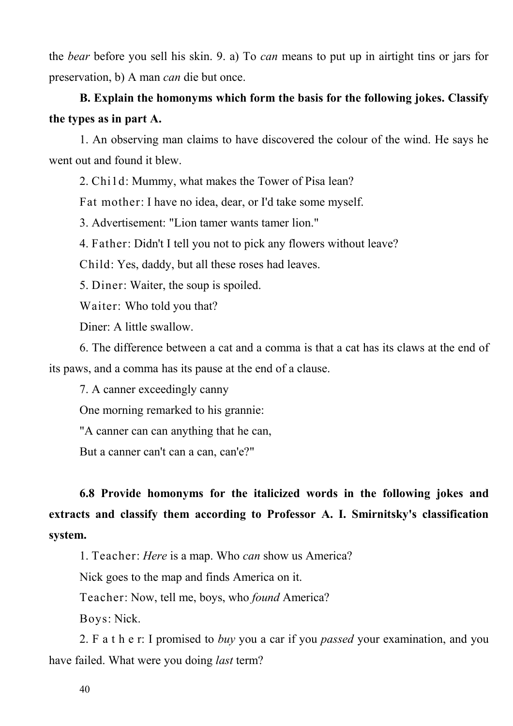the *bear* before you sell his skin. 9. a) To *can* means to put up in airtight tins or jars for preservation, b) A man *can* die but once.

### **B. Explain the homonyms which form the basis for the following jokes. Classify the types as in part A.**

1. An observing man claims to have discovered the colour of the wind. He says he went out and found it blew.

2. Сhi1d: Mummy, what makes the Tower of Pisa lean?

Fat mother: I have no idea, dear, or I'd take some myself.

3. Advertisement: "Lion tamer wants tamer lion."

4. Father: Didn't I tell you not to pick any flowers without leave?

Child: Yes, daddy, but all these roses had leaves.

5. Diner: Waiter, the soup is spoiled.

Waiter: Who told you that?

Diner: A little swallow

6. The difference between a cat and a comma is that a cat has its claws at the end of its paws, and a comma has its pause at the end of a clause.

7. A canner exceedingly canny

One morning remarked to his grannie:

"A canner can can anything that he can,

But a canner can't can a can, can'e?"

**6.8 Provide homonyms for the italicized words in the following jokes and extracts and classify them according to Professor A. I. Smirnitsky's classification system.**

1. Теасher: *Here* is a map. Who *can* show us America?

Nick goes to the map and finds America on it.

Teacher: Now, tell me, boys, who *found* America?

Boys: Nick.

2. F a t h e r: I promised to *buy* you a car if you *passed* your examination, and you have failed. What were you doing *last* term?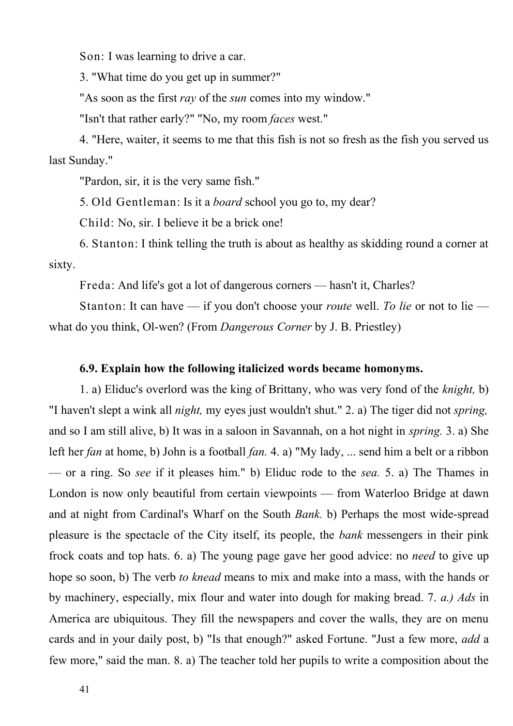Son: I was learning to drive a car.

3. "What time do you get up in summer?"

"As soon as the first *ray* of the *sun* comes into my window."

"Isn't that rather early?" "No, my room *faces* west."

4. "Here, waiter, it seems to me that this fish is not so fresh as the fish you served us last Sunday."

"Pardon, sir, it is the very same fish."

5. Old Gentleman: Is it a *board* school you go to, my dear?

Child: No, sir. I believe it be a brick one!

6. Stanton: I think telling the truth is about as healthy as skidding round a corner at sixty.

Freda: And life's got a lot of dangerous corners — hasn't it, Charles?

Stanton: It can have — if you don't choose your *route* well. To lie or not to lie what do you think, Ol-wen? (From *Dangerous Corner* by J. B. Priestley)

#### **6.9. Explain how the following italicized words became homonyms.**

1. a) Eliduc's overlord was the king of Brittany, who was very fond of the *knight,* b) "I haven't slept a wink all *night,* my eyes just wouldn't shut." 2. a) The tiger did not *spring,* and so I am still alive, b) It was in a saloon in Savannah, on a hot night in *spring.* 3. a) She left her *fan* at home, b) John is a football *fan.* 4. a) "My lady, ... send him a belt or a ribbon — or a ring. So *see* if it pleases him." b) Eliduc rode to the *sea.* 5. a) The Thames in London is now only beautiful from certain viewpoints — from Waterloo Bridge at dawn and at night from Cardinal's Wharf on the South *Bank.* b) Perhaps the most wide-spread pleasure is the spectacle of the City itself, its people, the *bank* messengers in their pink frock coats and top hats. 6. a) The young page gave her good advice: no *need* to give up hope so soon, b) The verb *to knead* means to mix and make into a mass, with the hands or by machinery, especially, mix flour and water into dough for making bread. 7. *a.) Ads* in America are ubiquitous. They fill the newspapers and cover the walls, they are on menu cards and in your daily post, b) "Is that enough?" asked Fortune. "Just a few more, *add* a few more," said the man. 8. a) The teacher told her pupils to write a composition about the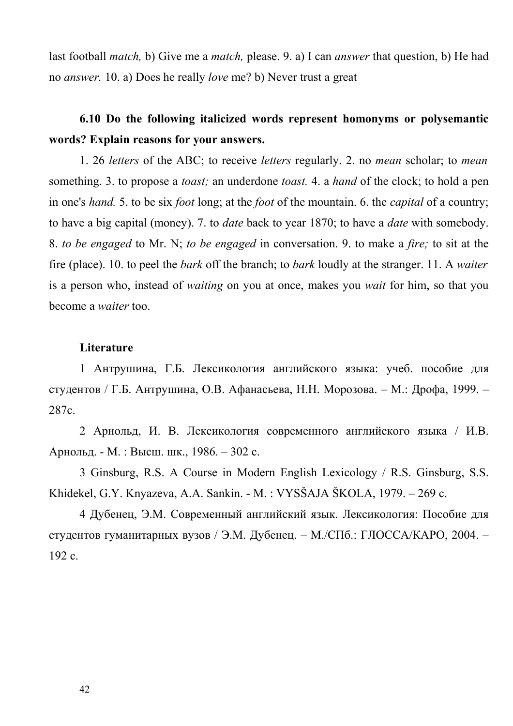last football *match,* b) Give me a *match,* please. 9. a) I can *answer* that question, b) He had no *answer.* 10. a) Does he really *love* me? b) Never trust a great

# **6.10 Do the following italicized words represent homonyms or polysemantic words? Explain reasons for your answers.**

1. 26 *letters* of the ABC; to receive *letters* regularly. 2. no *mean* scholar; to *mean* something. 3. to propose a *toast;* an underdone *toast.* 4. a *hand* of the clock; to hold a pen in one's *hand.* 5. to be six *foot* long; at the *foot* of the mountain. 6. the *capital* of a country; to have a big capital (money). 7. to *date* back to year 1870; to have a *date* with somebody. 8. *to be engaged* to Mr. N; *to be engaged* in conversation. 9. to make a *fire;* to sit at the fire (place). 10. to peel the *bark* off the branch; to *bark* loudly at the stranger. 11. A *waiter* is a person who, instead of *waiting* on you at once, makes you *wait* for him, so that you become a *waiter* too.

#### **Literature**

1 Антрушина, Г.Б. Лексикология английского языка: учеб. пособие для студентов / Г.Б. Антрушина, О.В. Афанасьева, Н.Н. Морозова. – М.: Дрофа, 1999. – 287с.

2 Арнольд, И. В. Лексикология современного английского языка / И.В. Арнольд. - М. : Высш. шк., 1986. – 302 с.

3 Ginsburg, R.S. A Course in Modern English Lexicology / R.S. Ginsburg, S.S. Khidekel, G.Y. Knyazeva, A.A. Sankin. - M. : VYSŠAJA ŠKOLA, 1979. – 269 с.

4 Дубенец, Э.М. Современный английский язык. Лексикология: Пособие для студентов гуманитарных вузов / Э.М. Дубенец. – М./СПб.: ГЛОССА/КАРО, 2004. – 192 с.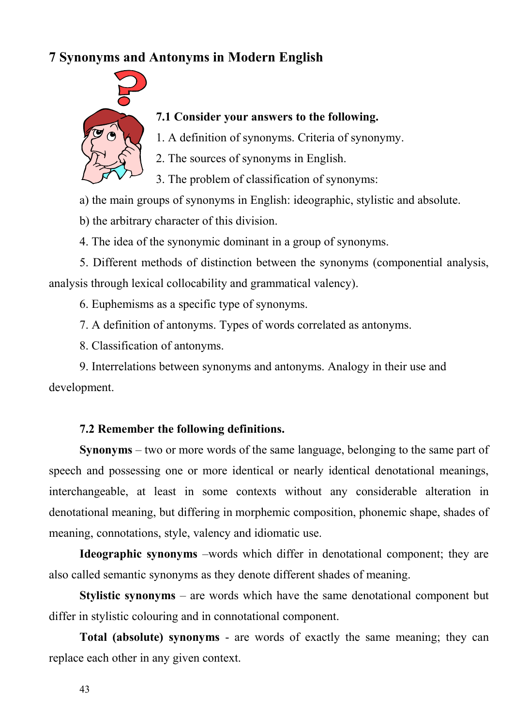### **7 Synonyms and Antonyms in Modern English**



#### **7.1 Consider your answers to the following.**

1. A definition of synonyms. Criteria of synonymy.

2. The sources of synonyms in English.

3. The problem of classification of synonyms:

a) the main groups of synonyms in English: ideographic, stylistic and absolute.

b) the arbitrary character of this division.

4. The idea of the synonymic dominant in a group of synonyms.

5. Different methods of distinction between the synonyms (componential analysis, analysis through lexical collocability and grammatical valency).

6. Euphemisms as a specific type of synonyms.

7. A definition of antonyms. Types of words correlated as antonyms.

8. Classification of antonyms.

9. Interrelations between synonyms and antonyms. Analogy in their use and development.

#### **7.2 Remember the following definitions.**

**Synonyms** – two or more words of the same language, belonging to the same part of speech and possessing one or more identical or nearly identical denotational meanings, interchangeable, at least in some contexts without any considerable alteration in denotational meaning, but differing in morphemic composition, phonemic shape, shades of meaning, connotations, style, valency and idiomatic use.

**Ideographic synonyms** –words which differ in denotational component; they are also called semantic synonyms as they denote different shades of meaning.

**Stylistic synonyms** – are words which have the same denotational component but differ in stylistic colouring and in connotational component.

**Total (absolute) synonyms** - are words of exactly the same meaning; they can replace each other in any given context.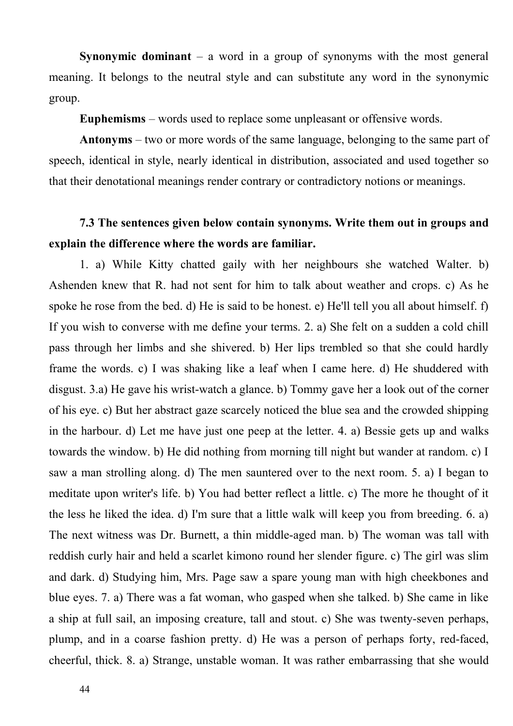**Synonymic dominant** – a word in a group of synonyms with the most general meaning. It belongs to the neutral style and can substitute any word in the synonymic group.

**Euphemisms** – words used to replace some unpleasant or offensive words.

**Antonyms** – two or more words of the same language, belonging to the same part of speech, identical in style, nearly identical in distribution, associated and used together so that their denotational meanings render contrary or contradictory notions or meanings.

### **7.3 The sentences given below contain synonyms. Write them out in groups and explain the difference where the words are familiar.**

1. a) While Kitty chatted gaily with her neighbours she watched Walter. b) Ashenden knew that R. had not sent for him to talk about weather and crops. c) As he spoke he rose from the bed. d) He is said to be honest. e) He'll tell you all about himself. f) If you wish to converse with me define your terms. 2. a) She felt on a sudden a cold chill pass through her limbs and she shivered. b) Her lips trembled so that she could hardly frame the words. c) I was shaking like a leaf when I came here. d) He shuddered with disgust. 3.a) He gave his wrist-watch a glance. b) Tommy gave her a look out of the corner of his eye. c) But her abstract gaze scarcely noticed the blue sea and the crowded shipping in the harbour. d) Let me have just one peep at the letter. 4. a) Bessie gets up and walks towards the window. b) He did nothing from morning till night but wander at random. c) I saw a man strolling along. d) The men sauntered over to the next room. 5. a) I began to meditate upon writer's life. b) You had better reflect a little. c) The more he thought of it the less he liked the idea. d) I'm sure that a little walk will keep you from breeding. 6. a) The next witness was Dr. Burnett, a thin middle-aged man. b) The woman was tall with reddish curly hair and held a scarlet kimono round her slender figure. c) The girl was slim and dark. d) Studying him, Mrs. Page saw a spare young man with high cheekbones and blue eyes. 7. a) There was a fat woman, who gasped when she talked. b) She came in like a ship at full sail, an imposing creature, tall and stout. c) She was twenty-seven perhaps, plump, and in a coarse fashion pretty. d) He was a person of perhaps forty, red-faced, cheerful, thick. 8. a) Strange, unstable woman. It was rather embarrassing that she would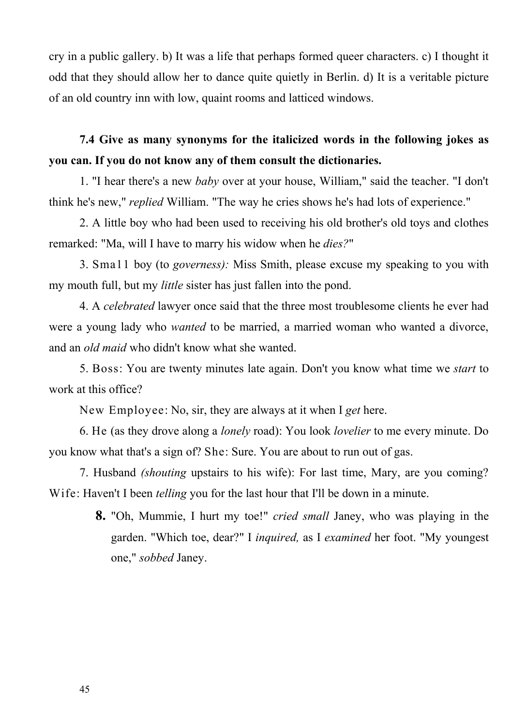cry in a public gallery. b) It was a life that perhaps formed queer characters. c) I thought it odd that they should allow her to dance quite quietly in Berlin. d) It is a veritable picture of an old country inn with low, quaint rooms and latticed windows.

# **7.4 Give as many synonyms for the italicized words in the following jokes as you can. If you do not know any of them consult the dictionaries.**

1. "I hear there's a new *baby* over at your house, William," said the teacher. "I don't think he's new," *replied* William. "The way he cries shows he's had lots of experience."

2. A little boy who had been used to receiving his old brother's old toys and clothes remarked: "Ma, will I have to marry his widow when he *dies?*"

3. Sma11 boy (to *governess):* Miss Smith, please excuse my speaking to you with my mouth full, but my *little* sister has just fallen into the pond.

4. A *celebrated* lawyer once said that the three most troublesome clients he ever had were a young lady who *wanted* to be married, a married woman who wanted a divorce, and an *old maid* who didn't know what she wanted.

5. Воss: You are twenty minutes late again. Don't you know what time we *start* to work at this office?

New Employee: No, sir, they are always at it when I *get* here.

6. He (as they drove along a *lonely* road): You look *lovelier* to me every minute. Do you know what that's a sign of? She: Sure. You are about to run out of gas.

7. Husband *(shouting* upstairs to his wife): For last time, Mary, are you coming? Wife: Haven't I been *telling* you for the last hour that I'll be down in a minute.

> **8.** "Oh, Mummie, I hurt my toe!" *cried small* Janey, who was playing in the garden. "Which toe, dear?" I *inquired,* as I *examined* her foot. "My youngest one," *sobbed* Janey.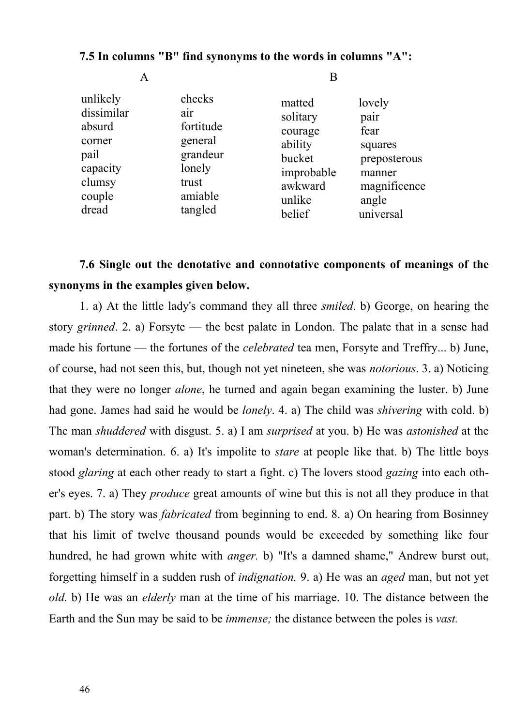|            |           | B          |              |
|------------|-----------|------------|--------------|
| unlikely   | checks    | matted     | lovely       |
| dissimilar | air       | solitary   | pair         |
| absurd     | fortitude | courage    | fear         |
| corner     | general   | ability    | squares      |
| pail       | grandeur  | bucket     | preposterous |
| capacity   | lonely    | improbable | manner       |
| clumsy     | trust     | awkward    | magnificence |
| couple     | amiable   | unlike     | angle        |
| dread      | tangled   | belief     | universal    |

### **7.5 In columns "B" find synonyms to the words in columns "A":**

**7.6 Single out the denotative and connotative components of meanings of the synonyms in the examples given below.**

1. a) At the little lady's command they all three *smiled*. b) George, on hearing the story *grinned*. 2. a) Forsyte — the best palate in London. The palate that in a sense had made his fortune — the fortunes of the *celebrated* tea men, Forsyte and Treffry... b) June, of course, had not seen this, but, though not yet nineteen, she was *notorious*. 3. a) Noticing that they were no longer *alone*, he turned and again began examining the luster. b) June had gone. James had said he would be *lonely*. 4. a) The child was *shivering* with cold. b) The man *shuddered* with disgust. 5. a) I am *surprised* at you. b) He was *astonished* at the woman's determination. 6. a) It's impolite to *stare* at people like that. b) The little boys stood *glaring* at each other ready to start a fight. c) The lovers stood *gazing* into each other's eyes. 7. a) They *produce* great amounts of wine but this is not all they produce in that part. b) The story was *fabricated* from beginning to end. 8. a) On hearing from Bosinney that his limit of twelve thousand pounds would be exceeded by something like four hundred, he had grown white with *anger.* b) "It's a damned shame," Andrew burst out, forgetting himself in a sudden rush of *indignation.* 9. a) He was an *aged* man, but not yet *old.* b) He was an *elderly* man at the time of his marriage. 10. The distance between the Earth and the Sun may be said to be *immense;* the distance between the poles is *vast.*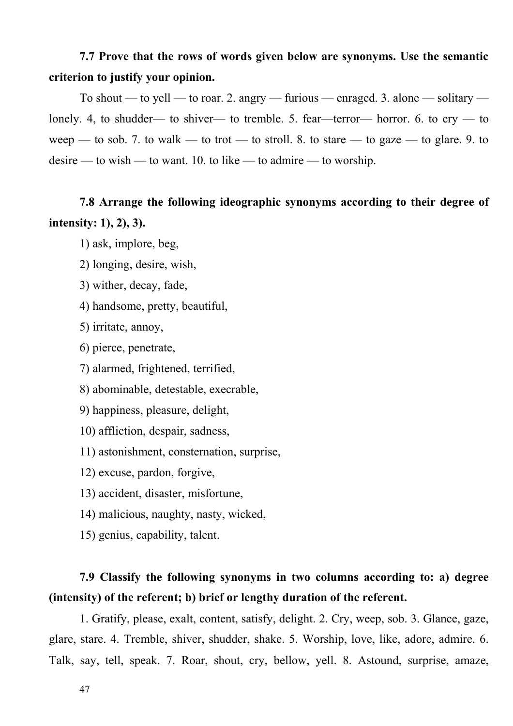### **7.7 Prove that the rows of words given below are synonyms. Use the semantic criterion to justify your opinion.**

To shout — to yell — to roar. 2. angry — furious — enraged. 3. alone — solitary lonely. 4, to shudder— to shiver— to tremble. 5. fear—terror— horror. 6, to  $\text{cr}y - \text{to}$ weep — to sob. 7. to walk — to trot — to stroll. 8. to stare — to gaze — to glare. 9. to desire — to wish — to want. 10. to like — to admire — to worship.

### **7.8 Arrange the following ideographic synonyms according to their degree of intensity: 1), 2), 3).**

- 1) ask, implore, beg,
- 2) longing, desire, wish,
- 3) wither, decay, fade,
- 4) handsome, pretty, beautiful,
- 5) irritate, annoy,
- 6) pierce, penetrate,
- 7) alarmed, frightened, terrified,
- 8) abominable, detestable, execrable,
- 9) happiness, pleasure, delight,
- 10) affliction, despair, sadness,
- 11) astonishment, consternation, surprise,
- 12) excuse, pardon, forgive,
- 13) accident, disaster, misfortune,
- 14) malicious, naughty, nasty, wicked,
- 15) genius, capability, talent.

### **7.9 Classify the following synonyms in two columns according to: a) degree (intensity) of the referent; b) brief or lengthy duration of the referent.**

1. Gratify, please, exalt, content, satisfy, delight. 2. Cry, weep, sob. 3. Glance, gaze, glare, stare. 4. Tremble, shiver, shudder, shake. 5. Worship, love, like, adore, admire. 6. Talk, say, tell, speak. 7. Roar, shout, cry, bellow, yell. 8. Astound, surprise, amaze,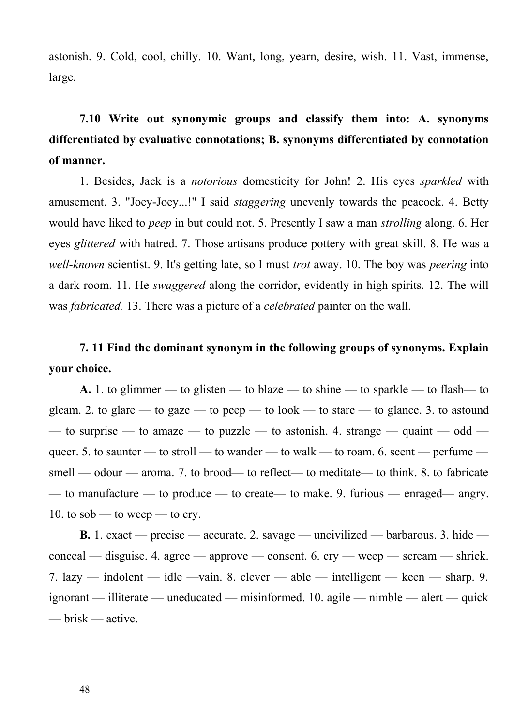astonish. 9. Cold, cool, chilly. 10. Want, long, yearn, desire, wish. 11. Vast, immense, large.

# **7.10 Write out synonymic groups and classify them into: A. synonyms differentiated by evaluative connotations; B. synonyms differentiated by connotation of manner.**

1. Besides, Jack is a *notorious* domesticity for John! 2. His eyes *sparkled* with amusement. 3. "Joey-Joey...!" I said *staggering* unevenly towards the peacock. 4. Betty would have liked to *peep* in but could not. 5. Presently I saw a man *strolling* along. 6. Her eyes *glittered* with hatred. 7. Those artisans produce pottery with great skill. 8. He was a *well-known* scientist. 9. It's getting late, so I must *trot* away. 10. The boy was *peering* into a dark room. 11. He *swaggered* along the corridor, evidently in high spirits. 12. The will was *fabricated.* 13. There was a picture of a *celebrated* painter on the wall.

### **7. 11 Find the dominant synonym in the following groups of synonyms. Explain your choice.**

**A.** 1. to glimmer — to glisten — to blaze — to shine — to sparkle — to flash— to gleam. 2. to glare — to gaze — to peep — to look — to stare — to glance. 3. to astound — to surprise — to amaze — to puzzle — to astonish. 4. strange — quaint — odd queer. 5. to saunter — to stroll — to wander — to walk — to roam. 6. scent — perfume smell — odour — aroma. 7. to brood— to reflect— to meditate— to think. 8. to fabricate — to manufacture — to produce — to create— to make. 9. furious — enraged— angry. 10. to sob — to weep — to cry.

**B.** 1. exact — precise — accurate. 2. savage — uncivilized — barbarous. 3. hide conceal — disguise. 4. agree — approve — consent. 6. cry — weep — scream — shriek. 7. lazy — indolent — idle —vain. 8. clever — able — intelligent — keen — sharp. 9. ignorant — illiterate — uneducated — misinformed. 10. agile — nimble — alert — quick — brisk — active.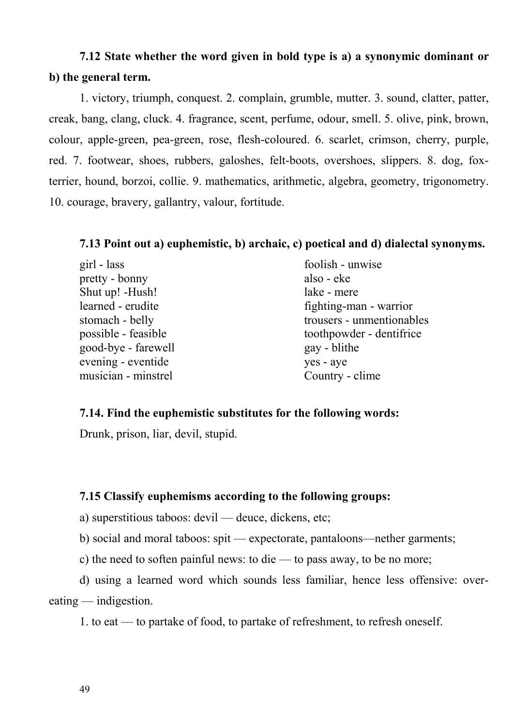### **7.12 State whether the word given in bold type is a) a synonymic dominant or b) the general term.**

1. victory, triumph, conquest. 2. complain, grumble, mutter. 3. sound, clatter, patter, creak, bang, clang, cluck. 4. fragrance, scent, perfume, odour, smell. 5. olive, pink, brown, colour, apple-green, pea-green, rose, flesh-coloured. 6. scarlet, crimson, cherry, purple, red. 7. footwear, shoes, rubbers, galoshes, felt-boots, overshoes, slippers. 8. dog, foxterrier, hound, borzoi, collie. 9. mathematics, arithmetic, algebra, geometry, trigonometry. 10. courage, bravery, gallantry, valour, fortitude.

#### **7.13 Point out a) euphemistic, b) archaic, c) poetical and d) dialectal synonyms.**

| girl - lass         | foolish - unwise          |
|---------------------|---------------------------|
| pretty - bonny      | also - eke                |
| Shut up! -Hush!     | lake - mere               |
| learned - erudite   | fighting-man - warrior    |
| stomach - belly     | trousers - unmentionables |
| possible - feasible | toothpowder - dentifrice  |
| good-bye - farewell | gay - blithe              |
| evening - eventide  | yes - aye                 |
| musician - minstrel | Country - clime           |

#### **7.14. Find the euphemistic substitutes for the following words:**

Drunk, prison, liar, devil, stupid.

#### **7.15 Classify euphemisms according to the following groups:**

a) superstitious taboos: devil — deuce, dickens, etc;

b) social and moral taboos: spit — expectorate, pantaloons—nether garments;

c) the need to soften painful news: to die — to pass away, to be no more;

d) using a learned word which sounds less familiar, hence less offensive: overeating — indigestion.

1. to eat — to partake of food, to partake of refreshment, to refresh oneself.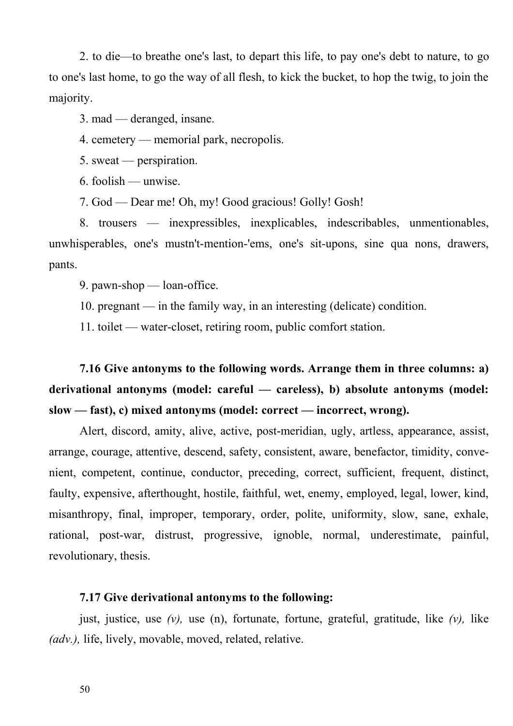2. to die—to breathe one's last, to depart this life, to pay one's debt to nature, to go to one's last home, to go the way of all flesh, to kick the bucket, to hop the twig, to join the majority.

3. mad — deranged, insane.

4. cemetery — memorial park, necropolis.

5. sweat — perspiration.

6. foolish — unwise.

7. God — Dear me! Oh, my! Good gracious! Golly! Gosh!

8. trousers — inexpressibles, inexplicables, indescribables, unmentionables, unwhisperables, one's mustn't-mention-'ems, one's sit-upons, sine qua nons, drawers, pants.

9. pawn-shop — loan-office.

10. pregnant — in the family way, in an interesting (delicate) condition.

11. toilet — water-closet, retiring room, public comfort station.

**7.16 Give antonyms to the following words. Arrange them in three columns: a) derivational antonyms (model: careful — careless), b) absolute antonyms (model: slow — fast), c) mixed antonyms (model: correct — incorrect, wrong).**

Alert, discord, amity, alive, active, post-meridian, ugly, artless, appearance, assist, arrange, courage, attentive, descend, safety, consistent, aware, benefactor, timidity, convenient, competent, continue, conductor, preceding, correct, sufficient, frequent, distinct, faulty, expensive, afterthought, hostile, faithful, wet, enemy, employed, legal, lower, kind, misanthropy, final, improper, temporary, order, polite, uniformity, slow, sane, exhale, rational, post-war, distrust, progressive, ignoble, normal, underestimate, painful, revolutionary, thesis.

#### **7.17 Give derivational antonyms to the following:**

just, justice, use *(v),* use (n), fortunate, fortune, grateful, gratitude, like *(v),* like *(adv.)*, life, lively, movable, moved, related, relative.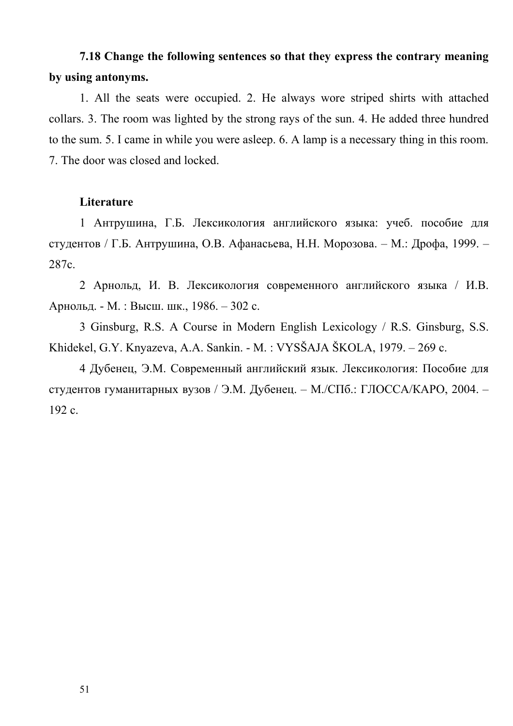### **7.18 Change the following sentences so that they express the contrary meaning by using antonyms.**

1. All the seats were occupied. 2. He always wore striped shirts with attached collars. 3. The room was lighted by the strong rays of the sun. 4. He added three hundred to the sum. 5. I came in while you were asleep. 6. A lamp is a necessary thing in this room. 7. The door was closed and locked.

#### **Literature**

1 Антрушина, Г.Б. Лексикология английского языка: учеб. пособие для студентов / Г.Б. Антрушина, О.В. Афанасьева, Н.Н. Морозова. – М.: Дрофа, 1999. – 287с.

2 Арнольд, И. В. Лексикология современного английского языка / И.В. Арнольд. - М. : Высш. шк., 1986. – 302 с.

3 Ginsburg, R.S. A Course in Modern English Lexicology / R.S. Ginsburg, S.S. Khidekel, G.Y. Knyazeva, A.A. Sankin. - M. : VYSŠAJA ŠKOLA, 1979. – 269 с.

4 Дубенец, Э.М. Современный английский язык. Лексикология: Пособие для студентов гуманитарных вузов / Э.М. Дубенец. – М./СПб.: ГЛОССА/КАРО, 2004. – 192 с.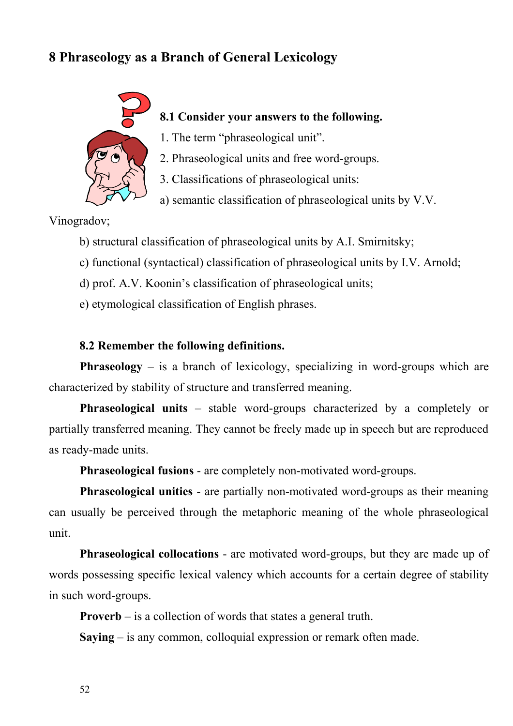### **8 Phraseology as a Branch of General Lexicology**



**8.1 Consider your answers to the following.**

- 1. The term "phraseological unit".
- 2. Phraseological units and free word-groups.
- 3. Classifications of phraseological units:
- a) semantic classification of phraseological units by V.V.

Vinogradov;

- b) structural classification of phraseological units by A.I. Smirnitsky;
- c) functional (syntactical) classification of phraseological units by I.V. Arnold;
- d) prof. A.V. Koonin's classification of phraseological units;
- e) etymological classification of English phrases.

#### **8.2 Remember the following definitions.**

**Phraseology** – is a branch of lexicology, specializing in word-groups which are characterized by stability of structure and transferred meaning.

**Phraseological units** – stable word-groups characterized by a completely or partially transferred meaning. They cannot be freely made up in speech but are reproduced as ready-made units.

**Phraseological fusions** - are completely non-motivated word-groups.

**Phraseological unities** - are partially non-motivated word-groups as their meaning can usually be perceived through the metaphoric meaning of the whole phraseological unit.

**Phraseological collocations** - are motivated word-groups, but they are made up of words possessing specific lexical valency which accounts for a certain degree of stability in such word-groups.

**Proverb** – is a collection of words that states a general truth.

**Saying** – is any common, colloquial expression or remark often made.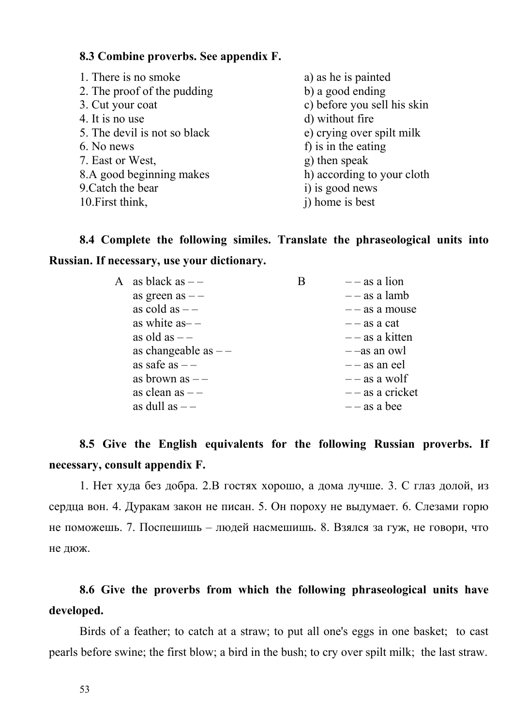#### **8.3 Combine proverbs. See appendix F.**

| 1. There is no smoke         | a) as he is painted         |
|------------------------------|-----------------------------|
| 2. The proof of the pudding  | b) a good ending            |
| 3. Cut your coat             | c) before you sell his skin |
| 4. It is no use              | d) without fire             |
| 5. The devil is not so black | e) crying over spilt milk   |
| 6. No news                   | f) is in the eating         |
| 7. East or West,             | g) then speak               |
| 8.A good beginning makes     | h) according to your cloth  |
| 9. Catch the bear            | i) is good news             |
| 10. First think,             | <i>j</i> ) home is best     |
|                              |                             |

# **8.4 Complete the following similes. Translate the phraseological units into**

#### **Russian. If necessary, use your dictionary.**

| A | as black as $-$      | $-$ as a lion    |
|---|----------------------|------------------|
|   | as green as $-$      | $-$ as a lamb    |
|   | as cold as $-$       | $--$ as a mouse  |
|   | as white $as--$      | $-$ as a cat     |
|   | as old as $-$        | $-$ as a kitten  |
|   | as changeable as $-$ | $-$ -as an owl   |
|   | as safe as $-$       | $-$ as an eel    |
|   | as brown as $-$      | $-$ as a wolf    |
|   | as clean as $-$      | $-$ as a cricket |
|   | as dull as $-$       | $-$ as a bee     |

### **8.5 Give the English equivalents for the following Russian proverbs. If necessary, consult appendix F.**

1. Heт худа без добра. 2.B гостях хорошо, а дома лучше. 3. С глаз долой, из сердца вон. 4. Дуракам закон не писан. 5. Он пороху не выдумает. 6. Слезами горю не поможешь. 7. Поспешишь – людей насмешишь. 8. Взялся за гуж, не говори, что не дюж.

### **8.6 Give the proverbs from which the following phraseological units have developed.**

Birds of a feather; to catch at a straw; to put all one's eggs in one basket; to cast pearls before swine; the first blow; a bird in the bush; to cry over spilt milk; the last straw.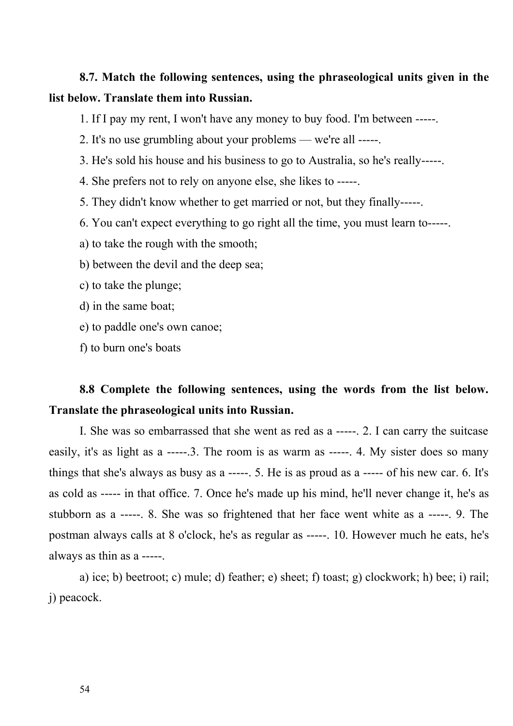### **8.7. Match the following sentences, using the phraseological units given in the list below. Translate them into Russian.**

1. If I pay my rent, I won't have any money to buy food. I'm between -----.

- 2. It's no use grumbling about your problems we're all -----.
- 3. He's sold his house and his business to go to Australia, so he's really-----.
- 4. She prefers not to rely on anyone else, she likes to -----.
- 5. They didn't know whether to get married or not, but they finally-----.
- 6. You can't expect everything to go right all the time, you must learn to-----.
- a) to take the rough with the smooth;
- b) between the devil and the deep sea;
- c) to take the plunge;
- d) in the same boat;
- e) to paddle one's own canoe;
- f) to burn one's boats

### **8.8 Complete the following sentences, using the words from the list below. Translate the phraseological units into Russian.**

I. She was so embarrassed that she went as red as a -----. 2. I can carry the suitcase easily, it's as light as a -----.3. The room is as warm as -----. 4. My sister does so many things that she's always as busy as a -----. 5. He is as proud as a ----- of his new car. 6. It's as cold as ----- in that office. 7. Once he's made up his mind, he'll never change it, he's as stubborn as a -----. 8. She was so frightened that her face went white as a -----. 9. The postman always calls at 8 o'clock, he's as regular as -----. 10. However much he eats, he's always as thin as a -----.

a) ice; b) beetroot; c) mule; d) feather; e) sheet; f) toast; g) clockwork; h) bee; i) rail; j) peacock.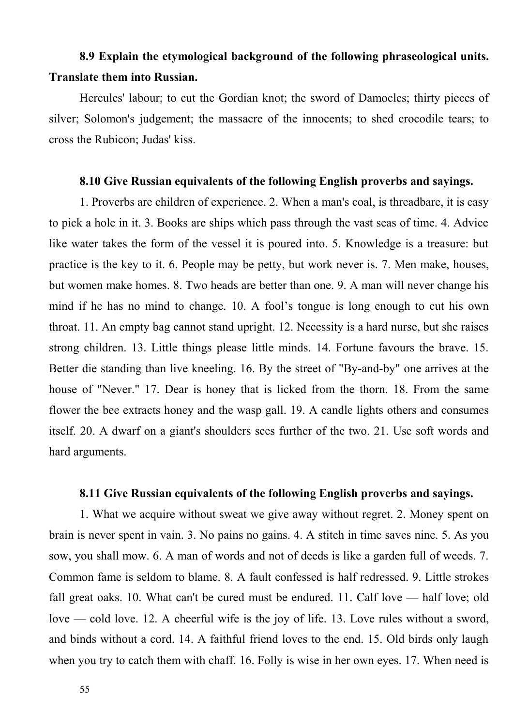### **8.9 Explain the etymological background of the following phraseological units. Translate them into Russian.**

Hercules' labour; to cut the Gordian knot; the sword of Damocles; thirty pieces of silver; Solomon's judgement; the massacre of the innocents; to shed crocodile tears; to cross the Rubicon; Judas' kiss.

#### **8.10 Give Russian equivalents of the following English proverbs and sayings.**

1. Proverbs are children of experience. 2. When a man's coal, is threadbare, it is easy to pick a hole in it. 3. Books are ships which pass through the vast seas of time. 4. Advice like water takes the form of the vessel it is poured into. 5. Knowledge is a treasure: but practice is the key to it. 6. People may be petty, but work never is. 7. Men make, houses, but women make homes. 8. Two heads are better than one. 9. A man will never change his mind if he has no mind to change. 10. A fool's tongue is long enough to cut his own throat. 11. An empty bag cannot stand upright. 12. Necessity is a hard nurse, but she raises strong children. 13. Little things please little minds. 14. Fortune favours the brave. 15. Better die standing than live kneeling. 16. By the street of "By-and-by" one arrives at the house of "Never." 17. Dear is honey that is licked from the thorn. 18. From the same flower the bee extracts honey and the wasp gall. 19. A candle lights others and consumes itself. 20. A dwarf on a giant's shoulders sees further of the two. 21. Use soft words and hard arguments.

#### **8.11 Give Russian equivalents of the following English proverbs and sayings.**

1. What we acquire without sweat we give away without regret. 2. Money spent on brain is never spent in vain. 3. No pains no gains. 4. A stitch in time saves nine. 5. As you sow, you shall mow. 6. A man of words and not of deeds is like a garden full of weeds. 7. Common fame is seldom to blame. 8. A fault confessed is half redressed. 9. Little strokes fall great oaks. 10. What can't be cured must be endured. 11. Calf love — half love; old love — cold love. 12. A cheerful wife is the joy of life. 13. Love rules without a sword, and binds without a cord. 14. A faithful friend loves to the end. 15. Old birds only laugh when you try to catch them with chaff. 16. Folly is wise in her own eyes. 17. When need is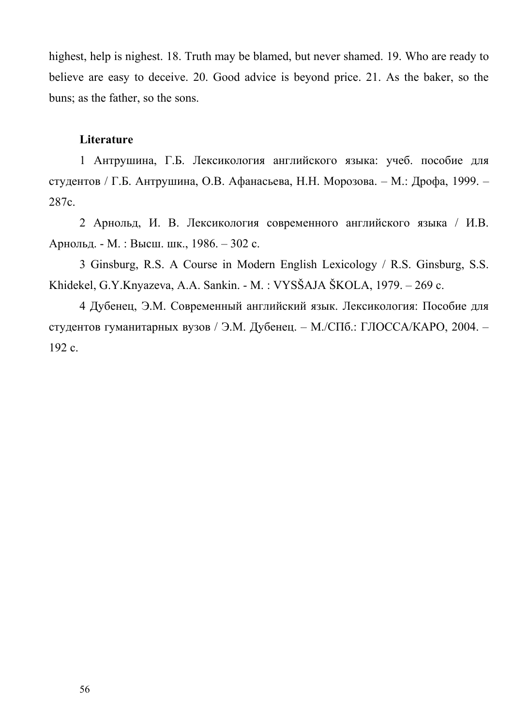highest, help is nighest. 18. Truth may be blamed, but never shamed. 19. Who are ready to believe are easy to deceive. 20. Good advice is beyond price. 21. As the baker, so the buns; as the father, so the sons.

#### **Literature**

1 Антрушина, Г.Б. Лексикология английского языка: учеб. пособие для студентов / Г.Б. Антрушина, О.В. Афанасьева, Н.Н. Морозова. – М.: Дрофа, 1999. – 287с.

2 Арнольд, И. В. Лексикология современного английского языка / И.В. Арнольд. - М. : Высш. шк., 1986. – 302 с.

3 Ginsburg, R.S. A Course in Modern English Lexicology / R.S. Ginsburg, S.S. Khidekel, G.Y.Knyazeva, A.A. Sankin. - M. : VYSŠAJA ŠKOLA, 1979. – 269 с.

4 Дубенец, Э.М. Современный английский язык. Лексикология: Пособие для студентов гуманитарных вузов / Э.М. Дубенец. – М./СПб.: ГЛОССА/КАРО, 2004. – 192 с.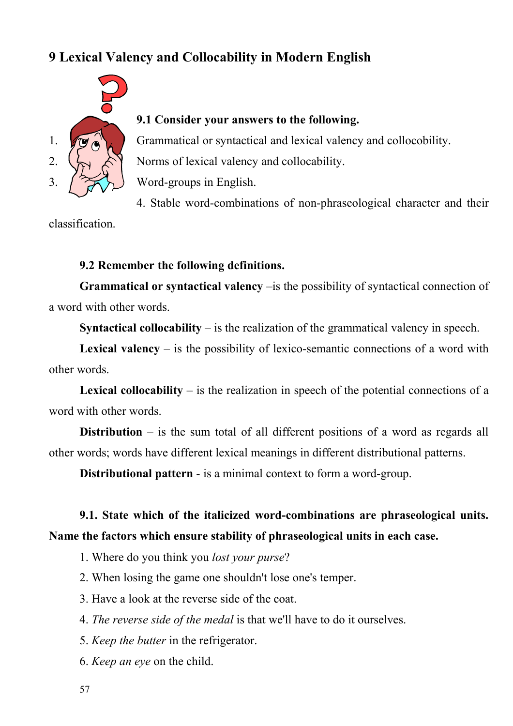# **9 Lexical Valency and Collocability in Modern English**



#### **9.1 Consider your answers to the following.**

1.  $\sqrt{\alpha}$  Grammatical or syntactical and lexical valency and collocobility. 2.  $\left(\begin{matrix} \bullet \\ \bullet \end{matrix}\right)$  Norms of lexical valency and collocability. 3.  $\left(\frac{1}{2}\right)$  Word-groups in English.

4. Stable word-combinations of non-phraseological character and their

classification.

#### **9.2 Remember the following definitions.**

**Grammatical or syntactical valency** –is the possibility of syntactical connection of a word with other words.

**Syntactical collocability** – is the realization of the grammatical valency in speech.

Lexical valency – is the possibility of lexico-semantic connections of a word with other words.

**Lexical collocability** – is the realization in speech of the potential connections of a word with other words.

**Distribution** – is the sum total of all different positions of a word as regards all other words; words have different lexical meanings in different distributional patterns.

**Distributional pattern** - is a minimal context to form a word-group.

# **9.1. State which of the italicized word-combinations are phraseological units. Name the factors which ensure stability of phraseological units in each case.**

- 1. Where do you think you *lost your purse*?
- 2. When losing the game one shouldn't lose one's temper.
- 3. Have a look at the reverse side of the coat.
- 4. *The reverse side of the medal* is that we'll have to do it ourselves.
- 5. *Keep the butter* in the refrigerator.
- 6. *Keep an eye* on the child.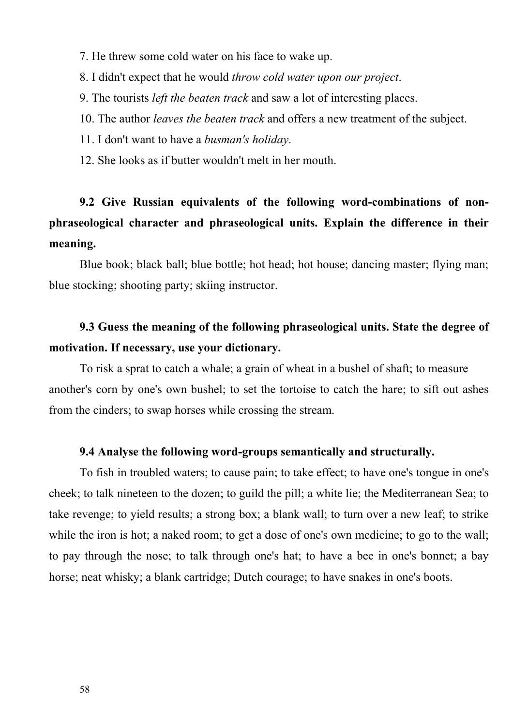- 7. He threw some cold water on his face to wake up.
- 8. I didn't expect that he would *throw cold water upon our project*.
- 9. The tourists *left the beaten track* and saw a lot of interesting places.
- 10. The author *leaves the beaten track* and offers a new treatment of the subject.
- 11. I don't want to have a *busman's holiday*.
- 12. She looks as if butter wouldn't melt in her mouth.

# **9.2 Give Russian equivalents of the following word-combinations of nonphraseological character and phraseological units. Explain the difference in their meaning.**

Blue book; black ball; blue bottle; hot head; hot house; dancing master; flying man; blue stocking; shooting party; skiing instructor.

### **9.3 Guess the meaning of the following phraseological units. State the degree of motivation. If necessary, use your dictionary.**

To risk a sprat to catch a whale; a grain of wheat in a bushel of shaft; to measure another's corn by one's own bushel; to set the tortoise to catch the hare; to sift out ashes from the cinders; to swap horses while crossing the stream.

#### **9.4 Analyse the following word-groups semantically and structurally.**

To fish in troubled waters; to cause pain; to take effect; to have one's tongue in one's cheek; to talk nineteen to the dozen; to guild the pill; a white lie; the Mediterranean Sea; to take revenge; to yield results; a strong box; a blank wall; to turn over a new leaf; to strike while the iron is hot; a naked room; to get a dose of one's own medicine; to go to the wall; to pay through the nose; to talk through one's hat; to have a bee in one's bonnet; a bay horse; neat whisky; a blank cartridge; Dutch courage; to have snakes in one's boots.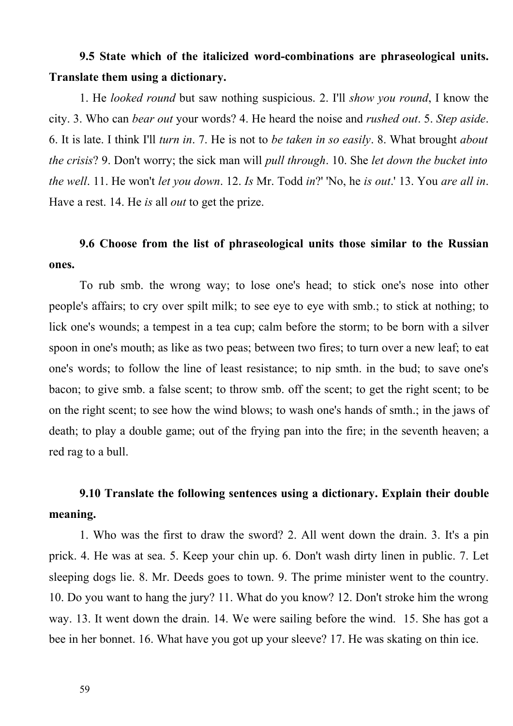### **9.5 State which of the italicized word-combinations are phraseological units. Translate them using a dictionary.**

1. Не *looked round* but saw nothing suspicious. 2. I'll *show you round*, I know the city. 3. Who can *bear out* your words? 4. He heard the noise and *rushed out*. 5. *Step aside*. 6. It is late. I think I'll *turn in*. 7. He is not to *be taken in so easily*. 8. What brought *about the crisis*? 9. Don't worry; the sick man will *pull through*. 10. She *let down the bucket into the well*. 11. He won't *let you down*. 12. *Is* Mr. Todd *in*?' 'No, he *is out*.' 13. You *are all in*. Have a rest. 14. He *is* all *out* to get the prize.

### **9.6 Choose from the list of phraseological units those similar to the Russian ones.**

To rub smb. the wrong way; to lose one's head; to stick one's nose into other people's affairs; to cry over spilt milk; to see eye to eye with smb.; to stick at nothing; to lick one's wounds; a tempest in a tea cup; calm before the storm; to be born with a silver spoon in one's mouth; as like as two peas; between two fires; to turn over a new leaf; to eat one's words; to follow the line of least resistance; to nip smth. in the bud; to save one's bacon; to give smb. a false scent; to throw smb. off the scent; to get the right scent; to be on the right scent; to see how the wind blows; to wash one's hands of smth.; in the jaws of death; to play a double game; out of the frying pan into the fire; in the seventh heaven; a red rag to a bull.

### **9.10 Translate the following sentences using a dictionary. Explain their double meaning.**

1. Who was the first to draw the sword? 2. All went down the drain. 3. It's a pin prick. 4. He was at sea. 5. Keep your chin up. 6. Don't wash dirty linen in public. 7. Let sleeping dogs lie. 8. Mr. Deeds goes to town. 9. The prime minister went to the country. 10. Do you want to hang the jury? 11. What do you know? 12. Don't stroke him the wrong way. 13. It went down the drain. 14. We were sailing before the wind. 15. She has got a bee in her bonnet. 16. What have you got up your sleeve? 17. He was skating on thin ice.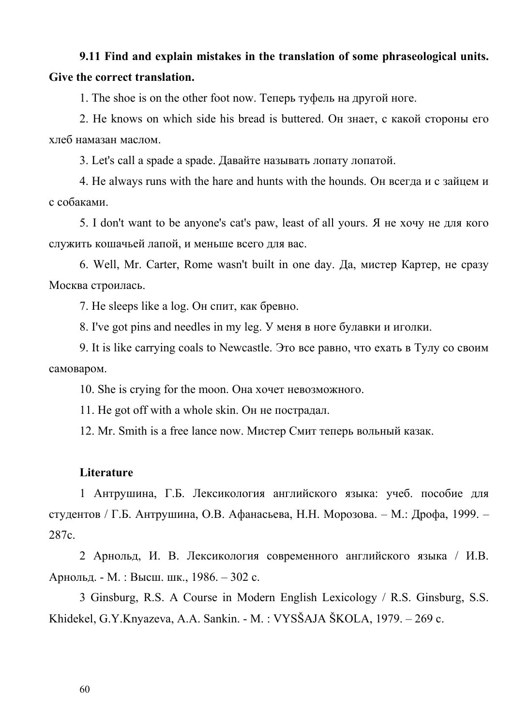### **9.11 Find and explain mistakes in the translation of some phraseological units. Give the correct translation.**

1. The shoe is on the other foot now. Теперь туфель на другой ноге.

2. Hе knows on which side his bread is buttered. Он знает, с какой стороны его хлеб намазан маслом.

3. Let's call a spade a spade. Давайте называть лопату лопатой.

4. Не always runs with the hare and hunts with the hounds. Он всегда и с зайцем и с собаками.

5. I don't want to be anyone's cat's paw, least of all yours. Я не хочу не для кого служить кошачьей лапой, и меньше всего для вас.

6. Well, Mr. Carter, Rome wasn't built in one day. Да, мистер Картер, не сразу Москва строилась.

7. Не sleeps like a log. Он спит, как бревно.

8. I've got pins and needles in my leg. У меня в ноге булавки и иголки.

9. It is like carrying coals to Newcastle. Это все равно, что ехать в Тулу со своим самоваром.

10. She is crying for the moon. Она хочет невозможного.

11. He got off with a whole skin. Он не пострадал.

12. Mr. Smith is a free lance now. Mистеp Смит теперь вольный казак.

#### **Literature**

1 Антрушина, Г.Б. Лексикология английского языка: учеб. пособие для студентов / Г.Б. Антрушина, О.В. Афанасьева, Н.Н. Морозова. – М.: Дрофа, 1999. – 287с.

2 Арнольд, И. В. Лексикология современного английского языка / И.В. Арнольд. - М. : Высш. шк., 1986. – 302 с.

3 Ginsburg, R.S. A Course in Modern English Lexicology / R.S. Ginsburg, S.S. Khidekel, G.Y.Knyazeva, A.A. Sankin. - M. : VYSŠAJA ŠKOLA, 1979. – 269 с.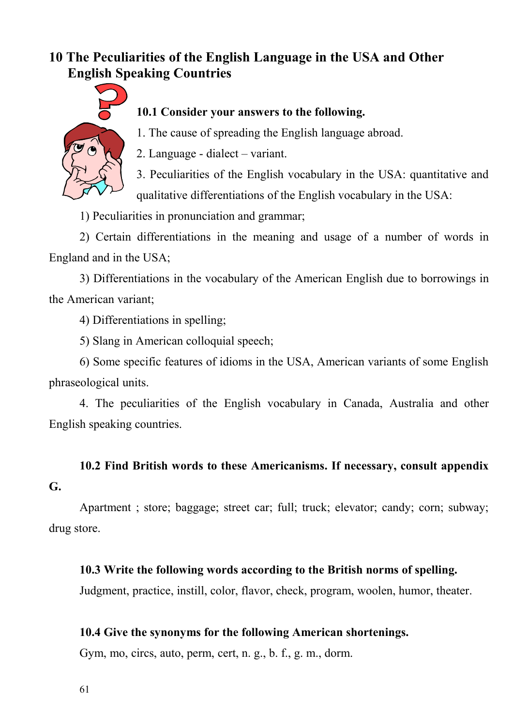### **10 The Peculiarities of the English Language in the USA and Other English Speaking Countries**



#### **10.1 Consider your answers to the following.**

1. The cause of spreading the English language abroad.

2. Language - dialect – variant.

3. Peculiarities of the English vocabulary in the USA: quantitative and qualitative differentiations of the English vocabulary in the USA:

1) Peculiarities in pronunciation and grammar;

2) Certain differentiations in the meaning and usage of a number of words in England and in the USA;

3) Differentiations in the vocabulary of the American English due to borrowings in the American variant;

4) Differentiations in spelling;

5) Slang in American colloquial speech;

6) Some specific features of idioms in the USA, American variants of some English phraseological units.

4. The peculiarities of the English vocabulary in Canada, Australia and other English speaking countries.

### **10.2 Find British words to these Americanisms. If necessary, consult appendix G.**

Apartment ; store; baggage; street car; full; truck; elevator; candy; corn; subway; drug store.

#### **10.3 Write the following words according to the British norms of spelling.**

Judgment, practice, instill, color, flavor, check, program, woolen, humor, theater.

#### **10.4 Give the synonyms for the following American shortenings.**

Gym, mo, circs, auto, perm, cert, n. g., b. f., g. m., dorm.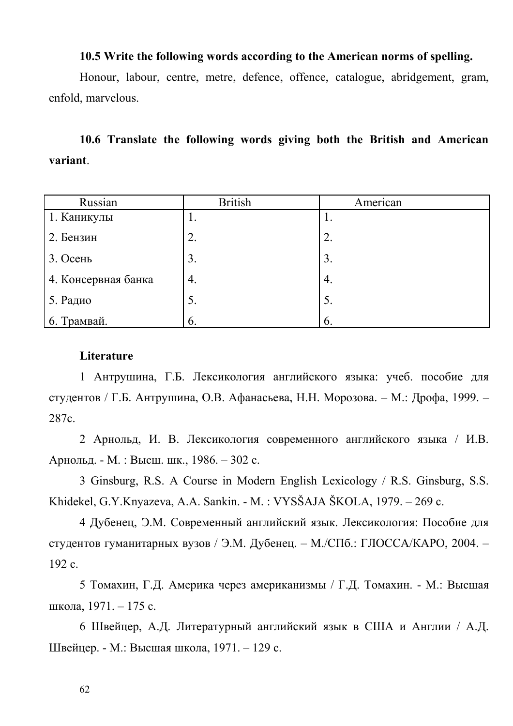#### **10.5 Write the following words according to the American norms of spelling.**

Honour, labour, centre, metre, defence, offence, catalogue, abridgement, gram, enfold, marvelous.

**10.6 Translate the following words giving both the British and American variant**.

| Russian             | <b>British</b> | American |
|---------------------|----------------|----------|
| 1. Каникулы         |                | 1.       |
| $ 2.$ Бензин        | 2.             | 2.       |
| $3.$ Осень          | 3.             | 3.       |
| 4. Консервная банка | 4.             | 4.       |
| 5. Радио            | 5.             | 5.       |
| 6. Трамвай.         | 6.             | 6.       |

#### **Literature**

1 Антрушина, Г.Б. Лексикология английского языка: учеб. пособие для студентов / Г.Б. Антрушина, О.В. Афанасьева, Н.Н. Морозова. – М.: Дрофа, 1999. – 287с.

2 Арнольд, И. В. Лексикология современного английского языка / И.В. Арнольд. - М. : Высш. шк., 1986. – 302 с.

3 Ginsburg, R.S. A Course in Modern English Lexicology / R.S. Ginsburg, S.S. Khidekel, G.Y.Knyazeva, A.A. Sankin. - M. : VYSŠAJA ŠKOLA, 1979. – 269 с.

4 Дубенец, Э.М. Современный английский язык. Лексикология: Пособие для студентов гуманитарных вузов / Э.М. Дубенец. – М./СПб.: ГЛОССА/КАРО, 2004. – 192 с.

5 Томахин, Г.Д. Америка через американизмы / Г.Д. Томахин. - М.: Высшая школа, 1971. – 175 с.

6 Швейцер, А.Д. Литературный английский язык в США и Англии / А.Д. Швейцер. - М.: Высшая школа, 1971. – 129 с.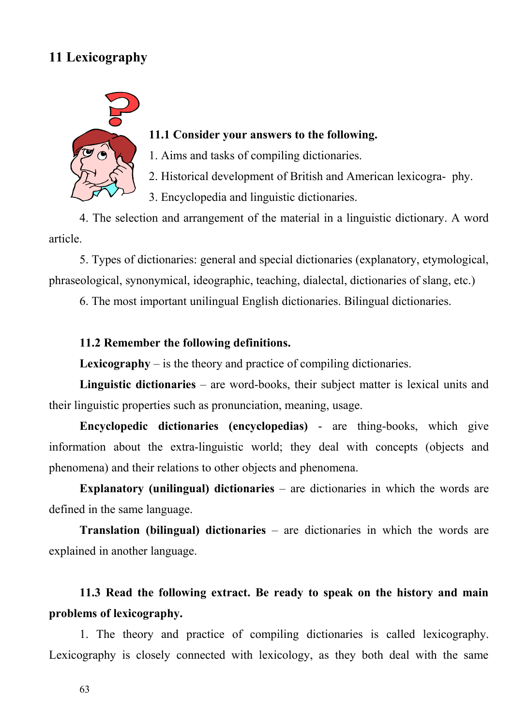### **11 Lexicography**



#### **11.1 Consider your answers to the following.**

1. Aims and tasks of compiling dictionaries.

- 2. Historical development of British and American lexicogra- phy.
- 3. Encyclopedia and linguistic dictionaries.

4. The selection and arrangement of the material in a linguistic dictionary. A word article.

5. Types of dictionaries: general and special dictionaries (explanatory, etymological, phraseological, synonymical, ideographic, teaching, dialectal, dictionaries of slang, etc.)

6. The most important unilingual English dictionaries. Bilingual dictionaries.

#### **11.2 Remember the following definitions.**

**Lexicography** – is the theory and practice of compiling dictionaries.

**Linguistic dictionaries** – are word-books, their subject matter is lexical units and their linguistic properties such as pronunciation, meaning, usage.

**Encyclopedic dictionaries (encyclopedias)** - are thing-books, which give information about the extra-linguistic world; they deal with concepts (objects and phenomena) and their relations to other objects and phenomena.

**Explanatory (unilingual) dictionaries** – are dictionaries in which the words are defined in the same language.

**Translation (bilingual) dictionaries** – are dictionaries in which the words are explained in another language.

### **11.3 Read the following extract. Be ready to speak on the history and main problems of lexicography.**

1. The theory and practice of compiling dictionaries is called lexicography. Lexicography is closely connected with lexicology, as they both deal with the same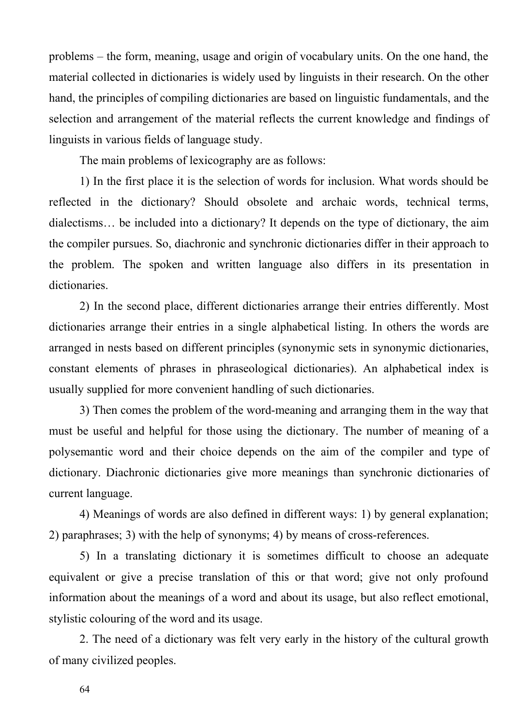problems – the form, meaning, usage and origin of vocabulary units. On the one hand, the material collected in dictionaries is widely used by linguists in their research. On the other hand, the principles of compiling dictionaries are based on linguistic fundamentals, and the selection and arrangement of the material reflects the current knowledge and findings of linguists in various fields of language study.

The main problems of lexicography are as follows:

1) In the first place it is the selection of words for inclusion. What words should be reflected in the dictionary? Should obsolete and archaic words, technical terms, dialectisms… be included into a dictionary? It depends on the type of dictionary, the aim the compiler pursues. So, diachronic and synchronic dictionaries differ in their approach to the problem. The spoken and written language also differs in its presentation in dictionaries.

2) In the second place, different dictionaries arrange their entries differently. Most dictionaries arrange their entries in a single alphabetical listing. In others the words are arranged in nests based on different principles (synonymic sets in synonymic dictionaries, constant elements of phrases in phraseological dictionaries). An alphabetical index is usually supplied for more convenient handling of such dictionaries.

3) Then comes the problem of the word-meaning and arranging them in the way that must be useful and helpful for those using the dictionary. The number of meaning of a polysemantic word and their choice depends on the aim of the compiler and type of dictionary. Diachronic dictionaries give more meanings than synchronic dictionaries of current language.

4) Meanings of words are also defined in different ways: 1) by general explanation; 2) paraphrases; 3) with the help of synonyms; 4) by means of cross-references.

5) In a translating dictionary it is sometimes difficult to choose an adequate equivalent or give a precise translation of this or that word; give not only profound information about the meanings of a word and about its usage, but also reflect emotional, stylistic colouring of the word and its usage.

2. The need of a dictionary was felt very early in the history of the cultural growth of many civilized peoples.

64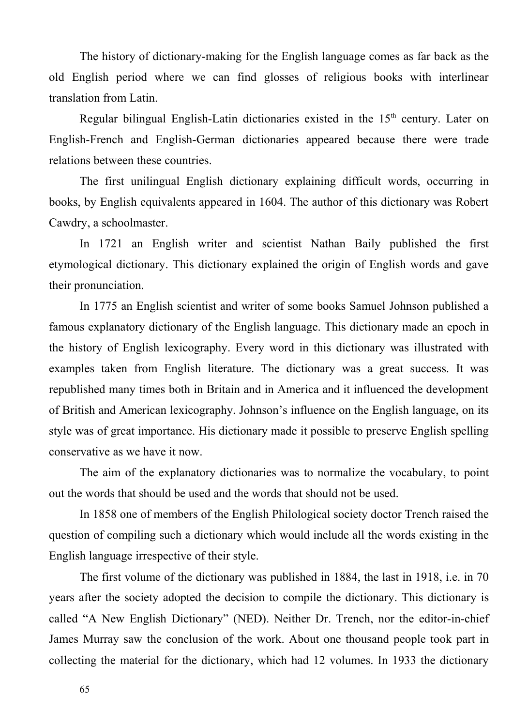The history of dictionary-making for the English language comes as far back as the old English period where we can find glosses of religious books with interlinear translation from Latin.

Regular bilingual English-Latin dictionaries existed in the 15<sup>th</sup> century. Later on English-French and English-German dictionaries appeared because there were trade relations between these countries.

The first unilingual English dictionary explaining difficult words, occurring in books, by English equivalents appeared in 1604. The author of this dictionary was Robert Cawdry, a schoolmaster.

In 1721 an English writer and scientist Nathan Baily published the first etymological dictionary. This dictionary explained the origin of English words and gave their pronunciation.

In 1775 an English scientist and writer of some books Samuel Johnson published a famous explanatory dictionary of the English language. This dictionary made an epoch in the history of English lexicography. Every word in this dictionary was illustrated with examples taken from English literature. The dictionary was a great success. It was republished many times both in Britain and in America and it influenced the development of British and American lexicography. Johnson's influence on the English language, on its style was of great importance. His dictionary made it possible to preserve English spelling conservative as we have it now.

The aim of the explanatory dictionaries was to normalize the vocabulary, to point out the words that should be used and the words that should not be used.

In 1858 one of members of the English Philological society doctor Trench raised the question of compiling such a dictionary which would include all the words existing in the English language irrespective of their style.

The first volume of the dictionary was published in 1884, the last in 1918, i.e. in 70 years after the society adopted the decision to compile the dictionary. This dictionary is called "A New English Dictionary" (NED). Neither Dr. Trench, nor the editor-in-chief James Murray saw the conclusion of the work. About one thousand people took part in collecting the material for the dictionary, which had 12 volumes. In 1933 the dictionary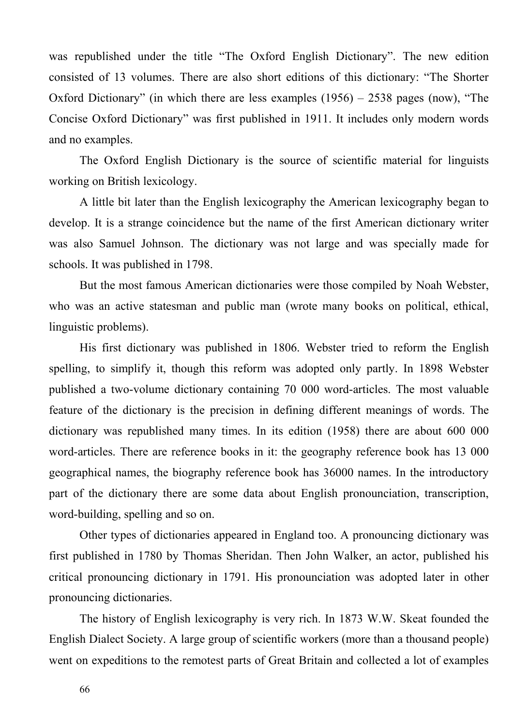was republished under the title "The Oxford English Dictionary". The new edition consisted of 13 volumes. There are also short editions of this dictionary: "The Shorter Oxford Dictionary" (in which there are less examples (1956) – 2538 pages (now), "The Concise Oxford Dictionary" was first published in 1911. It includes only modern words and no examples.

The Oxford English Dictionary is the source of scientific material for linguists working on British lexicology.

A little bit later than the English lexicography the American lexicography began to develop. It is a strange coincidence but the name of the first American dictionary writer was also Samuel Johnson. The dictionary was not large and was specially made for schools. It was published in 1798.

But the most famous American dictionaries were those compiled by Noah Webster, who was an active statesman and public man (wrote many books on political, ethical, linguistic problems).

His first dictionary was published in 1806. Webster tried to reform the English spelling, to simplify it, though this reform was adopted only partly. In 1898 Webster published a two-volume dictionary containing 70 000 word-articles. The most valuable feature of the dictionary is the precision in defining different meanings of words. The dictionary was republished many times. In its edition (1958) there are about 600 000 word-articles. There are reference books in it: the geography reference book has 13 000 geographical names, the biography reference book has 36000 names. In the introductory part of the dictionary there are some data about English pronounciation, transcription, word-building, spelling and so on.

Other types of dictionaries appeared in England too. A pronouncing dictionary was first published in 1780 by Thomas Sheridan. Then John Walker, an actor, published his critical pronouncing dictionary in 1791. His pronounciation was adopted later in other pronouncing dictionaries.

The history of English lexicography is very rich. In 1873 W.W. Skeat founded the English Dialect Society. A large group of scientific workers (more than a thousand people) went on expeditions to the remotest parts of Great Britain and collected a lot of examples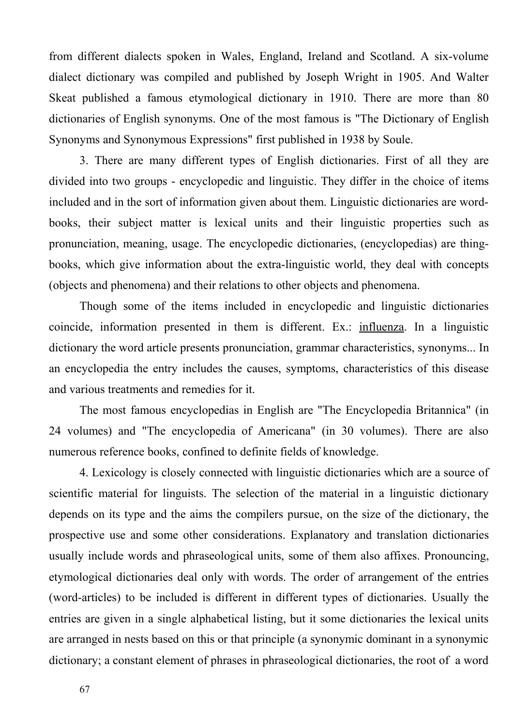from different dialects spoken in Wales, England, Ireland and Scotland. A six-volume dialect dictionary was compiled and published by Joseph Wright in 1905. And Walter Skeat published a famous etymological dictionary in 1910. There are more than 80 dictionaries of English synonyms. One of the most famous is "The Dictionary of English Synonyms and Synonymous Expressions" first published in 1938 by Soule.

3. There are many different types of English dictionaries. First of all they are divided into two groups - encyclopedic and linguistic. They differ in the choice of items included and in the sort of information given about them. Linguistic dictionaries are wordbooks, their subject matter is lexical units and their linguistic properties such as pronunciation, meaning, usage. The encyclopedic dictionaries, (encyclopedias) are thingbooks, which give information about the extra-linguistic world, they deal with concepts (objects and phenomena) and their relations to other objects and phenomena.

Though some of the items included in encyclopedic and linguistic dictionaries coincide, information presented in them is different. Ex.: influenza. In a linguistic dictionary the word article presents pronunciation, grammar characteristics, synonyms... In an encyclopedia the entry includes the causes, symptoms, characteristics of this disease and various treatments and remedies for it.

The most famous encyclopedias in English are "The Encyclopedia Britannica" (in 24 volumes) and "The encyclopedia of Americana" (in 30 volumes). There are also numerous reference books, confined to definite fields of knowledge.

4. Lexicology is closely connected with linguistic dictionaries which are a source of scientific material for linguists. The selection of the material in a linguistic dictionary depends on its type and the aims the compilers pursue, on the size of the dictionary, the prospective use and some other considerations. Explanatory and translation dictionaries usually include words and phraseological units, some of them also affixes. Pronouncing, etymological dictionaries deal only with words. The order of arrangement of the entries (word-articles) to be included is different in different types of dictionaries. Usually the entries are given in a single alphabetical listing, but it some dictionaries the lexical units are arranged in nests based on this or that principle (a synonymic dominant in a synonymic dictionary; a constant element of phrases in phraseological dictionaries, the root of a word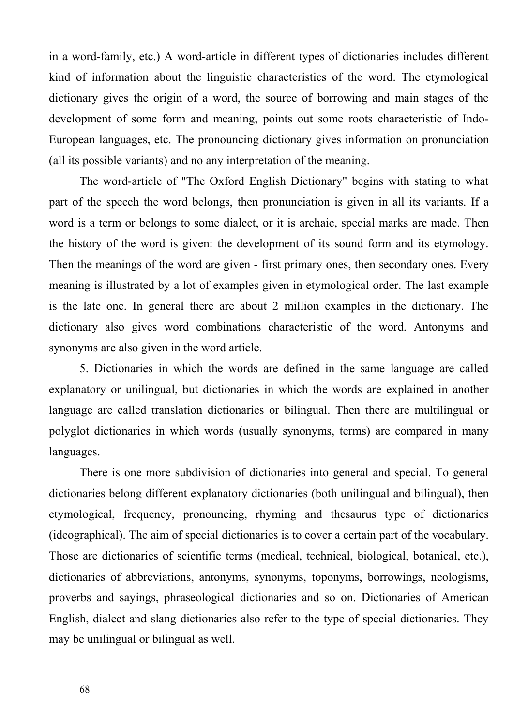in a word-family, etc.) A word-article in different types of dictionaries includes different kind of information about the linguistic characteristics of the word. The etymological dictionary gives the origin of a word, the source of borrowing and main stages of the development of some form and meaning, points out some roots characteristic of Indo-European languages, etc. The pronouncing dictionary gives information on pronunciation (all its possible variants) and no any interpretation of the meaning.

The word-article of "The Oxford English Dictionary" begins with stating to what part of the speech the word belongs, then pronunciation is given in all its variants. If a word is a term or belongs to some dialect, or it is archaic, special marks are made. Then the history of the word is given: the development of its sound form and its etymology. Then the meanings of the word are given - first primary ones, then secondary ones. Every meaning is illustrated by a lot of examples given in etymological order. The last example is the late one. In general there are about 2 million examples in the dictionary. The dictionary also gives word combinations characteristic of the word. Antonyms and synonyms are also given in the word article.

5. Dictionaries in which the words are defined in the same language are called explanatory or unilingual, but dictionaries in which the words are explained in another language are called translation dictionaries or bilingual. Then there are multilingual or polyglot dictionaries in which words (usually synonyms, terms) are compared in many languages.

There is one more subdivision of dictionaries into general and special. To general dictionaries belong different explanatory dictionaries (both unilingual and bilingual), then etymological, frequency, pronouncing, rhyming and thesaurus type of dictionaries (ideographical). The aim of special dictionaries is to cover a certain part of the vocabulary. Those are dictionaries of scientific terms (medical, technical, biological, botanical, etc.), dictionaries of abbreviations, antonyms, synonyms, toponyms, borrowings, neologisms, proverbs and sayings, phraseological dictionaries and so on. Dictionaries of American English, dialect and slang dictionaries also refer to the type of special dictionaries. They may be unilingual or bilingual as well.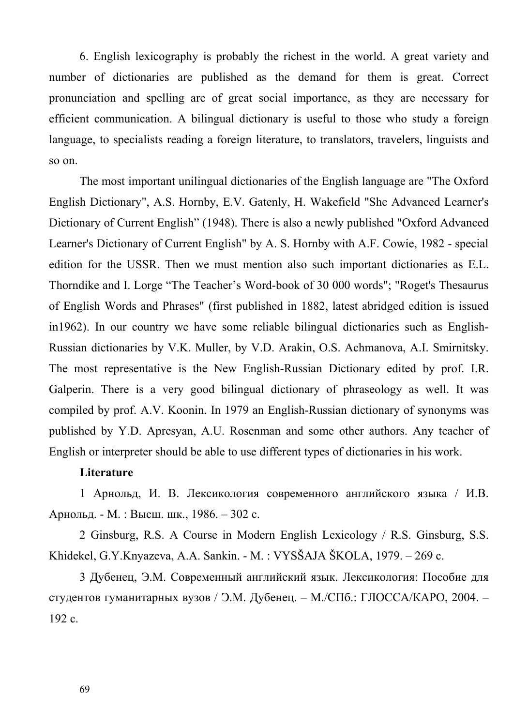6. English lexicography is probably the richest in the world. A great variety and number of dictionaries are published as the demand for them is great. Correct pronunciation and spelling are of great social importance, as they are necessary for efficient communication. A bilingual dictionary is useful to those who study a foreign language, to specialists reading a foreign literature, to translators, travelers, linguists and so on.

The most important unilingual dictionaries of the English language are "The Oxford English Dictionary", A.S. Hornby, E.V. Gatenly, H. Wakefield "She Advanced Learner's Dictionary of Current English" (1948). There is also a newly published "Oxford Advanced Learner's Dictionary of Current English" by A. S. Hornby with A.F. Cowie, 1982 - special edition for the USSR. Then we must mention also such important dictionaries as E.L. Thorndike and I. Lorge "The Teacher's Word-book of 30 000 words"; "Roget's Thesaurus of English Words and Phrases" (first published in 1882, latest abridged edition is issued in1962). In our country we have some reliable bilingual dictionaries such as English-Russian dictionaries by V.K. Muller, by V.D. Arakin, O.S. Achmanova, A.I. Smirnitsky. The most representative is the New English-Russian Dictionary edited by prof. I.R. Galperin. There is a very good bilingual dictionary of phraseology as well. It was compiled by prof. A.V. Koonin. In 1979 an English-Russian dictionary of synonyms was published by Y.D. Apresyan, A.U. Rosenman and some other authors. Any teacher of English or interpreter should be able to use different types of dictionaries in his work.

#### **Literature**

1 Арнольд, И. В. Лексикология современного английского языка / И.В. Арнольд. - М. : Высш. шк., 1986. – 302 с.

2 Ginsburg, R.S. A Course in Modern English Lexicology / R.S. Ginsburg, S.S. Khidekel, G.Y.Knyazeva, A.A. Sankin. - M. : VYSŠAJA ŠKOLA, 1979. – 269 с.

3 Дубенец, Э.М. Современный английский язык. Лексикология: Пособие для студентов гуманитарных вузов / Э.М. Дубенец. – М./СПб.: ГЛОССА/КАРО, 2004. – 192 с.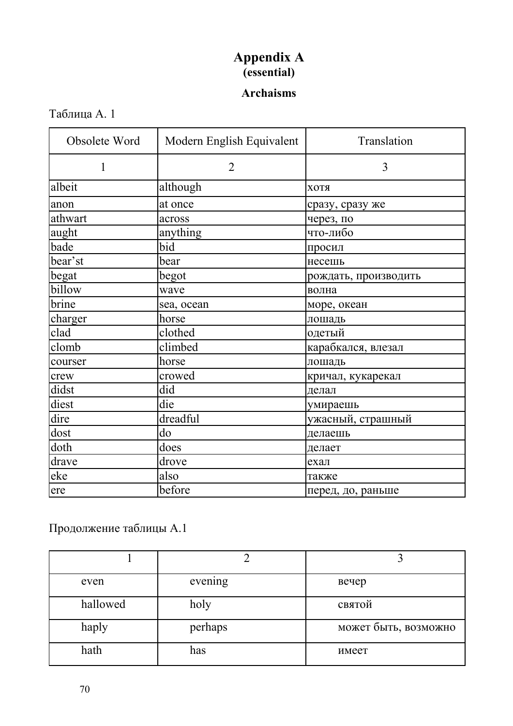#### **Appendix А (essential)**

### **Archaisms**

Таблица A. 1

| Obsolete Word | Modern English Equivalent | Translation          |
|---------------|---------------------------|----------------------|
| 1             | $\overline{2}$            | 3                    |
| albeit        | although                  | хотя                 |
| anon          | at once                   | сразу, сразу же      |
| athwart       | across                    | через, по            |
| aught         | anything                  | что-либо             |
| bade          | bid                       | просил               |
| bear'st       | bear                      | несешь               |
| begat         | begot                     | рождать, производить |
| billow        | wave                      | волна                |
| brine         | sea, ocean                | море, океан          |
| charger       | horse                     | лошадь               |
| clad          | clothed                   | одетый               |
| clomb         | climbed                   | карабкался, влезал   |
| courser       | horse                     | лошадь               |
| crew          | crowed                    | кричал, кукарекал    |
| didst         | did                       | делал                |
| diest         | die                       | умираешь             |
| dire          | dreadful                  | ужасный, страшный    |
| dost          | do                        | делаешь              |
| doth          | does                      | делает               |
| drave         | drove                     | ехал                 |
| eke           | also                      | также                |
| ere           | before                    | перед, до, раньше    |

# Продолжение таблицы А.1

| even     | evening | вечер                |
|----------|---------|----------------------|
| hallowed | holy    | святой               |
| haply    | perhaps | может быть, возможно |
| hath     | has     | имеет                |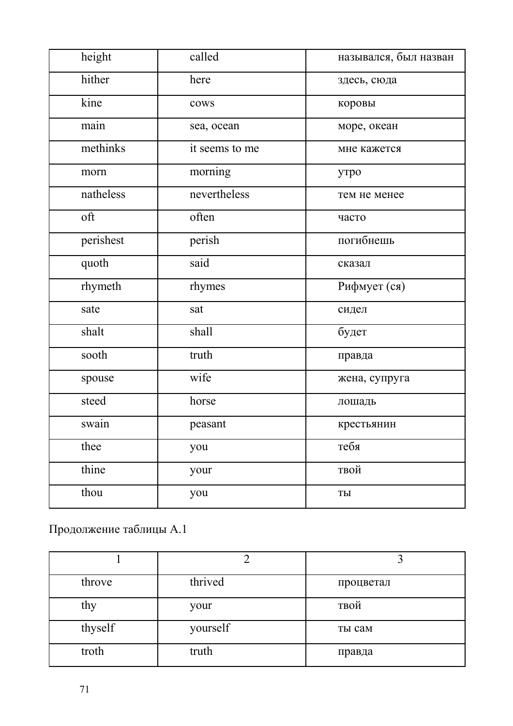| height    | called         | назывался, был назван |
|-----------|----------------|-----------------------|
| hither    | here           | здесь, сюда           |
| kine      | cows           | коровы                |
| main      | sea, ocean     | море, океан           |
| methinks  | it seems to me | мне кажется           |
| morn      | morning        | утро                  |
| natheless | nevertheless   | тем не менее          |
| oft       | often          | часто                 |
| perishest | perish         | погибнешь             |
| quoth     | said           | сказал                |
| rhymeth   | rhymes         | Рифмует (ся)          |
| sate      | sat            | сидел                 |
| shalt     | shall          | будет                 |
| sooth     | truth          | правда                |
| spouse    | wife           | жена, супруга         |
| steed     | horse          | лошадь                |
| swain     | peasant        | крестьянин            |
| thee      | you            | тебя                  |
| thine     | your           | твой                  |
| thou      | you            | TЫ                    |

Продолжение таблицы А.1

| throve  | thrived  | процветал |
|---------|----------|-----------|
| thy     | your     | твой      |
| thyself | yourself | ты сам    |
| troth   | truth    | правда    |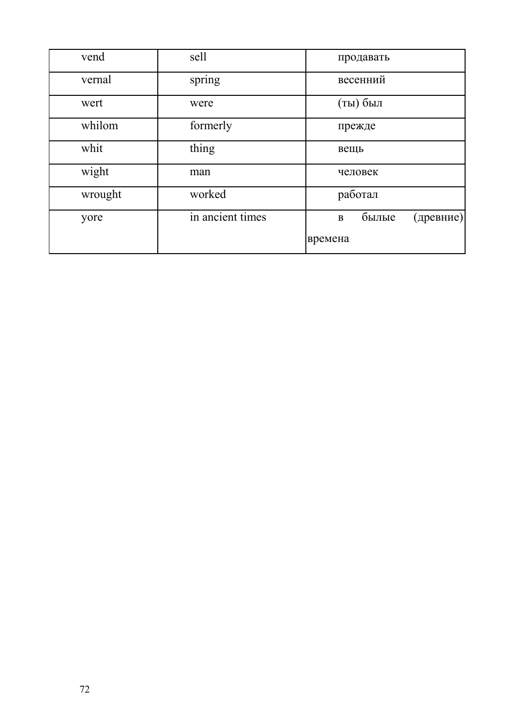| vend    | sell             | продавать                          |
|---------|------------------|------------------------------------|
| vernal  | spring           | весенний                           |
| wert    | were             | (ты) был                           |
| whilom  | formerly         | прежде                             |
| whit    | thing            | вещь                               |
| wight   | man              | человек                            |
| wrought | worked           | работал                            |
| yore    | in ancient times | былые<br>(древние)<br>$\, {\bf B}$ |
|         |                  | времена                            |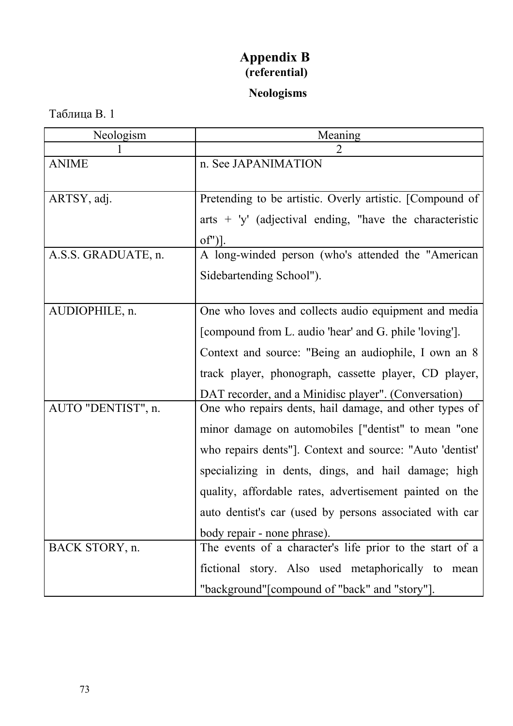#### **Appendix B (referential)**

## **Neologisms**

Таблица В. 1

| Neologism           | Meaning                                                   |
|---------------------|-----------------------------------------------------------|
|                     | 2                                                         |
| <b>ANIME</b>        | n. See JAPANIMATION                                       |
|                     |                                                           |
| ARTSY, adj.         | Pretending to be artistic. Overly artistic. [Compound of  |
|                     | arts $+$ 'y' (adjectival ending, "have the characteristic |
|                     | $of")$ ].                                                 |
| A.S.S. GRADUATE, n. | A long-winded person (who's attended the "American        |
|                     | Sidebartending School").                                  |
|                     |                                                           |
| AUDIOPHILE, n.      | One who loves and collects audio equipment and media      |
|                     | [compound from L. audio 'hear' and G. phile 'loving'].    |
|                     | Context and source: "Being an audiophile, I own an 8      |
|                     | track player, phonograph, cassette player, CD player,     |
|                     | DAT recorder, and a Minidisc player". (Conversation)      |
| AUTO "DENTIST", n.  | One who repairs dents, hail damage, and other types of    |
|                     | minor damage on automobiles ["dentist" to mean "one       |
|                     | who repairs dents"]. Context and source: "Auto 'dentist'  |
|                     | specializing in dents, dings, and hail damage; high       |
|                     | quality, affordable rates, advertisement painted on the   |
|                     | auto dentist's car (used by persons associated with car)  |
|                     | body repair - none phrase).                               |
| BACK STORY, n.      | The events of a character's life prior to the start of a  |
|                     | fictional story. Also used metaphorically to mean         |
|                     | "background"[compound of "back" and "story"].             |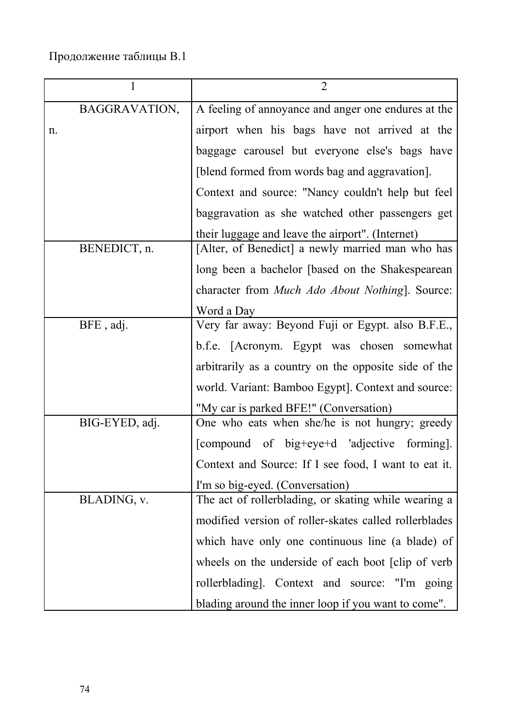|                | $\overline{2}$                                                                                       |
|----------------|------------------------------------------------------------------------------------------------------|
| BAGGRAVATION,  | A feeling of annoyance and anger one endures at the                                                  |
| n.             | airport when his bags have not arrived at the                                                        |
|                | baggage carousel but everyone else's bags have                                                       |
|                | [blend formed from words bag and aggravation].                                                       |
|                | Context and source: "Nancy couldn't help but feel                                                    |
|                | baggravation as she watched other passengers get                                                     |
| BENEDICT, n.   | their luggage and leave the airport". (Internet)<br>[Alter, of Benedict] a newly married man who has |
|                | long been a bachelor [based on the Shakespearean                                                     |
|                | character from <i>Much Ado About Nothing</i> ]. Source:                                              |
|                | Word a Day                                                                                           |
| BFE, adj.      | Very far away: Beyond Fuji or Egypt. also B.F.E.,                                                    |
|                | b.f.e. [Acronym. Egypt was chosen somewhat                                                           |
|                | arbitrarily as a country on the opposite side of the                                                 |
|                | world. Variant: Bamboo Egypt]. Context and source:                                                   |
|                | "My car is parked BFE!" (Conversation)                                                               |
| BIG-EYED, adj. | One who eats when she/he is not hungry; greedy                                                       |
|                | [compound of big+eye+d 'adjective<br>forming.                                                        |
|                | Context and Source: If I see food, I want to eat it.                                                 |
|                | I'm so big-eyed. (Conversation)                                                                      |
| BLADING, v.    | The act of rollerblading, or skating while wearing a                                                 |
|                | modified version of roller-skates called rollerblades                                                |
|                | which have only one continuous line (a blade) of                                                     |
|                | wheels on the underside of each boot [clip of verb                                                   |
|                | rollerblading]. Context and source: "I'm going                                                       |
|                | blading around the inner loop if you want to come".                                                  |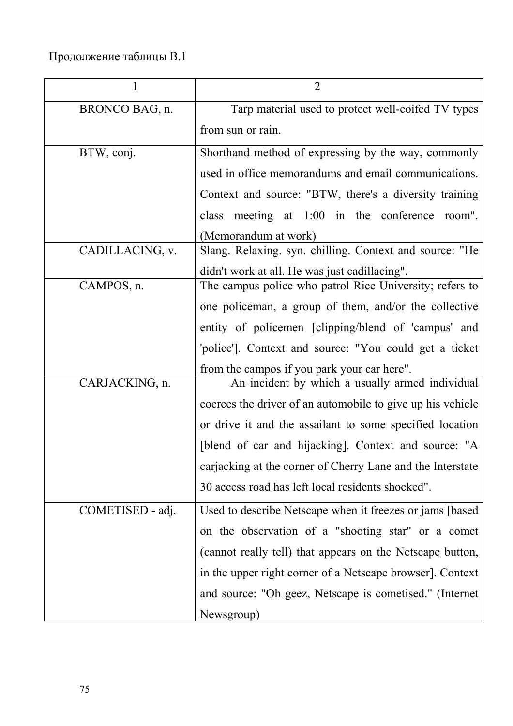|                  | $\overline{2}$                                             |
|------------------|------------------------------------------------------------|
| BRONCO BAG, n.   | Tarp material used to protect well-coifed TV types         |
|                  | from sun or rain.                                          |
| BTW, conj.       | Shorthand method of expressing by the way, commonly        |
|                  | used in office memorandums and email communications.       |
|                  | Context and source: "BTW, there's a diversity training     |
|                  | meeting at $1:00$ in the conference<br>class<br>room".     |
|                  | (Memorandum at work)                                       |
| CADILLACING, v.  | Slang. Relaxing. syn. chilling. Context and source: "He    |
|                  | didn't work at all. He was just cadillacing".              |
| CAMPOS, n.       | The campus police who patrol Rice University; refers to    |
|                  | one policeman, a group of them, and/or the collective      |
|                  | entity of policemen [clipping/blend of 'campus' and        |
|                  | 'police']. Context and source: "You could get a ticket     |
|                  | from the campos if you park your car here".                |
| CARJACKING, n.   | An incident by which a usually armed individual            |
|                  | coerces the driver of an automobile to give up his vehicle |
|                  | or drive it and the assailant to some specified location   |
|                  | [blend of car and hijacking]. Context and source: "A       |
|                  | carjacking at the corner of Cherry Lane and the Interstate |
|                  | 30 access road has left local residents shocked".          |
| COMETISED - adj. | Used to describe Netscape when it freezes or jams [based]  |
|                  | on the observation of a "shooting star" or a comet         |
|                  | (cannot really tell) that appears on the Netscape button,  |
|                  | in the upper right corner of a Netscape browser. Context   |
|                  | and source: "Oh geez, Netscape is cometised." (Internet    |
|                  | Newsgroup)                                                 |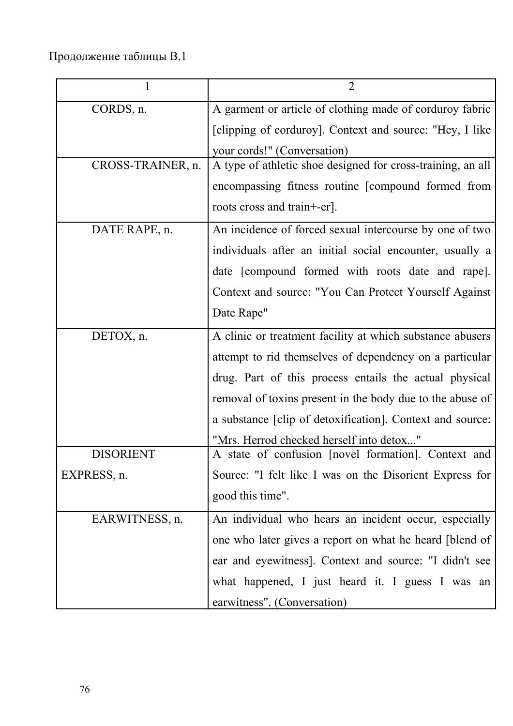|                   | $\overline{2}$                                              |
|-------------------|-------------------------------------------------------------|
| CORDS, n.         | A garment or article of clothing made of corduroy fabric    |
|                   | [clipping of corduroy]. Context and source: "Hey, I like    |
|                   | your cords!" (Conversation)                                 |
| CROSS-TRAINER, n. | A type of athletic shoe designed for cross-training, an all |
|                   | encompassing fitness routine [compound formed from          |
|                   | roots cross and train+-er].                                 |
| DATE RAPE, n.     | An incidence of forced sexual intercourse by one of two     |
|                   | individuals after an initial social encounter, usually a    |
|                   | date [compound formed with roots date and rape].            |
|                   | Context and source: "You Can Protect Yourself Against       |
|                   | Date Rape"                                                  |
| $DETOX$ , n.      | A clinic or treatment facility at which substance abusers   |
|                   | attempt to rid themselves of dependency on a particular     |
|                   | drug. Part of this process entails the actual physical      |
|                   | removal of toxins present in the body due to the abuse of   |
|                   | a substance [clip of detoxification]. Context and source:   |
|                   | "Mrs. Herrod checked herself into detox"                    |
| <b>DISORIENT</b>  | A state of confusion [novel formation]. Context and         |
| EXPRESS, n.       | Source: "I felt like I was on the Disorient Express for     |
|                   | good this time".                                            |
| EARWITNESS, n.    | An individual who hears an incident occur, especially       |
|                   | one who later gives a report on what he heard [blend of     |
|                   | ear and eyewitness]. Context and source: "I didn't see      |
|                   | what happened, I just heard it. I guess I was an            |
|                   | earwitness". (Conversation)                                 |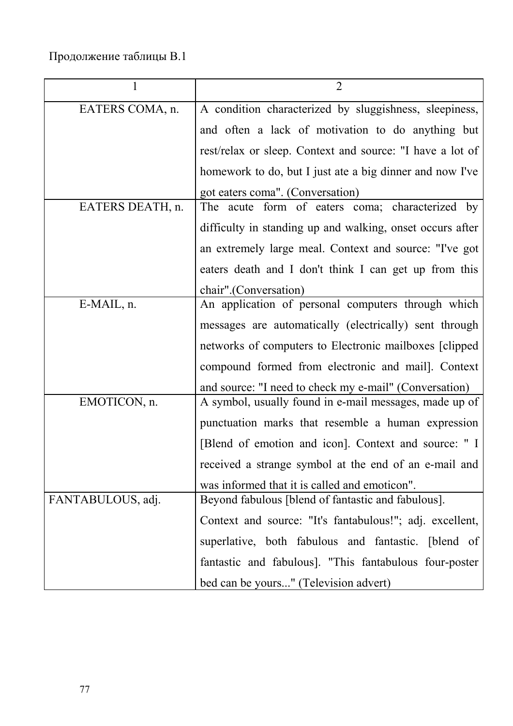|                   | $\overline{2}$                                            |
|-------------------|-----------------------------------------------------------|
| EATERS COMA, n.   | A condition characterized by sluggishness, sleepiness,    |
|                   | and often a lack of motivation to do anything but         |
|                   | rest/relax or sleep. Context and source: "I have a lot of |
|                   | homework to do, but I just ate a big dinner and now I've  |
|                   | got eaters coma". (Conversation)                          |
| EATERS DEATH, n.  | The acute form of eaters coma; characterized by           |
|                   | difficulty in standing up and walking, onset occurs after |
|                   | an extremely large meal. Context and source: "I've got    |
|                   | eaters death and I don't think I can get up from this     |
|                   | chair".(Conversation)                                     |
| E-MAIL, n.        | An application of personal computers through which        |
|                   | messages are automatically (electrically) sent through    |
|                   | networks of computers to Electronic mailboxes [clipped    |
|                   | compound formed from electronic and mail]. Context        |
|                   | and source: "I need to check my e-mail" (Conversation)    |
| EMOTICON, n.      | A symbol, usually found in e-mail messages, made up of    |
|                   | punctuation marks that resemble a human expression        |
|                   | [Blend of emotion and icon]. Context and source: " I      |
|                   | received a strange symbol at the end of an e-mail and     |
|                   | was informed that it is called and emoticon".             |
| FANTABULOUS, adj. | Beyond fabulous [blend of fantastic and fabulous].        |
|                   | Context and source: "It's fantabulous!"; adj. excellent,  |
|                   | superlative, both fabulous and fantastic. [blend of       |
|                   | fantastic and fabulous]. "This fantabulous four-poster    |
|                   | bed can be yours" (Television advert)                     |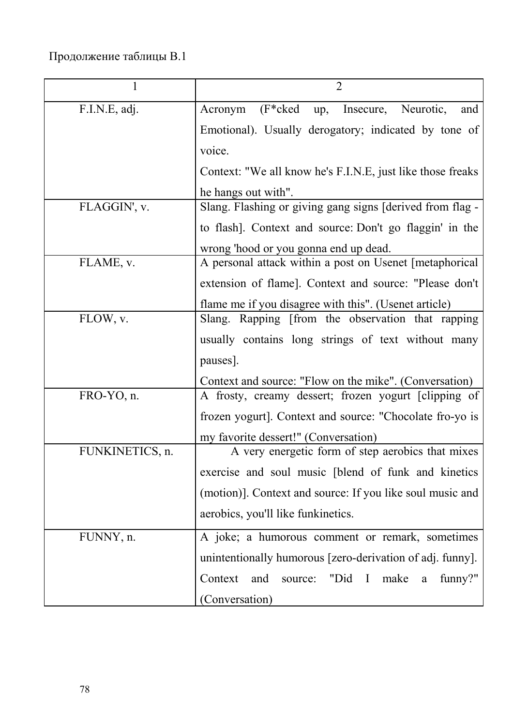|                 | $\overline{2}$                                                            |
|-----------------|---------------------------------------------------------------------------|
| F.I.N.E, adj.   | $(F^*$ cked<br>Insecure,<br>Neurotic,<br>Acronym<br>up,<br>and            |
|                 | Emotional). Usually derogatory; indicated by tone of                      |
|                 | voice.                                                                    |
|                 | Context: "We all know he's F.I.N.E, just like those freaks                |
|                 | he hangs out with".                                                       |
| FLAGGIN', v.    | Slang. Flashing or giving gang signs [derived from flag -                 |
|                 | to flash. Context and source: Don't go flaggin' in the                    |
|                 | wrong 'hood or you gonna end up dead.                                     |
| FLAME, v.       | A personal attack within a post on Usenet [metaphorical]                  |
|                 | extension of flame]. Context and source: "Please don't                    |
|                 | flame me if you disagree with this". (Usenet article)                     |
| FLOW, v.        | Slang. Rapping [from the observation that rapping                         |
|                 | usually contains long strings of text without many                        |
|                 | pauses].                                                                  |
|                 | Context and source: "Flow on the mike". (Conversation)                    |
| FRO-YO, n.      | A frosty, creamy dessert; frozen yogurt [clipping of                      |
|                 | frozen yogurt]. Context and source: "Chocolate fro-yo is                  |
|                 | my favorite dessert!" (Conversation)                                      |
| FUNKINETICS, n. | A very energetic form of step aerobics that mixes                         |
|                 | exercise and soul music [blend of funk and kinetics                       |
|                 | (motion)]. Context and source: If you like soul music and                 |
|                 | aerobics, you'll like funkinetics.                                        |
| FUNNY, n.       | A joke; a humorous comment or remark, sometimes                           |
|                 | unintentionally humorous [zero-derivation of adj. funny].                 |
|                 | Context<br>"Did<br>and<br>$\mathbf{I}$<br>make<br>funny?"<br>source:<br>a |
|                 | (Conversation)                                                            |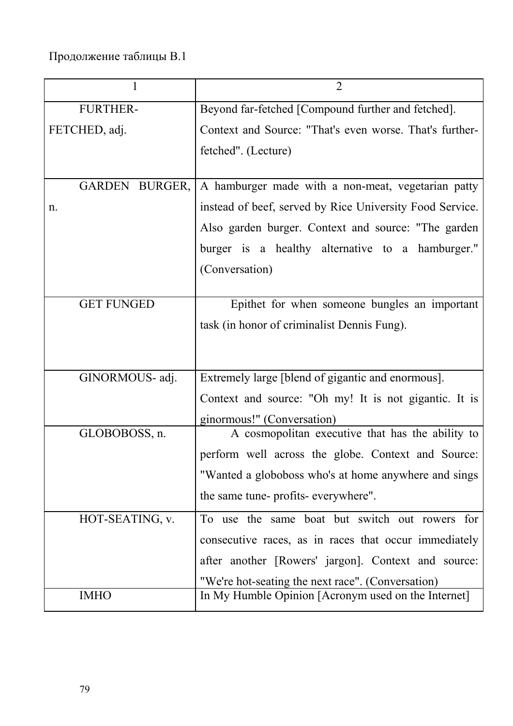|                   | $\overline{2}$                                           |
|-------------------|----------------------------------------------------------|
| <b>FURTHER-</b>   | Beyond far-fetched [Compound further and fetched].       |
| FETCHED, adj.     | Context and Source: "That's even worse. That's further-  |
|                   | fetched". (Lecture)                                      |
|                   |                                                          |
| GARDEN BURGER,    | A hamburger made with a non-meat, vegetarian patty       |
| n.                | instead of beef, served by Rice University Food Service. |
|                   | Also garden burger. Context and source: "The garden      |
|                   | burger is a healthy alternative to a hamburger."         |
|                   | (Conversation)                                           |
|                   |                                                          |
| <b>GET FUNGED</b> | Epithet for when someone bungles an important            |
|                   | task (in honor of criminalist Dennis Fung).              |
|                   |                                                          |
| GINORMOUS- adj.   | Extremely large [blend of gigantic and enormous].        |
|                   | Context and source: "Oh my! It is not gigantic. It is    |
|                   | ginormous!" (Conversation)                               |
| GLOBOBOSS, n.     | A cosmopolitan executive that has the ability to         |
|                   | perform well across the globe. Context and Source:       |
|                   | "Wanted a globoboss who's at home anywhere and sings     |
|                   | the same tune- profits- everywhere".                     |
| HOT-SEATING, v.   | To use the same boat but switch out rowers for           |
|                   | consecutive races, as in races that occur immediately    |
|                   | after another [Rowers' jargon]. Context and source:      |
|                   | "We're hot-seating the next race". (Conversation)        |
| <b>IMHO</b>       | In My Humble Opinion [Acronym used on the Internet]      |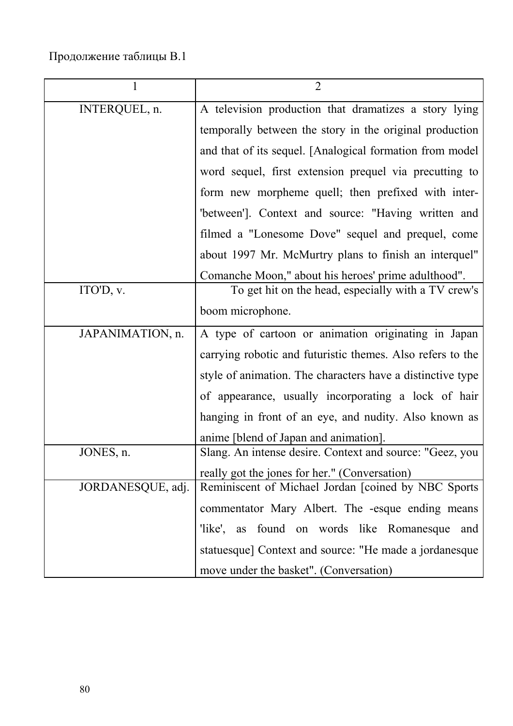|                   | $\overline{2}$                                             |
|-------------------|------------------------------------------------------------|
| INTERQUEL, n.     | A television production that dramatizes a story lying      |
|                   | temporally between the story in the original production    |
|                   | and that of its sequel. [Analogical formation from model]  |
|                   | word sequel, first extension prequel via precutting to     |
|                   | form new morpheme quell; then prefixed with inter-         |
|                   | "between"]. Context and source: "Having written and        |
|                   | filmed a "Lonesome Dove" sequel and prequel, come          |
|                   | about 1997 Mr. McMurtry plans to finish an interquel"      |
|                   | Comanche Moon," about his heroes' prime adulthood".        |
| ITO'D, v.         | To get hit on the head, especially with a TV crew's        |
|                   | boom microphone.                                           |
| JAPANIMATION, n.  | A type of cartoon or animation originating in Japan        |
|                   | carrying robotic and futuristic themes. Also refers to the |
|                   | style of animation. The characters have a distinctive type |
|                   | of appearance, usually incorporating a lock of hair        |
|                   | hanging in front of an eye, and nudity. Also known as      |
|                   | anime [blend of Japan and animation].                      |
| JONES, n.         | Slang. An intense desire. Context and source: "Geez, you   |
|                   | really got the jones for her." (Conversation)              |
| JORDANESQUE, adj. | Reminiscent of Michael Jordan [coined by NBC Sports]       |
|                   | commentator Mary Albert. The -esque ending means           |
|                   | like', as found on words like Romanesque<br>and            |
|                   | statues que Context and source: "He made a jordanes que    |
|                   | move under the basket". (Conversation)                     |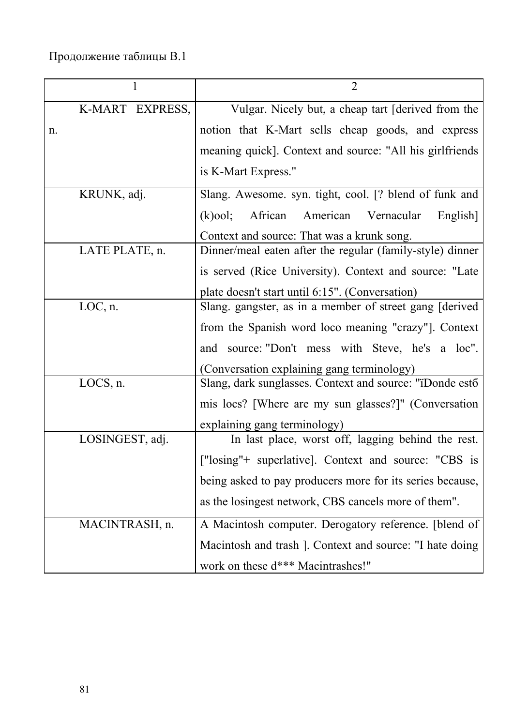|                 | $\overline{2}$                                              |
|-----------------|-------------------------------------------------------------|
| K-MART EXPRESS, | Vulgar. Nicely but, a cheap tart [derived from the          |
| n.              | notion that K-Mart sells cheap goods, and express           |
|                 | meaning quick]. Context and source: "All his girlfriends    |
|                 | is K-Mart Express."                                         |
| KRUNK, adj.     | Slang. Awesome. syn. tight, cool. [? blend of funk and      |
|                 | African<br>American<br>$(k)$ ool;<br>Vernacular<br>English] |
|                 | Context and source: That was a krunk song.                  |
| LATE PLATE, n.  | Dinner/meal eaten after the regular (family-style) dinner   |
|                 | is served (Rice University). Context and source: "Late      |
|                 | plate doesn't start until 6:15". (Conversation)             |
| LOC, n.         | Slang. gangster, as in a member of street gang [derived]    |
|                 | from the Spanish word loco meaning "crazy"]. Context        |
|                 | and source: "Don't mess with Steve, he's a loc".            |
|                 | (Conversation explaining gang terminology)                  |
| $LOCS$ , n.     | Slang, dark sunglasses. Context and source: "iDonde estő    |
|                 | mis locs? [Where are my sun glasses?]" (Conversation        |
|                 | explaining gang terminology)                                |
| LOSINGEST, adj. | In last place, worst off, lagging behind the rest.          |
|                 | ["losing"+ superlative]. Context and source: "CBS is        |
|                 | being asked to pay producers more for its series because,   |
|                 | as the losingest network, CBS cancels more of them".        |
| MACINTRASH, n.  | A Macintosh computer. Derogatory reference. [blend of       |
|                 | Macintosh and trash ]. Context and source: "I hate doing    |
|                 | work on these d*** Macintrashes!"                           |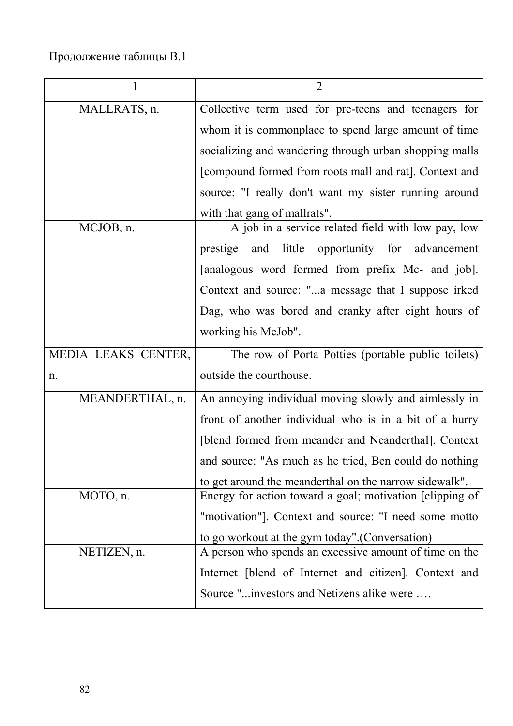|                     | $\overline{2}$                                           |
|---------------------|----------------------------------------------------------|
| MALLRATS, n.        | Collective term used for pre-teens and teenagers for     |
|                     | whom it is commonplace to spend large amount of time     |
|                     | socializing and wandering through urban shopping malls   |
|                     | [compound formed from roots mall and rat]. Context and   |
|                     | source: "I really don't want my sister running around    |
|                     | with that gang of mallrats".                             |
| MCJOB, n.           | A job in a service related field with low pay, low       |
|                     | little<br>opportunity for advancement<br>prestige<br>and |
|                     | [analogous word formed from prefix Mc- and job].         |
|                     | Context and source: "a message that I suppose irked      |
|                     | Dag, who was bored and cranky after eight hours of       |
|                     | working his McJob".                                      |
| MEDIA LEAKS CENTER, | The row of Porta Potties (portable public toilets)       |
| n.                  | outside the courthouse.                                  |
| MEANDERTHAL, n.     | An annoying individual moving slowly and aimlessly in    |
|                     | front of another individual who is in a bit of a hurry   |
|                     | [blend formed from meander and Neanderthal]. Context     |
|                     | and source: "As much as he tried, Ben could do nothing   |
|                     | to get around the meanderthal on the narrow sidewalk".   |
| MOTO, n.            | Energy for action toward a goal; motivation [clipping of |
|                     | "motivation"]. Context and source: "I need some motto    |
|                     | to go workout at the gym today".(Conversation)           |
| NETIZEN, n.         | A person who spends an excessive amount of time on the   |
|                     | Internet [blend of Internet and citizen]. Context and    |
|                     | Source " investors and Netizens alike were               |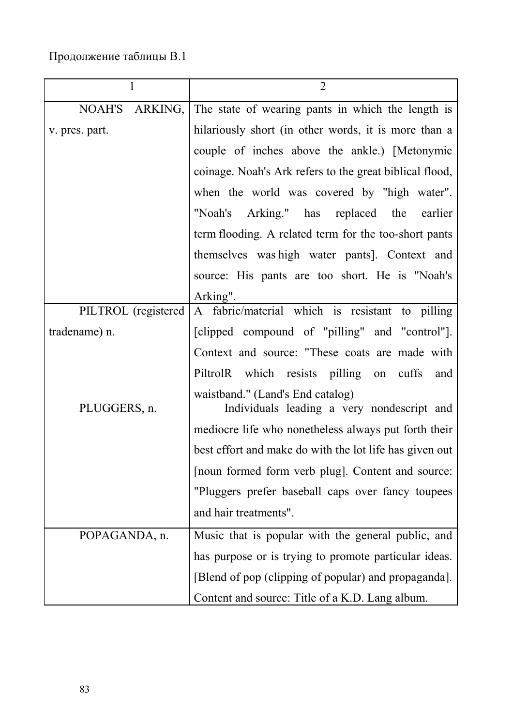|                     | $\overline{2}$                                          |
|---------------------|---------------------------------------------------------|
| ARKING,<br>NOAH'S   | The state of wearing pants in which the length is       |
| v. pres. part.      | hilariously short (in other words, it is more than a    |
|                     | couple of inches above the ankle.) [Metonymic           |
|                     | coinage. Noah's Ark refers to the great biblical flood, |
|                     | when the world was covered by "high water".             |
|                     | Arking." has replaced the<br>"Noah's<br>earlier         |
|                     | term flooding. A related term for the too-short pants   |
|                     | themselves was high water pants. Context and            |
|                     | source: His pants are too short. He is "Noah's          |
|                     | Arking".                                                |
| PILTROL (registered | A fabric/material which is resistant to pilling         |
| tradename) n.       | [clipped compound of "pilling" and "control"].          |
|                     | Context and source: "These coats are made with          |
|                     | PiltrolR which resists pilling on cuffs<br>and          |
|                     | waistband." (Land's End catalog)                        |
| PLUGGERS, n.        | Individuals leading a very nondescript and              |
|                     | mediocre life who nonetheless always put forth their    |
|                     | best effort and make do with the lot life has given out |
|                     | [noun formed form verb plug]. Content and source:       |
|                     | "Pluggers prefer baseball caps over fancy toupees       |
|                     | and hair treatments".                                   |
| POPAGANDA, n.       | Music that is popular with the general public, and      |
|                     | has purpose or is trying to promote particular ideas.   |
|                     | [Blend of pop (clipping of popular) and propaganda].    |
|                     | Content and source: Title of a K.D. Lang album.         |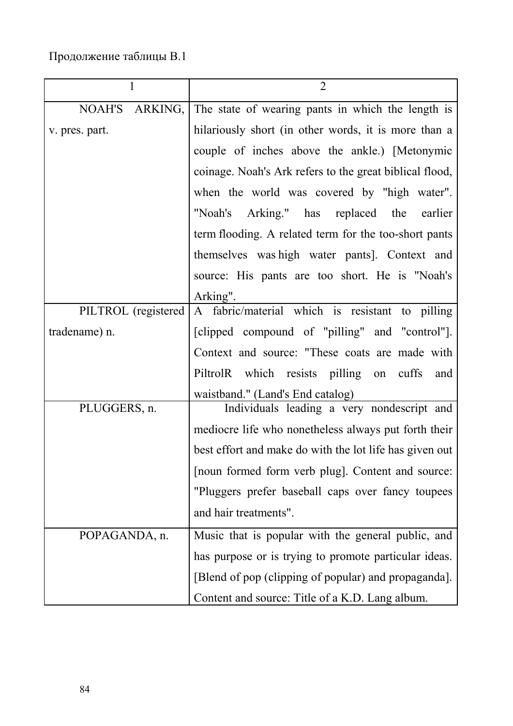|                     | $\overline{2}$                                          |
|---------------------|---------------------------------------------------------|
| ARKING,<br>NOAH'S   | The state of wearing pants in which the length is       |
| v. pres. part.      | hilariously short (in other words, it is more than a    |
|                     | couple of inches above the ankle.) [Metonymic           |
|                     | coinage. Noah's Ark refers to the great biblical flood, |
|                     | when the world was covered by "high water".             |
|                     | Arking." has replaced the<br>"Noah's<br>earlier         |
|                     | term flooding. A related term for the too-short pants   |
|                     | themselves was high water pants. Context and            |
|                     | source: His pants are too short. He is "Noah's          |
|                     | Arking".                                                |
| PILTROL (registered | A fabric/material which is resistant to pilling         |
| tradename) n.       | [clipped compound of "pilling" and "control"].          |
|                     | Context and source: "These coats are made with          |
|                     | PiltrolR which resists pilling on cuffs<br>and          |
|                     | waistband." (Land's End catalog)                        |
| PLUGGERS, n.        | Individuals leading a very nondescript and              |
|                     | mediocre life who nonetheless always put forth their    |
|                     | best effort and make do with the lot life has given out |
|                     | [noun formed form verb plug]. Content and source:       |
|                     | "Pluggers prefer baseball caps over fancy toupees       |
|                     | and hair treatments".                                   |
| POPAGANDA, n.       | Music that is popular with the general public, and      |
|                     | has purpose or is trying to promote particular ideas.   |
|                     | [Blend of pop (clipping of popular) and propaganda].    |
|                     | Content and source: Title of a K.D. Lang album.         |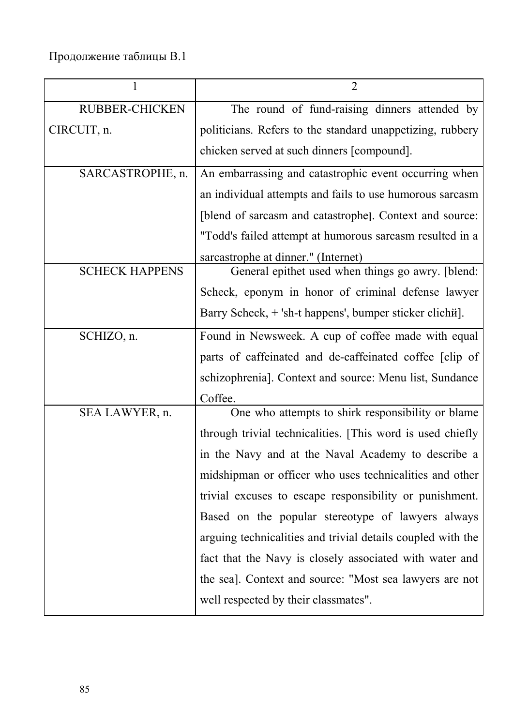|                       | $\overline{2}$                                              |  |  |  |  |
|-----------------------|-------------------------------------------------------------|--|--|--|--|
| <b>RUBBER-CHICKEN</b> | The round of fund-raising dinners attended by               |  |  |  |  |
| CIRCUIT, n.           | politicians. Refers to the standard unappetizing, rubbery   |  |  |  |  |
|                       | chicken served at such dinners [compound].                  |  |  |  |  |
| SARCASTROPHE, n.      | An embarrassing and catastrophic event occurring when       |  |  |  |  |
|                       | an individual attempts and fails to use humorous sarcasm    |  |  |  |  |
|                       | [blend of sarcasm and catastrophe]. Context and source:     |  |  |  |  |
|                       | "Todd's failed attempt at humorous sarcasm resulted in a    |  |  |  |  |
|                       | sarcastrophe at dinner." (Internet)                         |  |  |  |  |
| <b>SCHECK HAPPENS</b> | General epithet used when things go awry. [blend:           |  |  |  |  |
|                       | Scheck, eponym in honor of criminal defense lawyer          |  |  |  |  |
|                       | Barry Scheck, + 'sh-t happens', bumper sticker clichй].     |  |  |  |  |
| SCHIZO, n.            | Found in Newsweek. A cup of coffee made with equal          |  |  |  |  |
|                       | parts of caffeinated and de-caffeinated coffee [clip of     |  |  |  |  |
|                       | schizophrenia]. Context and source: Menu list, Sundance     |  |  |  |  |
|                       | Coffee.                                                     |  |  |  |  |
| SEA LAWYER, n.        | One who attempts to shirk responsibility or blame           |  |  |  |  |
|                       | through trivial technicalities. [This word is used chiefly  |  |  |  |  |
|                       | in the Navy and at the Naval Academy to describe a          |  |  |  |  |
|                       | midshipman or officer who uses technicalities and other     |  |  |  |  |
|                       | trivial excuses to escape responsibility or punishment.     |  |  |  |  |
|                       | Based on the popular stereotype of lawyers always           |  |  |  |  |
|                       | arguing technicalities and trivial details coupled with the |  |  |  |  |
|                       | fact that the Navy is closely associated with water and     |  |  |  |  |
|                       | the sea]. Context and source: "Most sea lawyers are not     |  |  |  |  |
|                       | well respected by their classmates".                        |  |  |  |  |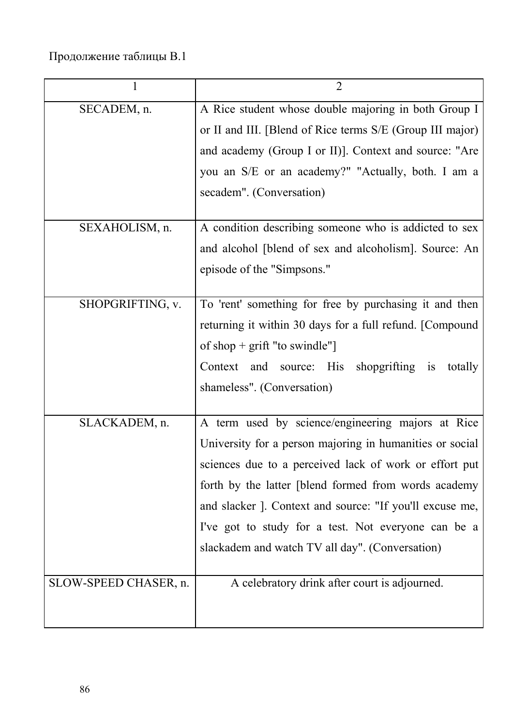|                       | $\overline{2}$                                            |
|-----------------------|-----------------------------------------------------------|
| SECADEM, n.           | A Rice student whose double majoring in both Group I      |
|                       | or II and III. [Blend of Rice terms S/E (Group III major) |
|                       | and academy (Group I or II)]. Context and source: "Are    |
|                       | you an S/E or an academy?" "Actually, both. I am a        |
|                       | secadem". (Conversation)                                  |
| SEXAHOLISM, n.        | A condition describing someone who is addicted to sex     |
|                       | and alcohol [blend of sex and alcoholism]. Source: An     |
|                       | episode of the "Simpsons."                                |
|                       |                                                           |
| SHOPGRIFTING, v.      | To 'rent' something for free by purchasing it and then    |
|                       | returning it within 30 days for a full refund. [Compound  |
|                       | of shop + grift "to swindle"]                             |
|                       | shopgrifting is<br>Context<br>and source: His<br>totally  |
|                       | shameless". (Conversation)                                |
|                       |                                                           |
| SLACKADEM, n.         | A term used by science/engineering majors at Rice         |
|                       | University for a person majoring in humanities or social  |
|                       | sciences due to a perceived lack of work or effort put    |
|                       | forth by the latter [blend formed from words academy      |
|                       | and slacker ]. Context and source: "If you'll excuse me,  |
|                       | I've got to study for a test. Not everyone can be a       |
|                       | slackadem and watch TV all day". (Conversation)           |
| SLOW-SPEED CHASER, n. | A celebratory drink after court is adjourned.             |
|                       |                                                           |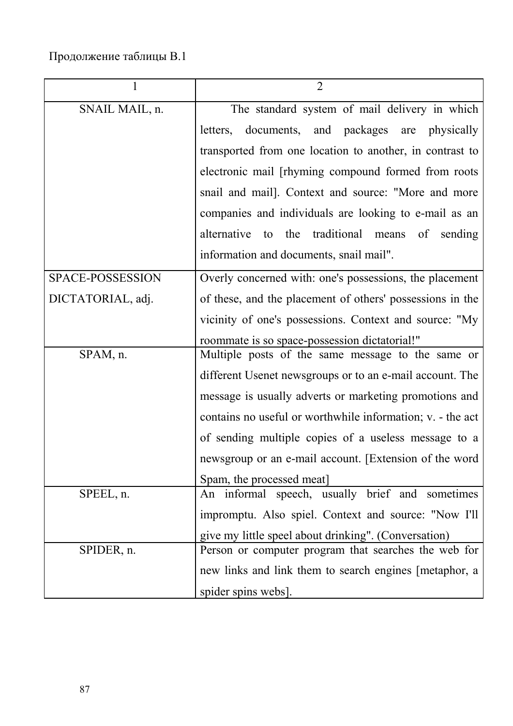|                   | $\overline{2}$                                                 |  |  |  |  |  |  |
|-------------------|----------------------------------------------------------------|--|--|--|--|--|--|
| SNAIL MAIL, n.    | The standard system of mail delivery in which                  |  |  |  |  |  |  |
|                   | letters, documents, and packages are physically                |  |  |  |  |  |  |
|                   | transported from one location to another, in contrast to       |  |  |  |  |  |  |
|                   | electronic mail [rhyming compound formed from roots            |  |  |  |  |  |  |
|                   | snail and mail]. Context and source: "More and more            |  |  |  |  |  |  |
|                   | companies and individuals are looking to e-mail as an          |  |  |  |  |  |  |
|                   | alternative<br>to the<br>traditional<br>sending<br>of<br>means |  |  |  |  |  |  |
|                   | information and documents, snail mail".                        |  |  |  |  |  |  |
| SPACE-POSSESSION  | Overly concerned with: one's possessions, the placement        |  |  |  |  |  |  |
| DICTATORIAL, adj. | of these, and the placement of others' possessions in the      |  |  |  |  |  |  |
|                   | vicinity of one's possessions. Context and source: "My         |  |  |  |  |  |  |
|                   | roommate is so space-possession dictatorial!"                  |  |  |  |  |  |  |
| SPAM, n.          | Multiple posts of the same message to the same or              |  |  |  |  |  |  |
|                   | different Usenet newsgroups or to an e-mail account. The       |  |  |  |  |  |  |
|                   | message is usually adverts or marketing promotions and         |  |  |  |  |  |  |
|                   | contains no useful or worthwhile information; v. - the act     |  |  |  |  |  |  |
|                   | of sending multiple copies of a useless message to a           |  |  |  |  |  |  |
|                   | newsgroup or an e-mail account. [Extension of the word         |  |  |  |  |  |  |
|                   | Spam, the processed meat                                       |  |  |  |  |  |  |
| SPEEL, n.         | An informal speech, usually brief and sometimes                |  |  |  |  |  |  |
|                   | impromptu. Also spiel. Context and source: "Now I'll           |  |  |  |  |  |  |
|                   | give my little speel about drinking". (Conversation)           |  |  |  |  |  |  |
| SPIDER, n.        | Person or computer program that searches the web for           |  |  |  |  |  |  |
|                   | new links and link them to search engines [metaphor, a         |  |  |  |  |  |  |
|                   | spider spins webs].                                            |  |  |  |  |  |  |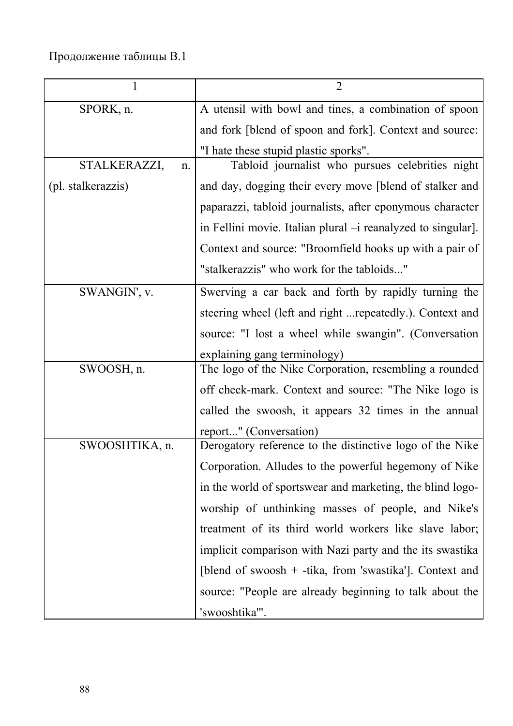|                    | $\overline{2}$                                               |
|--------------------|--------------------------------------------------------------|
| SPORK, n.          | A utensil with bowl and tines, a combination of spoon        |
|                    | and fork [blend of spoon and fork]. Context and source:      |
|                    | "I hate these stupid plastic sporks".                        |
| STALKERAZZI,<br>n. | Tabloid journalist who pursues celebrities night             |
| (pl. stalkerazzis) | and day, dogging their every move [blend of stalker and      |
|                    | paparazzi, tabloid journalists, after eponymous character    |
|                    | in Fellini movie. Italian plural – i reanalyzed to singular. |
|                    | Context and source: "Broomfield hooks up with a pair of      |
|                    | "stalkerazzis" who work for the tabloids"                    |
| SWANGIN', v.       | Swerving a car back and forth by rapidly turning the         |
|                    | steering wheel (left and right  repeatedly.). Context and    |
|                    | source: "I lost a wheel while swangin". (Conversation        |
|                    | explaining gang terminology)                                 |
| SWOOSH, n.         | The logo of the Nike Corporation, resembling a rounded       |
|                    | off check-mark. Context and source: "The Nike logo is        |
|                    | called the swoosh, it appears 32 times in the annual         |
|                    | report" (Conversation)                                       |
| SWOOSHTIKA, n.     | Derogatory reference to the distinctive logo of the Nike     |
|                    | Corporation. Alludes to the powerful hegemony of Nike        |
|                    | in the world of sportswear and marketing, the blind logo-    |
|                    | worship of unthinking masses of people, and Nike's           |
|                    | treatment of its third world workers like slave labor;       |
|                    | implicit comparison with Nazi party and the its swastika     |
|                    | [blend of swoosh $+$ -tika, from 'swastika']. Context and    |
|                    | source: "People are already beginning to talk about the      |
|                    | 'swooshtika'".                                               |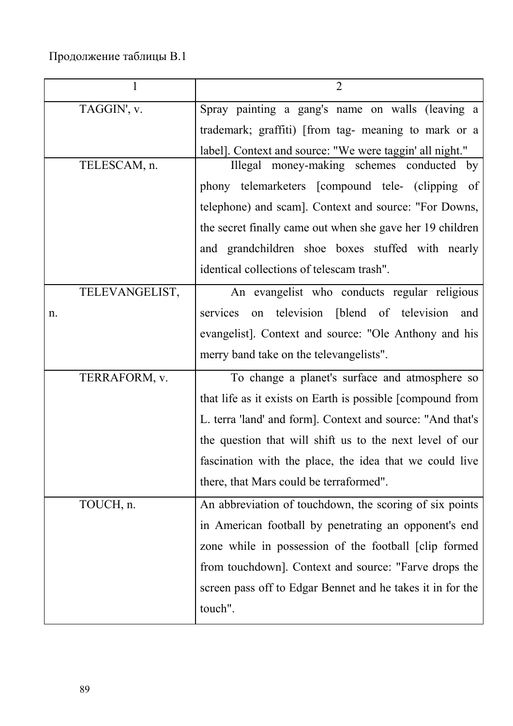|                | $\overline{2}$                                             |  |  |  |  |  |  |
|----------------|------------------------------------------------------------|--|--|--|--|--|--|
| TAGGIN', v.    | Spray painting a gang's name on walls (leaving a           |  |  |  |  |  |  |
|                | trademark; graffiti) [from tag- meaning to mark or a       |  |  |  |  |  |  |
|                | label]. Context and source: "We were taggin' all night."   |  |  |  |  |  |  |
| TELESCAM, n.   | Illegal<br>money-making schemes conducted<br>by            |  |  |  |  |  |  |
|                | phony telemarketers [compound tele- (clipping<br>of        |  |  |  |  |  |  |
|                | telephone) and scam]. Context and source: "For Downs,      |  |  |  |  |  |  |
|                | the secret finally came out when she gave her 19 children  |  |  |  |  |  |  |
|                | and grandchildren shoe boxes stuffed with nearly           |  |  |  |  |  |  |
|                | identical collections of telescam trash".                  |  |  |  |  |  |  |
| TELEVANGELIST, | An evangelist who conducts regular religious               |  |  |  |  |  |  |
| n.             | on television [blend of television]<br>services<br>and     |  |  |  |  |  |  |
|                | evangelist. Context and source: "Ole Anthony and his       |  |  |  |  |  |  |
|                | merry band take on the televangelists".                    |  |  |  |  |  |  |
| TERRAFORM, v.  | To change a planet's surface and atmosphere so             |  |  |  |  |  |  |
|                | that life as it exists on Earth is possible [compound from |  |  |  |  |  |  |
|                | L. terra 'land' and form]. Context and source: "And that's |  |  |  |  |  |  |
|                | the question that will shift us to the next level of our   |  |  |  |  |  |  |
|                | fascination with the place, the idea that we could live    |  |  |  |  |  |  |
|                | there, that Mars could be terraformed".                    |  |  |  |  |  |  |
| TOUCH, n.      | An abbreviation of touchdown, the scoring of six points    |  |  |  |  |  |  |
|                | in American football by penetrating an opponent's end      |  |  |  |  |  |  |
|                | zone while in possession of the football [clip formed      |  |  |  |  |  |  |
|                | from touchdown]. Context and source: "Farve drops the      |  |  |  |  |  |  |
|                |                                                            |  |  |  |  |  |  |
|                | screen pass off to Edgar Bennet and he takes it in for the |  |  |  |  |  |  |
|                | touch".                                                    |  |  |  |  |  |  |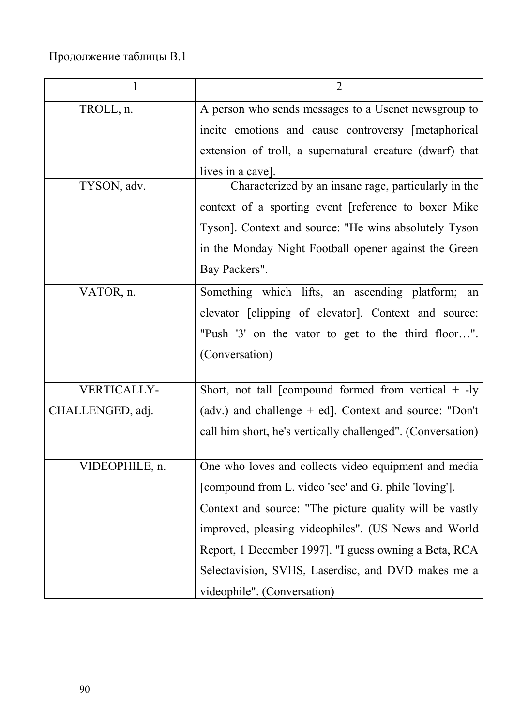|                  | $\overline{2}$                                              |
|------------------|-------------------------------------------------------------|
| TROLL, n.        | A person who sends messages to a Usenet newsgroup to        |
|                  | incite emotions and cause controversy [metaphorical]        |
|                  | extension of troll, a supernatural creature (dwarf) that    |
|                  | lives in a cave].                                           |
| TYSON, adv.      | Characterized by an insane rage, particularly in the        |
|                  | context of a sporting event [reference to boxer Mike        |
|                  | Tyson]. Context and source: "He wins absolutely Tyson       |
|                  | in the Monday Night Football opener against the Green       |
|                  | Bay Packers".                                               |
| VATOR, n.        | Something which lifts, an ascending platform;<br>an         |
|                  | elevator [clipping of elevator]. Context and source:        |
|                  | "Push '3' on the vator to get to the third floor".          |
|                  | (Conversation)                                              |
|                  |                                                             |
| VERTICALLY-      | Short, not tall [compound formed from vertical $+$ -ly      |
| CHALLENGED, adj. | (adv.) and challenge $+$ ed]. Context and source: "Don't    |
|                  | call him short, he's vertically challenged". (Conversation) |
|                  |                                                             |
| VIDEOPHILE, n.   | One who loves and collects video equipment and media        |
|                  | [compound from L. video 'see' and G. phile 'loving'].       |
|                  | Context and source: "The picture quality will be vastly     |
|                  | improved, pleasing videophiles". (US News and World         |
|                  | Report, 1 December 1997]. "I guess owning a Beta, RCA       |
|                  | Selectavision, SVHS, Laserdisc, and DVD makes me a          |
|                  | videophile". (Conversation)                                 |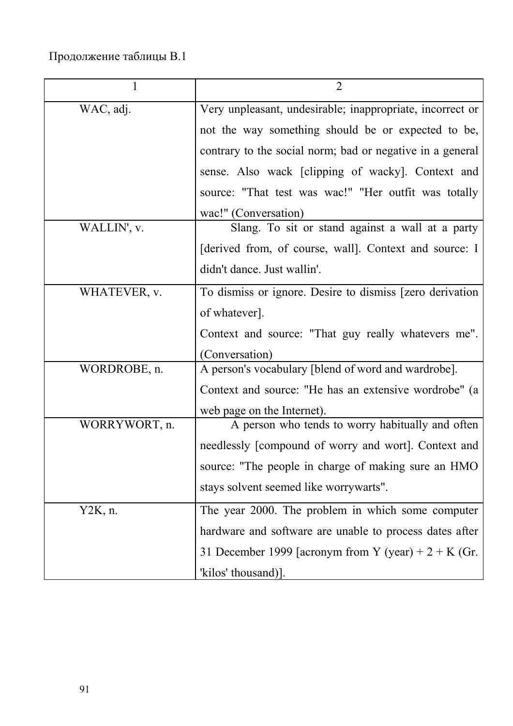|               | $\overline{2}$                                            |
|---------------|-----------------------------------------------------------|
| WAC, adj.     | Very unpleasant, undesirable; inappropriate, incorrect or |
|               | not the way something should be or expected to be,        |
|               | contrary to the social norm; bad or negative in a general |
|               | sense. Also wack [clipping of wacky]. Context and         |
|               | source: "That test was wac!" "Her outfit was totally      |
|               | wac!" (Conversation)                                      |
| WALLIN', v.   | Slang. To sit or stand against a wall at a party          |
|               | [derived from, of course, wall]. Context and source: I    |
|               | didn't dance. Just wallin'.                               |
| WHATEVER, v.  | To dismiss or ignore. Desire to dismiss [zero derivation] |
|               | of whatever].                                             |
|               | Context and source: "That guy really whatevers me".       |
|               | (Conversation)                                            |
| WORDROBE, n.  | A person's vocabulary [blend of word and wardrobe].       |
|               | Context and source: "He has an extensive wordrobe" (a     |
|               | web page on the Internet).                                |
| WORRYWORT, n. | A person who tends to worry habitually and often          |
|               | needlessly [compound of worry and wort]. Context and      |
|               | source: "The people in charge of making sure an HMO       |
|               | stays solvent seemed like worrywarts".                    |
| Y2K, n.       | The year 2000. The problem in which some computer         |
|               | hardware and software are unable to process dates after   |
|               | 31 December 1999 [acronym from Y (year) + $2 + K$ (Gr.    |
|               | 'kilos' thousand)].                                       |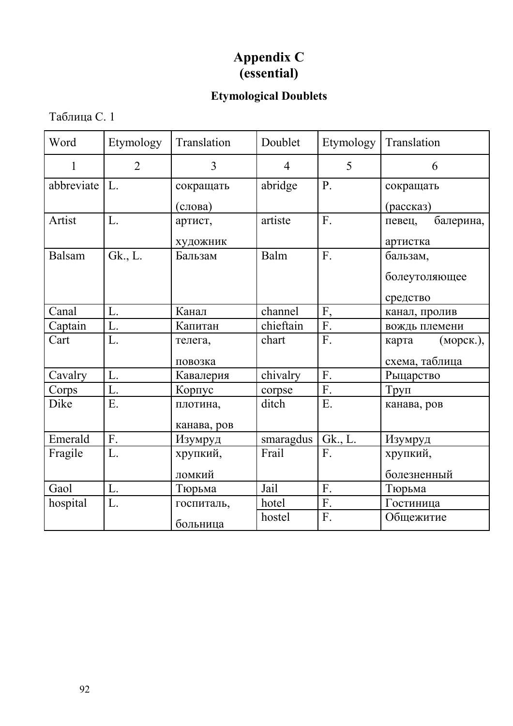#### **Appendix C (essential)**

## **Etymological Doublets**

Таблица С. 1

| Word          | Etymology      | Translation | Doublet        | Etymology   | Translation         |  |
|---------------|----------------|-------------|----------------|-------------|---------------------|--|
| 1             | $\overline{2}$ | 3           | $\overline{4}$ | 5           | 6                   |  |
| abbreviate    | L              | сокращать   | abridge        | $P_{.}$     | сокращать           |  |
|               |                | (слова)     |                |             | (рассказ)           |  |
| Artist        | L.             | артист,     | artiste        | F.          | балерина,<br>певец, |  |
|               |                | художник    |                |             | артистка            |  |
| <b>Balsam</b> | Gk., L.        | Бальзам     | Balm           | F.          | бальзам,            |  |
|               |                |             |                |             | болеутоляющее       |  |
|               |                |             |                |             | средство            |  |
| Canal         | L.             | Канал       | channel        | F,          |                     |  |
|               |                |             |                |             | канал, пролив       |  |
| Captain       | L.             | Капитан     | chieftain      | F.          | вождь племени       |  |
| Cart          | L.             | телега,     | chart          | F.          | (Mopck.)<br>карта   |  |
|               |                | повозка     |                |             | схема, таблица      |  |
| Cavalry       | L.             | Кавалерия   | chivalry       | F.          | Рыцарство           |  |
| Corps         | L.             | Корпус      | corpse         | F.          | Труп                |  |
| Dike          | $E$ .          | плотина,    | ditch          | $E$ .       | канава, ров         |  |
|               |                | канава, ров |                |             |                     |  |
| Emerald       | F.             | Изумруд     | smaragdus      | Gk., L.     | Изумруд             |  |
| Fragile       | L.             | хрупкий,    | Frail          | $F_{\cdot}$ | хрупкий,            |  |
|               |                | ломкий      |                |             | болезненный         |  |
|               |                |             |                |             |                     |  |
| Gaol          | L.             | Тюрьма      | Jail           | F.          | Тюрьма              |  |
| hospital      | L.             | госпиталь,  | hotel          | F.          | Гостиница           |  |
|               |                | больница    | hostel         | F.          | Общежитие           |  |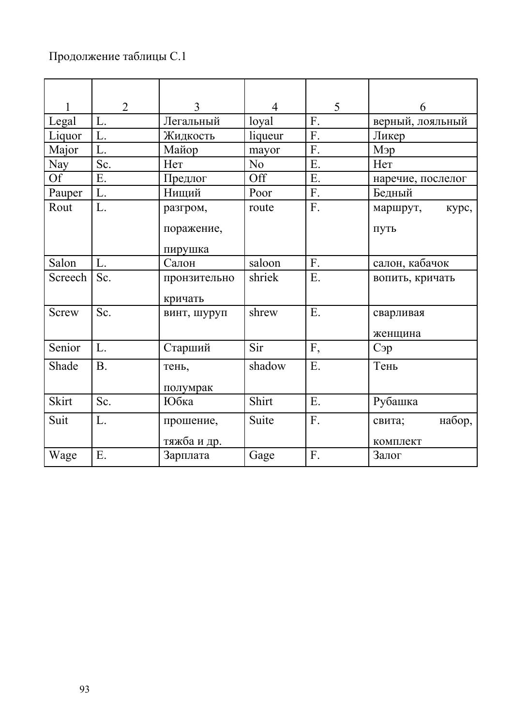| 1            | $\overline{2}$ | 3            | 4              | 5     | 6                 |  |
|--------------|----------------|--------------|----------------|-------|-------------------|--|
| Legal        | L.             | Легальный    | loyal          | F.    | верный, лояльный  |  |
| Liquor       | L.             | Жидкость     | liqueur        | F.    | Ликер             |  |
| Major        | L.             | Майор        | mayor          | F.    | Мэр               |  |
| Nay          | Sc.            | Her          | N <sub>o</sub> | Ε.    | Her               |  |
| <b>Of</b>    | Ε.             | Предлог      | Off            | E.    | наречие, послелог |  |
| Pauper       | L.             | Нищий        | Poor           | F.    | Бедный            |  |
| Rout         | L.             | разгром,     | route          | F.    | маршрут,<br>курс, |  |
|              |                | поражение,   |                |       | ПУТЬ              |  |
|              |                | пирушка      |                |       |                   |  |
| Salon        | L.             | Салон        | saloon         | F.    | салон, кабачок    |  |
| Screech      | Sc.            | пронзительно | shriek         | E.    | вопить, кричать   |  |
|              |                | кричать      |                |       |                   |  |
| <b>Screw</b> | Sc.            | винт, шуруп  | shrew          | E.    | сварливая         |  |
|              |                |              |                |       | женщина           |  |
| Senior       | L.             | Старший      | Sir            | F,    | Сэр               |  |
| Shade        | B.             | тень,        | shadow         | $E$ . | Тень              |  |
|              |                | полумрак     |                |       |                   |  |
| <b>Skirt</b> | Sc.            | Юбка         | Shirt          | E.    | Рубашка           |  |
| Suit         | L.             | прошение,    | Suite          | F.    | набор,<br>свита;  |  |
|              |                | тяжба и др.  |                |       | комплект          |  |
| Wage         | Ε.             | Зарплата     | Gage           | F.    | Залог             |  |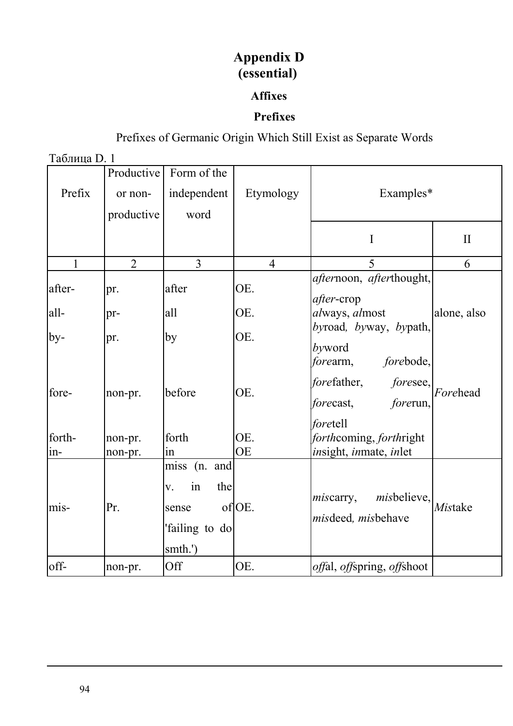## **Appendix D (essential)**

### **Affixes**

#### **Prefixes**

## Prefixes of Germanic Origin Which Still Exist as Separate Words

Таблица D. 1

|                  |                    | Productive Form of the                                                  |                  |                                                                                                       |                 |
|------------------|--------------------|-------------------------------------------------------------------------|------------------|-------------------------------------------------------------------------------------------------------|-----------------|
| Prefix           | or non-            | independent                                                             | Etymology        | Examples*                                                                                             |                 |
|                  | productive         | word                                                                    |                  |                                                                                                       |                 |
|                  |                    |                                                                         |                  | I                                                                                                     | $\mathbf{I}$    |
| $\mathbf{1}$     | $\overline{2}$     | $\overline{3}$                                                          | $\overline{4}$   | 5                                                                                                     | 6               |
| after-           | pr.                | after                                                                   | OE.              | afternoon, afterthought,<br><i>after-crop</i>                                                         |                 |
| all-             | pr-                | all                                                                     | OE.              | always, almost                                                                                        | alone, also     |
| $by-$            | pr.                | by                                                                      | OE.              | byroad, byway, bypath,<br>byword                                                                      |                 |
| fore-            | non-pr.            | before                                                                  | OE.              | forebode,<br><i>forearm,</i><br><i>forefather,</i><br>foresee,<br><i>forecast,</i><br><i>forerun,</i> | <i>Forehead</i> |
| forth-<br>$in$ - | non-pr.<br>non-pr. | forth<br>in                                                             | OE.<br><b>OE</b> | foretell<br>forthcoming, forthright<br><i>insight, inmate, inlet</i>                                  |                 |
| mis-             | Pr.                | $miss$ (n. and<br>in<br>the<br>V.<br>sense<br>'failing to do<br>smth.') | $of$ OE.         | <i>misbelieve</i> ,<br><i>miscarry</i> ,<br><i>misdeed, misbehave</i>                                 | Mistake         |
| off-             | non-pr.            | Off                                                                     | OE.              | offal, offspring, offshoot                                                                            |                 |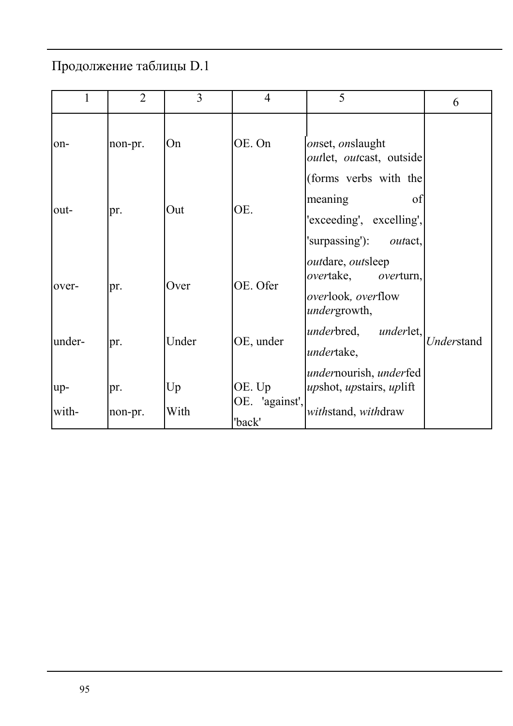|                | $\overline{2}$ | 3          | $\overline{4}$                     | 5                                                                                                       | 6                 |
|----------------|----------------|------------|------------------------------------|---------------------------------------------------------------------------------------------------------|-------------------|
| on-            | non-pr.        | On         | OE. On                             | <i>onset, onslaught</i><br><i>outlet, outcast, outside</i>                                              |                   |
| out-           | pr.            | Out        | OE.                                | (forms verbs with the<br>meaning<br>of<br>'exceeding', excelling',<br>'surpassing'):<br>outact,         |                   |
| over-          | pr.            | Over       | OE. Ofer                           | <i>outdare, outsleep</i><br><i>overtake</i> ,<br>overturn,<br><i>overlook, overflow</i><br>undergrowth, |                   |
| under-         | pr.            | Under      | OE, under                          | underlet,<br>underbred,<br><i>undertake</i> ,                                                           | <i>Understand</i> |
| $up-$<br>with- | pr.<br>non-pr. | Up<br>With | OE. Up<br>OE. 'against',<br>'back' | undernourish, underfed<br><i>upshot, upstairs, uplift</i><br><i>withstand, withdraw</i>                 |                   |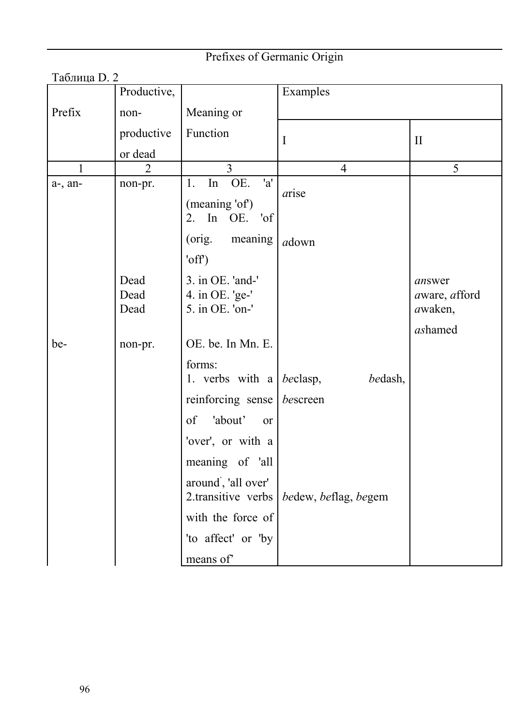## Prefixes of Germanic Origin

|         | Productive,    |                                    | Examples                                  |                                                 |
|---------|----------------|------------------------------------|-------------------------------------------|-------------------------------------------------|
| Prefix  | non-           | Meaning or                         |                                           |                                                 |
|         | productive     | Function                           | $\mathbf I$                               | $\mathbf{I}$                                    |
|         | or dead        |                                    |                                           |                                                 |
| 1       | $\overline{2}$ | $\overline{3}$                     | $\overline{4}$                            | 5                                               |
| a-, an- | non-pr.        | OE.<br>'a'<br>1.<br>In             |                                           |                                                 |
|         |                | (meaning 'of')<br>In OE. 'of<br>2. | arise                                     |                                                 |
|         |                | (orig.<br>meaning                  | adown                                     |                                                 |
|         |                | 'off)                              |                                           |                                                 |
|         | Dead           | 3. in OE. 'and-'                   |                                           | answer                                          |
|         | Dead<br>Dead   | 4. in OE. 'ge-'<br>5. in OE. 'on-' |                                           | <i>aware</i> , <i>afford</i><br><i>awaken</i> , |
|         |                |                                    |                                           |                                                 |
| be-     | non-pr.        | OE. be. In Mn. E.                  |                                           | ashamed                                         |
|         |                | forms:<br>1. verbs with a beclasp, | bedash,                                   |                                                 |
|         |                | reinforcing sense                  | bescreen                                  |                                                 |
|         |                | 'about'<br>of<br>or                |                                           |                                                 |
|         |                | 'over', or with a                  |                                           |                                                 |
|         |                | meaning of 'all                    |                                           |                                                 |
|         |                | around, 'all over'                 | 2.transitive verbs   bedew, beflag, begem |                                                 |
|         |                | with the force of                  |                                           |                                                 |
|         |                | 'to affect' or 'by                 |                                           |                                                 |
|         |                | means of                           |                                           |                                                 |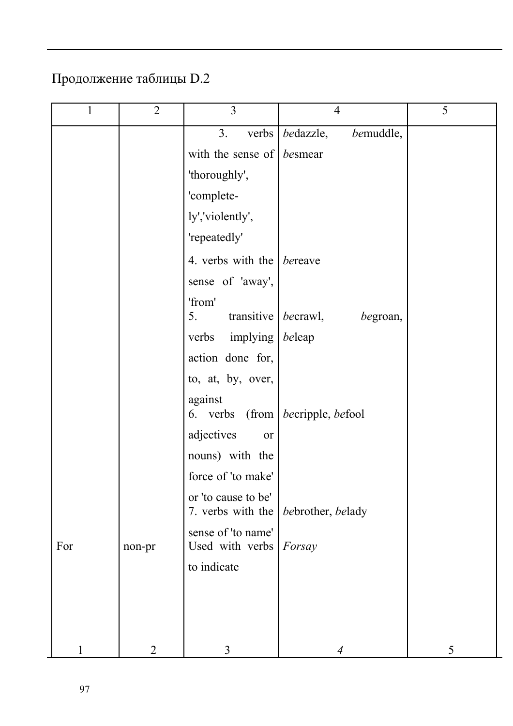| $\mathbf{1}$ | $\overline{2}$ | $\overline{3}$                                | $\overline{4}$                           | 5 |
|--------------|----------------|-----------------------------------------------|------------------------------------------|---|
|              |                | 3.<br>verbs                                   | <i>be</i> dazzle,<br><i>bemuddle,</i>    |   |
|              |                | with the sense of besmear                     |                                          |   |
|              |                | 'thoroughly',                                 |                                          |   |
|              |                | 'complete-                                    |                                          |   |
|              |                | ly','violently',                              |                                          |   |
|              |                | 'repeatedly'                                  |                                          |   |
|              |                | 4. verbs with the   bereave                   |                                          |   |
|              |                | sense of 'away',                              |                                          |   |
|              |                | 'from'<br>5.                                  | transitive   becrawl,<br><i>begroan,</i> |   |
|              |                | verbs implying beleap                         |                                          |   |
|              |                | action done for,                              |                                          |   |
|              |                | to, at, by, over,                             |                                          |   |
|              |                | against<br>6. verbs (from   becripple, befool |                                          |   |
|              |                | adjectives<br>or                              |                                          |   |
|              |                | nouns) with the                               |                                          |   |
|              |                | force of 'to make'                            |                                          |   |
|              |                | or 'to cause to be'                           | 7. verbs with the   bebrother, belady    |   |
| For          | non-pr         | sense of 'to name'<br>Used with verbs         | Forsay                                   |   |
|              |                | to indicate                                   |                                          |   |
|              |                |                                               |                                          |   |
|              | $\overline{2}$ | 3                                             | $\overline{A}$                           | 5 |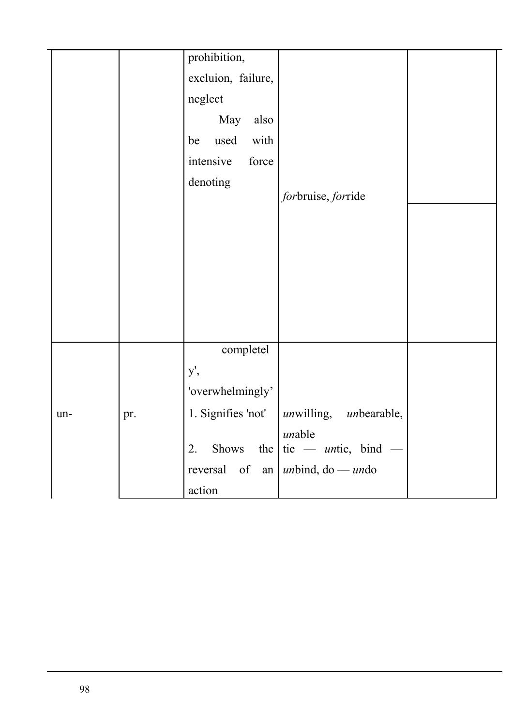|     |     | prohibition,              |                                                               |  |
|-----|-----|---------------------------|---------------------------------------------------------------|--|
|     |     | excluion, failure,        |                                                               |  |
|     |     | neglect                   |                                                               |  |
|     |     | May<br>also               |                                                               |  |
|     |     | used<br>with<br>be        |                                                               |  |
|     |     | intensive<br>force        |                                                               |  |
|     |     | denoting                  |                                                               |  |
|     |     |                           | forbruise, forride                                            |  |
|     |     |                           |                                                               |  |
|     |     |                           |                                                               |  |
|     |     |                           |                                                               |  |
|     |     |                           |                                                               |  |
|     |     |                           |                                                               |  |
|     |     |                           |                                                               |  |
|     |     | completel                 |                                                               |  |
|     |     | $y$ ',                    |                                                               |  |
|     |     | 'overwhelmingly'          |                                                               |  |
| un- | pr. | 1. Signifies 'not'        | unwilling, unbearable,                                        |  |
|     |     | Shows<br>2.               | unable<br>the $\vert$ tie $\vert$ <i>untie</i> , bind $\vert$ |  |
|     |     | reversal of<br>$\alpha$ n | $unbind, do - undo$                                           |  |
|     |     | action                    |                                                               |  |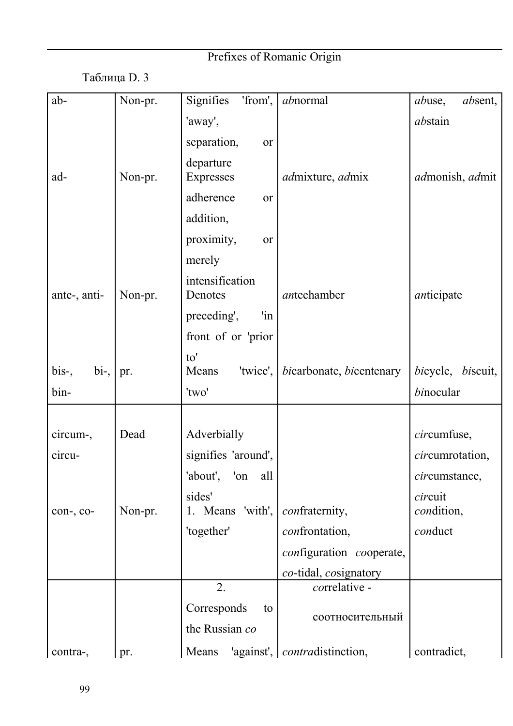## Prefixes of Romanic Origin

Таблица D. 3

| ab-                    | Non-pr. | Signifies<br>'from',       | abnormal                                | <i>abuse</i> ,<br><i>absent</i> , |
|------------------------|---------|----------------------------|-----------------------------------------|-----------------------------------|
|                        |         | 'away',                    |                                         | abstain                           |
|                        |         | separation,<br>or          |                                         |                                   |
| ad-                    | Non-pr. | departure<br>Expresses     | admixture, admix                        | <i>admonish, admit</i>            |
|                        |         | adherence<br>or            |                                         |                                   |
|                        |         | addition,                  |                                         |                                   |
|                        |         | proximity,<br>or           |                                         |                                   |
|                        |         | merely                     |                                         |                                   |
| ante-, anti-           | Non-pr. | intensification<br>Denotes | antechamber                             | anticipate                        |
|                        |         | preceding',<br>'in         |                                         |                                   |
|                        |         | front of or 'prior         |                                         |                                   |
| bis-,<br>$\mathbf{bi}$ | pr.     | to'<br>'twice',<br>Means   | <i>bicarbonate, bicentenary</i>         | bicycle, biscuit,                 |
| bin-                   |         | 'two'                      |                                         | binocular                         |
|                        |         |                            |                                         |                                   |
| circum-,               | Dead    | Adverbially                |                                         | <i>circumfuse</i> ,               |
| circu-                 |         | signifies 'around',        |                                         | <i>circumrotation,</i>            |
|                        |         | 'about', 'on all           |                                         | <i>circumstance,</i>              |
| con-, co-              | Non-pr. | sides'<br>1. Means 'with', | confraternity,                          | circuit<br><i>condition,</i>      |
|                        |         | 'together'                 | <i>confrontation,</i>                   | conduct                           |
|                        |         |                            | <i>configuration cooperate,</i>         |                                   |
|                        |         |                            | co-tidal, cosignatory                   |                                   |
|                        |         | 2.                         | correlative -                           |                                   |
|                        |         | Corresponds<br>to          | соотносительный                         |                                   |
|                        |         | the Russian co             |                                         |                                   |
| contra-,               | pr.     | Means                      | 'against',   <i>contra</i> distinction, | contradict,                       |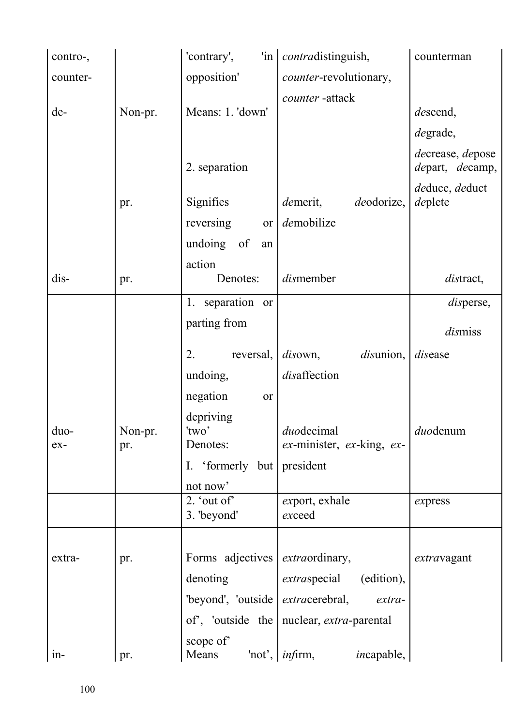| contro-,    |                | 'contrary',                                                    | 'in   <i>contra</i> distinguish,                    | counterman                                             |
|-------------|----------------|----------------------------------------------------------------|-----------------------------------------------------|--------------------------------------------------------|
| counter-    |                | opposition'                                                    | <i>counter-revolutionary,</i>                       |                                                        |
| de-         | Non-pr.        | Means: 1. 'down'                                               | <i>counter</i> -attack                              | <i>descend,</i>                                        |
|             |                | 2. separation                                                  |                                                     | <i>degrade,</i><br>decrease, depose<br>depart, decamp, |
|             | pr.            | <b>Signifies</b>                                               | demerit,<br><i>deodorize,</i>                       | deduce, deduct<br>deplete                              |
|             |                | reversing<br>or                                                | demobilize                                          |                                                        |
|             |                | undoing<br><sub>of</sub><br>an                                 |                                                     |                                                        |
| dis-        | pr.            | action<br>Denotes:                                             | dismember                                           | <i>distract,</i>                                       |
|             |                | separation or<br>1.                                            |                                                     | <i>disperse,</i>                                       |
|             |                | parting from                                                   |                                                     | dismiss                                                |
|             |                | 2.<br>reversal,                                                | <i>disunion</i> ,<br><i>disown</i> ,                | disease                                                |
|             |                | undoing,                                                       | disaffection                                        |                                                        |
|             |                | negation<br>or                                                 |                                                     |                                                        |
| duo-<br>ex- | Non-pr.<br>pr. | depriving<br>'two'<br>Denotes:<br>I. 'formerly but   president | <i>duodecimal</i><br>ex-minister, ex-king, ex-      | duodenum                                               |
|             |                | not now'                                                       |                                                     |                                                        |
|             |                | $2.$ 'out of $\mathcal{C}$<br>3. 'beyond'                      | export, exhale<br>exceed                            | express                                                |
|             |                |                                                                |                                                     |                                                        |
| extra-      | pr.            | Forms adjectives <i>extraordinary</i> ,                        |                                                     | extravagant                                            |
|             |                | denoting                                                       | extraspecial<br>(edition),                          |                                                        |
|             |                | "beyond", 'outside   <i>extracerebral</i> ,                    | extra-                                              |                                                        |
|             |                |                                                                | of, 'outside the   nuclear, <i>extra</i> -parental  |                                                        |
| $in$ -      | pr.            | scope of<br>Means                                              | 'not', $\int$ <i>infirm</i> ,<br><i>incapable</i> , |                                                        |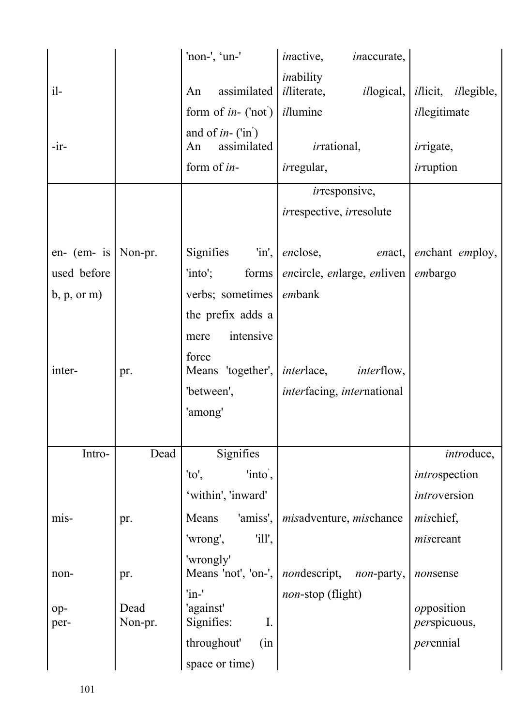|                     |                 | 'non-', 'un-'                                   | <i>inactive</i> ,<br><i>inaccurate,</i>               |                                                        |
|---------------------|-----------------|-------------------------------------------------|-------------------------------------------------------|--------------------------------------------------------|
| $il-$               |                 | assimilated<br>An                               | inability<br><i>il</i> literate,                      | <i>il</i> logical, <i>illicit</i> , <i>illegible</i> , |
|                     |                 | form of <i>in</i> - $('not')   il$ lumine       |                                                       | illegitimate                                           |
| $-1r-$              |                 | and of $in-(in)$<br>assimilated<br>An           | <i>irrational,</i>                                    | <i>irrigate,</i>                                       |
|                     |                 | form of $in$ -                                  | <i>irregular,</i>                                     | <i>irruption</i>                                       |
|                     |                 |                                                 | <i>irresponsive,</i>                                  |                                                        |
|                     |                 |                                                 | <i>irrespective, irresolute</i>                       |                                                        |
|                     |                 |                                                 |                                                       |                                                        |
| en- (em- is $\vert$ | Non-pr.         | Signifies 'in',                                 | <i>enclose</i> ,<br>enact,                            | <i>enchant employ,</i>                                 |
| used before         |                 | 'into';<br>forms                                | <i>encircle, enlarge, enliven</i>   <i>embargo</i>    |                                                        |
| b, p, or m)         |                 | verbs; sometimes                                | embank                                                |                                                        |
|                     |                 | the prefix adds a                               |                                                       |                                                        |
|                     |                 | intensive<br>mere                               |                                                       |                                                        |
| inter-              | pr.             | force<br>Means 'together',   <i>interlace</i> , | <i>interflow,</i>                                     |                                                        |
|                     |                 | 'between',                                      | interfacing, international                            |                                                        |
|                     |                 | 'among'                                         |                                                       |                                                        |
|                     |                 |                                                 |                                                       |                                                        |
| Intro-              | Dead            | Signifies                                       |                                                       | <i>introduce,</i>                                      |
|                     |                 | 'into',<br>$'$ to',                             |                                                       | introspection                                          |
|                     |                 | 'within', 'inward'                              |                                                       | introversion                                           |
| mis-                | pr.             | 'amiss', $\vert$<br>Means                       | <i>misadventure, mischance</i>                        | <i>mischief,</i>                                       |
|                     |                 | 'ill',<br>'wrong',                              |                                                       | miscreant                                              |
| non-                | pr.             | 'wrongly'                                       | Means 'not', 'on-',   <i>nondescript, non-party</i> , | nonsense                                               |
| $op-$<br>per-       | Dead<br>Non-pr. | $'in-'$<br>'against'<br>Signifies:<br>I.        | <i>non</i> -stop (flight)                             | opposition<br><i>perspicuous,</i>                      |
|                     |                 | throughout'<br>(in                              |                                                       | perennial                                              |
|                     |                 | space or time)                                  |                                                       |                                                        |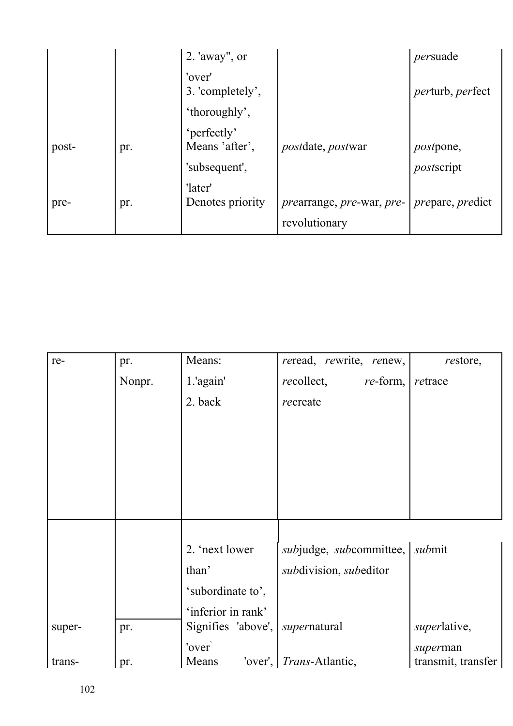|       |     | $2.$ 'away", or                             |                                  | persuade                |
|-------|-----|---------------------------------------------|----------------------------------|-------------------------|
|       |     | 'over'<br>3. 'completely',<br>'thoroughly', |                                  | <i>perturb, perfect</i> |
|       |     |                                             |                                  |                         |
| post- | pr. | 'perfectly'<br>Means 'after',               | <i>postdate, postwar</i>         | <i>postpone,</i>        |
|       |     | 'subsequent',                               |                                  | postscript              |
|       |     | 'later'                                     |                                  |                         |
| pre-  | pr. | Denotes priority                            | <i>prearrange, pre-war, pre-</i> | <i>prepare, predict</i> |
|       |     |                                             | revolutionary                    |                         |

| re-    | pr.    | Means:                                   | <i>reread, rewrite, renew,</i>         | restore,            |
|--------|--------|------------------------------------------|----------------------------------------|---------------------|
|        | Nonpr. | 1.'again'                                | <i>recollect</i> ,<br><i>re</i> -form, | retrace             |
|        |        | 2. back                                  | recreate                               |                     |
|        |        |                                          |                                        |                     |
|        |        |                                          |                                        |                     |
|        |        |                                          |                                        |                     |
|        |        |                                          |                                        |                     |
|        |        |                                          |                                        |                     |
|        |        |                                          |                                        |                     |
|        |        |                                          |                                        |                     |
|        |        | 2. 'next lower                           | subjudge, subcommittee,                | submit              |
|        |        | than'                                    | subdivision, subeditor                 |                     |
|        |        | 'subordinate to',                        |                                        |                     |
|        |        | 'inferior in rank'                       |                                        |                     |
| super- | pr.    | Signifies 'above',   <i>supernatural</i> |                                        | <i>superlative,</i> |
|        |        | 'over                                    |                                        | superman            |
| trans- | pr.    | Means                                    | 'over',   Trans-Atlantic,              | transmit, transfer  |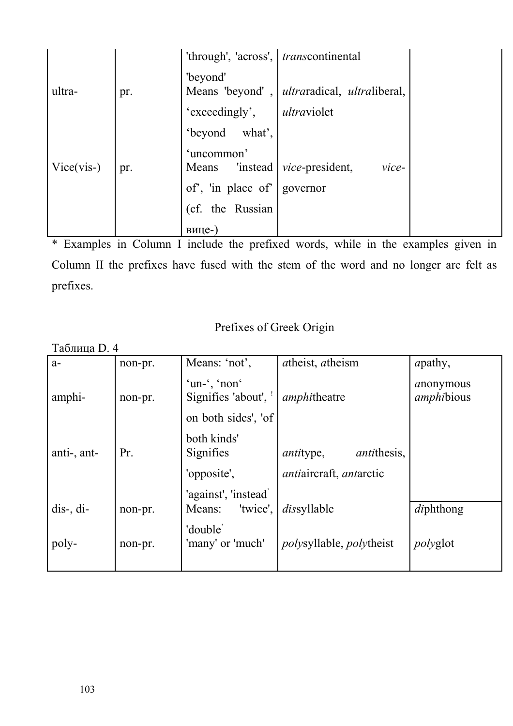|              |     | 'through', 'across',   transcontinental                                               |                                             |  |
|--------------|-----|---------------------------------------------------------------------------------------|---------------------------------------------|--|
| ultra-       | pr. | 'beyond'                                                                              | Means 'beyond', ultraradical, ultraliberal, |  |
|              |     | 'exceedingly',   <i>ultraviolet</i>                                                   |                                             |  |
|              |     | 'beyond what',                                                                        |                                             |  |
| $Vice(vis-)$ | pr. | 'uncommon'<br>Means 'instead   <i>vice</i> -president,<br>of', 'in place of' governor | vice-                                       |  |
|              |     | (cf. the Russian<br>вице-)                                                            |                                             |  |

\* Examples in Column I include the prefixed words, while in the examples given in Column II the prefixes have fused with the stem of the word and no longer are felt as prefixes.

## Prefixes of Greek Origin

| Таблица D. 4         |                    |                                                                                        |                                                                            |                         |  |  |
|----------------------|--------------------|----------------------------------------------------------------------------------------|----------------------------------------------------------------------------|-------------------------|--|--|
| $a-$                 | non-pr.            | Means: 'not',                                                                          | <i>atheist</i> , <i>atheism</i>                                            | <i>apathy</i> ,         |  |  |
| amphi-               | non-pr.            | 'un-', 'non'<br>Signifies 'about', '<br>amphitheatre<br>on both sides', 'of            |                                                                            | anonymous<br>amphibious |  |  |
| anti-, ant-          | Pr.                | both kinds'<br>Signifies<br>'opposite',                                                | <i>anti</i> thesis,<br><i>anti</i> type,<br><i>antiaircraft, antarctic</i> |                         |  |  |
| $dis-, di-$<br>poly- | non-pr.<br>non-pr. | 'against', 'instead'<br>'twice',<br>Means:<br>'double <sup>'</sup><br>'many' or 'much' | dissyllable<br><i>polysyllable, polytheist</i>                             | diphthong<br>polyglot   |  |  |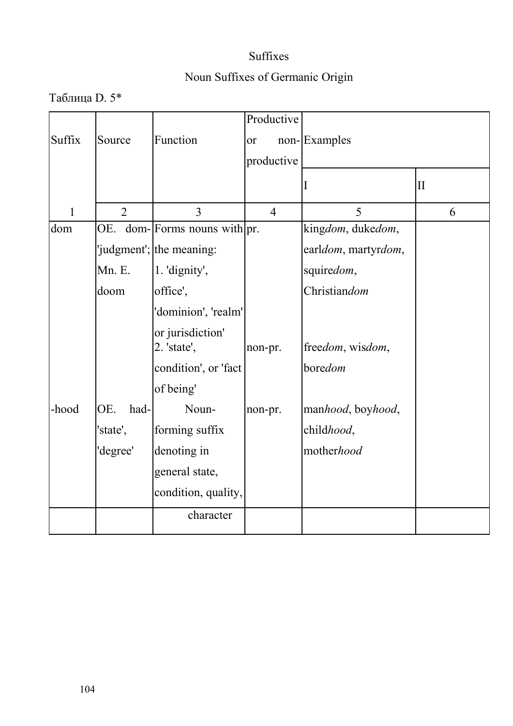#### Suffixes

## Noun Suffixes of Germanic Origin

|        |                |                                                         | Productive     |                     |          |
|--------|----------------|---------------------------------------------------------|----------------|---------------------|----------|
| Suffix | Source         | Function                                                | or             | non-Examples        |          |
|        |                |                                                         | productive     |                     |          |
|        |                |                                                         |                | $\bf{l}$            | $\rm II$ |
| 1      | $\overline{2}$ | 3                                                       | $\overline{4}$ | 5                   | 6        |
| dom    |                | OE. dom- $\frac{1}{2}$ Forms nouns with $\frac{1}{2}$ . |                | kingdom, dukedom,   |          |
|        |                | 'judgment'; the meaning:                                |                | earldom, martyrdom, |          |
|        | Mn. E.         | 1. 'dignity',                                           |                | squiredom,          |          |
|        | doom           | office',                                                |                | Christiandom        |          |
|        |                | 'dominion', 'realm'                                     |                |                     |          |
|        |                | or jurisdiction'<br>$2.$ 'state',                       | non-pr.        | freedom, wisdom,    |          |
|        |                | condition', or 'fact                                    |                | boredom             |          |
|        |                | of being'                                               |                |                     |          |
| -hood  | had-<br>OE.    | Noun-                                                   | non-pr.        | manhood, boyhood,   |          |
|        | 'state',       | forming suffix                                          |                | childhood,          |          |
|        | 'degree'       | denoting in                                             |                | motherhood          |          |
|        |                | general state,                                          |                |                     |          |
|        |                | condition, quality,                                     |                |                     |          |
|        |                | character                                               |                |                     |          |

Таблица D. 5\*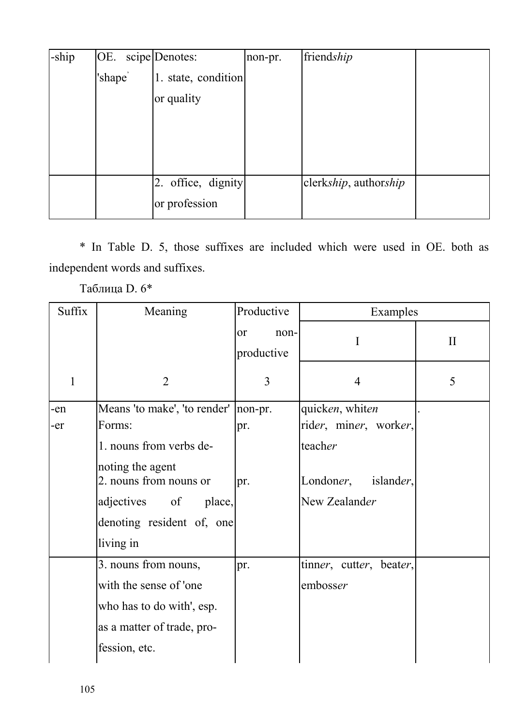| -ship | OE. scipe Denotes:  |                     | non-pr. | friendship            |  |
|-------|---------------------|---------------------|---------|-----------------------|--|
|       | 'shape <sup>'</sup> | 1. state, condition |         |                       |  |
|       |                     | or quality          |         |                       |  |
|       |                     |                     |         |                       |  |
|       |                     |                     |         |                       |  |
|       |                     |                     |         |                       |  |
|       |                     | 2. office, dignity  |         | clerkship, authorship |  |
|       |                     | or profession       |         |                       |  |

\* In Table D. 5, those suffixes are included which were used in OE. both as independent words and suffixes.

Таблица D. 6\*

| <b>Suffix</b> | Meaning                                                                                                         | Productive               | Examples                                |              |  |
|---------------|-----------------------------------------------------------------------------------------------------------------|--------------------------|-----------------------------------------|--------------|--|
|               |                                                                                                                 | non-<br>or<br>productive | I                                       | $\mathbf{I}$ |  |
| 1             | $\overline{2}$                                                                                                  | 3                        | $\overline{4}$                          | 5            |  |
| -en           | Means 'to make', 'to render'                                                                                    | $ non-pr.$               | quicken, whiten                         |              |  |
| -er           | Forms:                                                                                                          | pr.                      | rider, miner, worker,                   |              |  |
|               | 1. nouns from verbs de-                                                                                         |                          | teacher                                 |              |  |
|               | noting the agent<br>2. nouns from nouns or<br>adjectives of<br>place,<br>denoting resident of, one<br>living in | pr.                      | Londoner,<br>islander,<br>New Zealander |              |  |
|               | 3. nouns from nouns,                                                                                            | pr.                      | tinner, cutter, beater,                 |              |  |
|               | with the sense of 'one                                                                                          |                          | embosser                                |              |  |
|               | who has to do with', esp.                                                                                       |                          |                                         |              |  |
|               | as a matter of trade, pro-                                                                                      |                          |                                         |              |  |
|               | fession, etc.                                                                                                   |                          |                                         |              |  |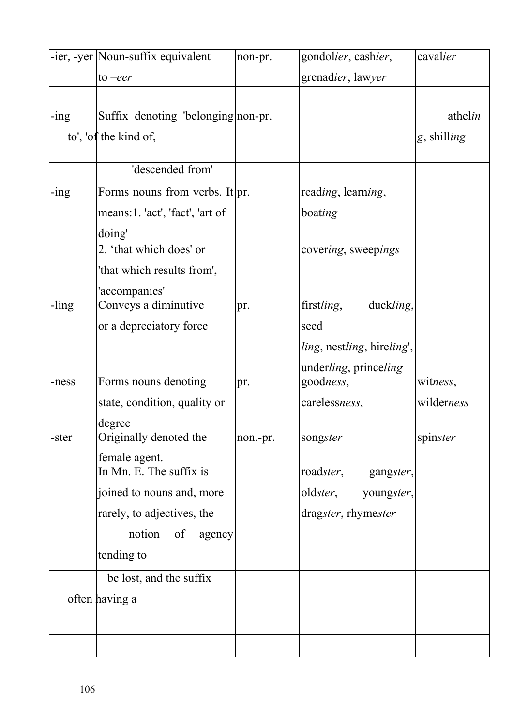|                | -ier, -yer Noun-suffix equivalent        | non-pr.  | gondolier, cashier,                | cavalier    |
|----------------|------------------------------------------|----------|------------------------------------|-------------|
|                | to –eer                                  |          | grenadier, lawyer                  |             |
|                |                                          |          |                                    |             |
| $-$ ing        | Suffix denoting 'belonging non-pr.       |          |                                    | athelin     |
|                | to', 'of the kind of,                    |          |                                    | g, shilling |
|                |                                          |          |                                    |             |
|                | 'descended from'                         |          |                                    |             |
| $-$ ing        | Forms nouns from verbs. It pr.           |          | reading, learning,                 |             |
|                | means:1. 'act', 'fact', 'art of          |          | boating                            |             |
|                | doing'                                   |          |                                    |             |
|                | 2. 'that which does' or                  |          | covering, sweepings                |             |
|                | 'that which results from',               |          |                                    |             |
|                | 'accompanies'                            |          |                                    |             |
| -ling          | Conveys a diminutive                     | pr.      | duckling,<br>firstling,            |             |
|                | or a depreciatory force                  |          | seed                               |             |
|                |                                          |          | <i>ling</i> , nestling, hireling', |             |
|                |                                          |          | underling, princeling              |             |
| -ness          | Forms nouns denoting                     | pr.      | goodness,                          | witness,    |
|                | state, condition, quality or             |          | carelessness,                      | wilderness  |
| -ster          | degree<br>Originally denoted the         | non.-pr. | songster                           | spinster    |
|                | female agent.<br>In Mn. E. The suffix is |          | roadster,<br>gangster,             |             |
|                | joined to nouns and, more                |          | oldster,<br>youngster,             |             |
|                | rarely, to adjectives, the               |          | dragster, rhymester                |             |
|                | notion<br>of<br>agency                   |          |                                    |             |
|                | tending to                               |          |                                    |             |
|                | be lost, and the suffix                  |          |                                    |             |
| often having a |                                          |          |                                    |             |
|                |                                          |          |                                    |             |
|                |                                          |          |                                    |             |
|                |                                          |          |                                    |             |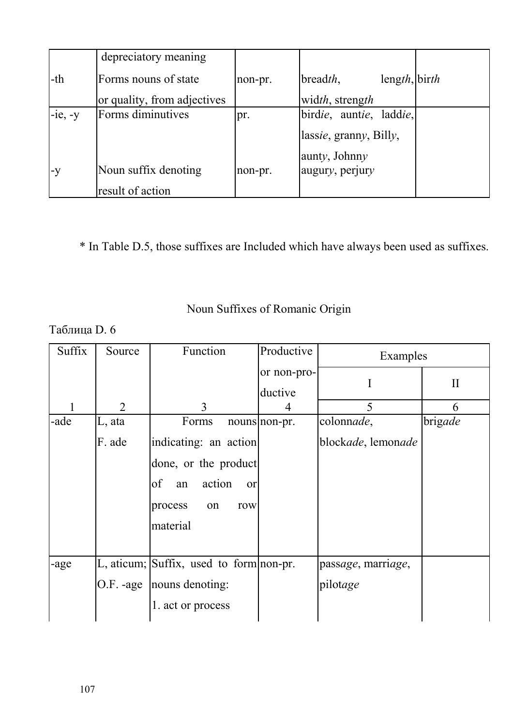|               | depreciatory meaning        |         |                                             |  |
|---------------|-----------------------------|---------|---------------------------------------------|--|
| -th           | Forms nouns of state        | non-pr. | length,  birth<br>$\beta$ bread <i>th</i> , |  |
|               | or quality, from adjectives |         | width, strength                             |  |
| $-ie, -y$     | Forms diminutives           | pr.     | birdie, auntie, laddie,                     |  |
|               |                             |         | lassie, granny, Billy,                      |  |
|               |                             |         | $\alpha$ aunty, Johnny                      |  |
| $\mathsf{=}v$ | Noun suffix denoting        | non-pr. | augury, perjury                             |  |
|               | result of action            |         |                                             |  |

\* In Table D.5, those suffixes are Included which have always been used as suffixes.

### Noun Suffixes of Romanic Origin

#### Таблица D. 6

| Suffix | Source         | Function                                                                                                       | Productive             | Examples                       |          |
|--------|----------------|----------------------------------------------------------------------------------------------------------------|------------------------|--------------------------------|----------|
|        |                |                                                                                                                | or non-pro-<br>ductive | Ι                              | $\rm II$ |
|        | $\overline{2}$ | 3                                                                                                              | 4                      | 5                              | 6        |
| -ade   | L, ata         | Forms                                                                                                          | nouns non-pr.          | colonnade,                     | brigade  |
|        | F. ade         | indicating: an action<br>done, or the product<br>action<br> of<br>an<br>or<br>process<br>on<br>row<br>material |                        | blockade, lemonade             |          |
| -age   |                | L, aticum; Suffix, used to form non-pr.<br>$O.F.$ -age   nouns denoting:<br>1. act or process                  |                        | passage, marriage,<br>pilotage |          |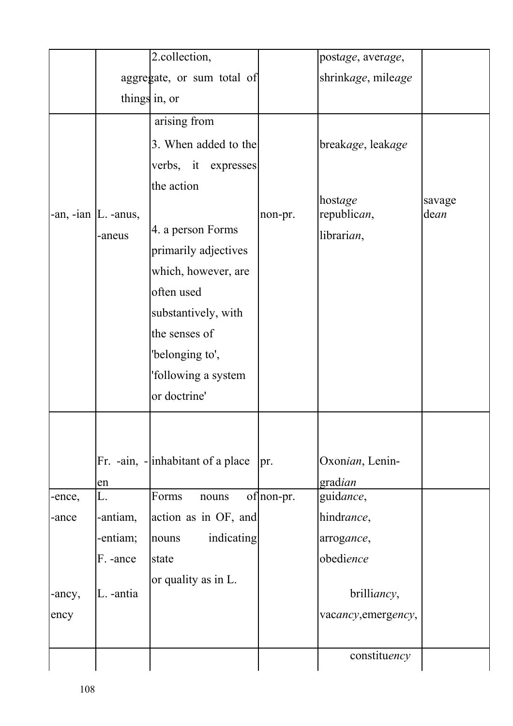|        |                         | 2.collection,                               |            | postage, average,       |                |
|--------|-------------------------|---------------------------------------------|------------|-------------------------|----------------|
|        |                         | aggregate, or sum total of                  |            | shrinkage, mileage      |                |
|        |                         | things in, or                               |            |                         |                |
|        |                         | arising from                                |            |                         |                |
|        |                         | 3. When added to the                        |            | breakage, leakage       |                |
|        |                         | verbs, it expresses                         |            |                         |                |
|        |                         | the action                                  |            |                         |                |
|        | -an, -ian $ L$ . -anus, |                                             | non-pr.    | hostage<br>republican,  | savage<br>dean |
|        | -aneus                  | 4. a person Forms                           |            | librarian,              |                |
|        |                         | primarily adjectives                        |            |                         |                |
|        |                         | which, however, are                         |            |                         |                |
|        |                         | often used                                  |            |                         |                |
|        |                         | substantively, with                         |            |                         |                |
|        |                         | the senses of                               |            |                         |                |
|        |                         | 'belonging to',                             |            |                         |                |
|        |                         | 'following a system                         |            |                         |                |
|        |                         | or doctrine'                                |            |                         |                |
|        |                         |                                             |            |                         |                |
|        |                         |                                             |            |                         |                |
|        |                         | Fr. -ain, - inhabitant of a place           | pr.        | Oxonian, Lenin-         |                |
|        | en                      |                                             |            | gradian                 |                |
| -ence, | L.                      | Forms<br>nouns                              | of non-pr. | guidance,<br>hindrance, |                |
| -ance  | -antiam,<br>-entiam;    | action as in OF, and<br>indicating<br>nouns |            |                         |                |
|        | F. -ance                | state                                       |            | arrogance,<br>obedience |                |
|        |                         | or quality as in L.                         |            |                         |                |
| -ancy, | L. -antia               |                                             |            | brilliancy,             |                |
| ency   |                         |                                             |            | vacancy, emergency,     |                |
|        |                         |                                             |            |                         |                |
|        |                         |                                             |            | constituency            |                |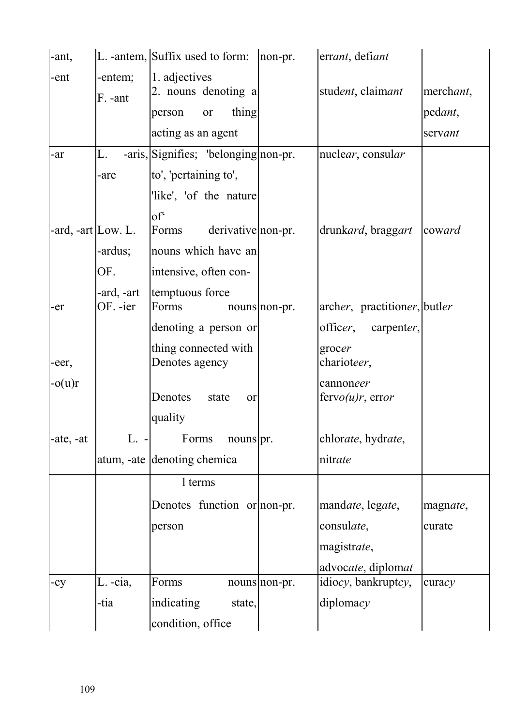| -ant,              |            | L. -antem, $\vert$ Suffix used to form: | $ non-pr.$      | errant, defiant              |           |
|--------------------|------------|-----------------------------------------|-----------------|------------------------------|-----------|
| -ent               | -entem;    | 1. adjectives                           |                 |                              |           |
|                    | F. -ant    | 2. nouns denoting a                     |                 | student, claimant            | merchant, |
|                    |            | thing<br>or<br>person                   |                 |                              | pedant,   |
|                    |            | acting as an agent                      |                 |                              | servant   |
| -ar                | L.         | -aris, Signifies; 'belonging non-pr.    |                 | nuclear, consular            |           |
|                    | -are       | to', 'pertaining to',                   |                 |                              |           |
|                    |            | like', 'of the nature                   |                 |                              |           |
|                    |            | $of$ <sup><math>\circ</math></sup>      |                 |                              |           |
| -ard, -art Low. L. |            | derivative non-pr.<br>Forms             |                 | drunkard, braggart           | coward    |
|                    | -ardus;    | nouns which have an                     |                 |                              |           |
|                    | OF.        | intensive, often con-                   |                 |                              |           |
|                    | -ard, -art | temptuous force                         |                 |                              |           |
| -er                | OF. -ier   | Forms                                   | nouns non-pr.   | archer, practitioner, butler |           |
|                    |            | denoting a person or                    |                 | officer,<br>carpenter,       |           |
| -eer,              |            | thing connected with<br>Denotes agency  |                 | grocer<br>charioteer,        |           |
| $-o(u)r$           |            |                                         |                 | cannoneer                    |           |
|                    |            | Denotes<br>state<br>or                  |                 | $fervo(u)r$ , error          |           |
|                    |            | quality                                 |                 |                              |           |
| -ate, -at          | L.         | Forms<br>nouns   pr.                    |                 | chlorate, hydrate,           |           |
|                    |            | atum, -ate denoting chemica             |                 | nitrate                      |           |
|                    |            | 1 terms                                 |                 |                              |           |
|                    |            | Denotes function or non-pr.             |                 | mandate, legate,             | magnate,  |
|                    |            | person                                  |                 | consulate,                   | curate    |
|                    |            |                                         |                 | magistrate,                  |           |
|                    |            |                                         |                 | advocate, diplomat           |           |
| $-cy$              | L. -cia,   | Forms                                   | $nouns non-pr.$ | idiocy, bankruptcy,          | curacy    |
|                    | -tia       | indicating<br>state,                    |                 | diplomacy                    |           |
|                    |            | condition, office                       |                 |                              |           |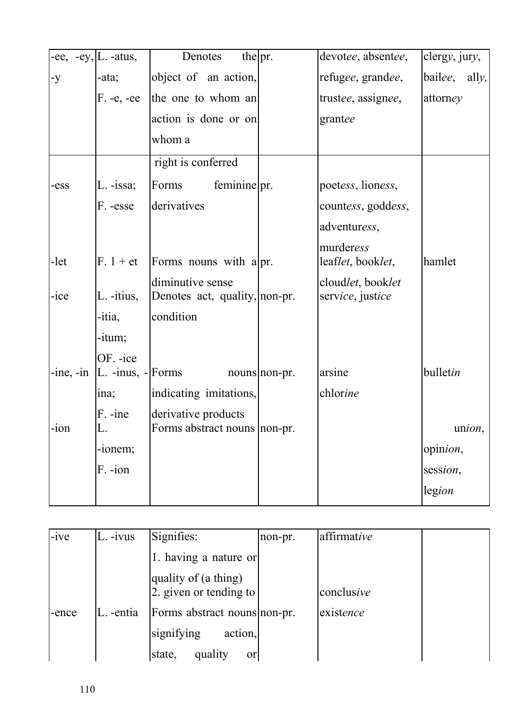|        | $-ee$ , $-ey$ , $ L$ . $-atus$ ,        | Denotes<br>the $pr.$                                  |                 | devotee, absentee,                    | clergy, jury, |
|--------|-----------------------------------------|-------------------------------------------------------|-----------------|---------------------------------------|---------------|
| $-y$   | -ata;                                   | object of an action,                                  |                 | refugee, grandee,                     | bailee, ally, |
|        |                                         | $F. -e, -ee$ the one to whom an                       |                 | trustee, assignee,                    | attorney      |
|        |                                         | action is done or on                                  |                 | grantee                               |               |
|        |                                         | whom a                                                |                 |                                       |               |
|        |                                         | right is conferred                                    |                 |                                       |               |
| -ess   | L. -issa;                               | feminine pr.<br>Forms                                 |                 | poetess, lioness,                     |               |
|        | F. -esse                                | derivatives                                           |                 | countess, goddess,                    |               |
|        |                                         |                                                       |                 | adventuress,                          |               |
| -let   | $F. 1 + et$                             | Forms nouns with $a pr$ .                             |                 | murderess<br>leaflet, booklet,        | hamlet        |
| $-ice$ | L. -itius,                              | diminutive sense<br>Denotes act, quality, non-pr.     |                 | cloudlet, booklet<br>service, justice |               |
|        | -itia,                                  | condition                                             |                 |                                       |               |
|        | $-itum;$                                |                                                       |                 |                                       |               |
|        | OF. -ice                                |                                                       |                 |                                       |               |
|        | $-ine$ , $-in$ $ L. -inus$ , $- Forms $ |                                                       | $nouns non-pr.$ | arsine                                | bulletin      |
|        | ina;                                    | indicating imitations,                                |                 | chlorine                              |               |
| $-ion$ | F. -ine<br>L.                           | derivative products<br>Forms abstract nouns   non-pr. |                 |                                       | union,        |
|        | -ionem;                                 |                                                       |                 |                                       | opinion,      |
|        | F. -ion                                 |                                                       |                 |                                       | session,      |
|        |                                         |                                                       |                 |                                       | legion        |

| $-ive$ | $L. -ivus$ | Signifies:                                     | non-pr. | laffirmat <i>ive</i> |  |
|--------|------------|------------------------------------------------|---------|----------------------|--|
|        |            | 1. having a nature or                          |         |                      |  |
|        |            | quality of (a thing)<br>2. given or tending to |         | conclusive           |  |
| -ence  | L. -entia  | Forms abstract nouns non-pr.                   |         | existence            |  |
|        |            | signifying<br>action,                          |         |                      |  |
|        |            | quality<br>state,<br>or                        |         |                      |  |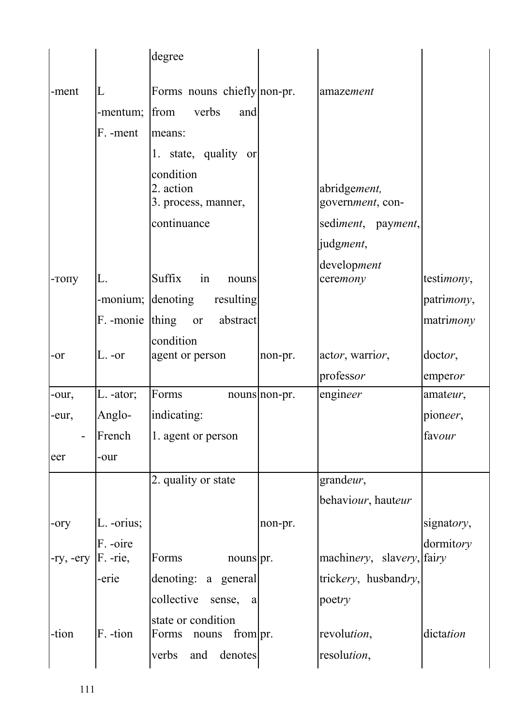|                                   |                   | degree                                                       |               |                                      |            |
|-----------------------------------|-------------------|--------------------------------------------------------------|---------------|--------------------------------------|------------|
| -ment                             | $\mathsf L$       | Forms nouns chiefly non-pr.                                  |               | amaze <i>ment</i>                    |            |
|                                   | -mentum; $ from$  | verbs<br>and                                                 |               |                                      |            |
|                                   | F. -ment          | means:                                                       |               |                                      |            |
|                                   |                   | 1. state, quality<br>or                                      |               |                                      |            |
|                                   |                   | condition<br>2. action<br>3. process, manner,<br>continuance |               | abridgement,<br>government, con-     |            |
|                                   |                   |                                                              |               | sediment, payment,                   |            |
| -топу                             | L.                | Suffix<br>in<br>nouns                                        |               | judgment,<br>development<br>ceremony | testimony, |
|                                   | -monium; denoting | resulting                                                    |               |                                      | patrimony, |
|                                   |                   | $F.$ -monie thing or<br>abstract                             |               |                                      | matrimony  |
| -or                               | $L. -or$          | condition<br>agent or person                                 | non-pr.       | actor, warrior,                      | doctor,    |
|                                   |                   |                                                              |               | professor                            | emperor    |
| -our,                             | $L.$ -ator;       | Forms                                                        | nouns non-pr. | engineer                             | amateur,   |
| -eur,                             | Anglo-            | indicating:                                                  |               |                                      | pioneer,   |
|                                   | French            | 1. agent or person                                           |               |                                      | favour     |
| eer                               | -our              |                                                              |               |                                      |            |
|                                   |                   | 2. quality or state                                          |               | grandeur,                            |            |
|                                   |                   |                                                              |               | behaviour, hauteur                   |            |
| -ory                              | L. -orius;        |                                                              | non-pr.       |                                      | signatory, |
| $-ry$ , $-ery \vert F$ . $-rie$ , | F. -oire          | Forms<br>nouns   pr.                                         |               | machinery, slavery, fairy            | dormitory  |
|                                   | -erie             | denoting: a general                                          |               | trickery, husbandry,                 |            |
|                                   |                   | collective<br>sense,<br>a                                    |               | poetry                               |            |
|                                   |                   | state or condition                                           |               |                                      |            |
| -tion                             | F. -tion          | from $pr.$<br>Forms<br>nouns                                 |               | revolution,                          | dictation  |
|                                   |                   | verbs<br>and<br>denotes                                      |               | resolution,                          |            |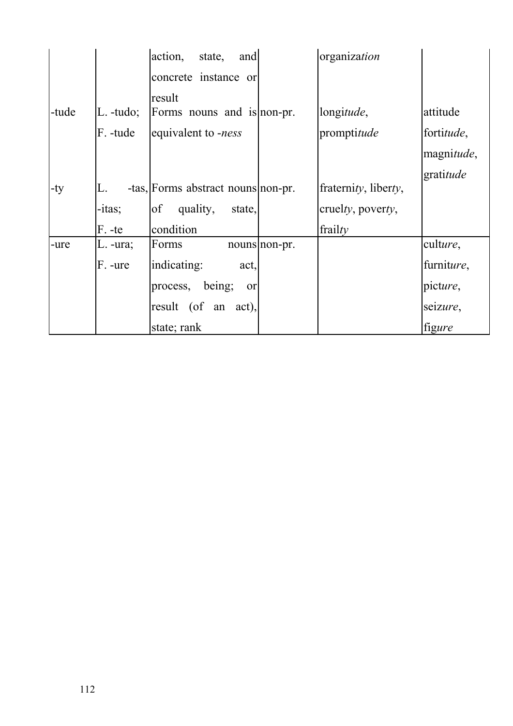|       |            | action,<br>and<br>state,             |               | organization         |            |
|-------|------------|--------------------------------------|---------------|----------------------|------------|
|       |            | concrete instance or                 |               |                      |            |
| -tude | L. -tudo;  | result<br>Forms nouns and is non-pr. |               | longitude,           | attitude   |
|       | F.-tude    | equivalent to -ness                  |               | promptitude          | fortitude, |
|       |            |                                      |               |                      | magnitude, |
|       |            |                                      |               |                      | gratitude  |
| $-ty$ | L.         | -tas, Forms abstract nouns non-pr.   |               | fraternity, liberty, |            |
|       | $-itas;$   | of<br>quality,<br>state,             |               | cruelty, poverty,    |            |
|       | $F. -te$   | condition                            |               | frailty              |            |
| -ure  | $L.$ -ura; | Forms                                | nouns non-pr. |                      | culture,   |
|       | $F. -ure$  | indicating:<br>act,                  |               |                      | furniture, |
|       |            | process, being;<br>$\alpha$          |               |                      | picture,   |
|       |            | result (of an act),                  |               |                      | seizure,   |
|       |            | state; rank                          |               |                      | figure     |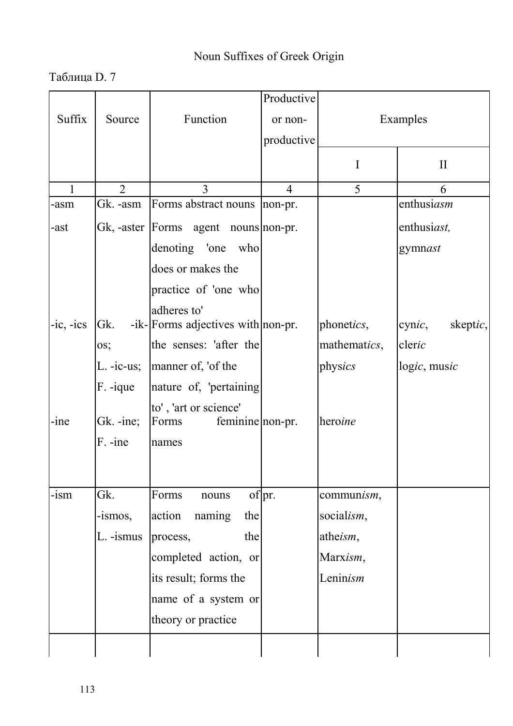## Noun Suffixes of Greek Origin

Таблица D. 7

|                 |                |                                                                          | Productive     |              |                       |
|-----------------|----------------|--------------------------------------------------------------------------|----------------|--------------|-----------------------|
| Suffix          | Source         | Function                                                                 | or non-        |              | Examples              |
|                 |                |                                                                          | productive     |              |                       |
|                 |                |                                                                          |                | I            | $\rm II$              |
| $\mathbf{1}$    | $\overline{2}$ | $\overline{3}$                                                           | $\overline{4}$ | 5            | 6                     |
| -asm            | Gk. -asm       | Forms abstract nouns   non-pr.                                           |                |              | enthusiasm            |
| -ast            |                | Gk, -aster $  \text{Forms} \text{ agent} \text{ nouns}   \text{non-pr.}$ |                |              | enthusiast,           |
|                 |                | denoting 'one who                                                        |                |              | gymnast               |
|                 |                | does or makes the                                                        |                |              |                       |
|                 |                | practice of 'one who                                                     |                |              |                       |
|                 |                | adheres to'                                                              |                |              |                       |
| $-ic, -ics$ Gk. |                | $-ik$ - $\frac{1}{2}$ Forms adjectives with non-pr.                      |                | phonetics,   | skeptic,<br>$cynic$ , |
|                 | os;            | the senses: 'after the                                                   |                | mathematics, | cleric                |
|                 |                | L. -ic-us; $ $ manner of, 'of the                                        |                | physics      | logic, music          |
|                 | F. -ique       | nature of, 'pertaining'                                                  |                |              |                       |
| $-ine$          | $Gk.$ -ine;    | to', 'art or science'<br>Forms<br>feminine non-pr.                       |                | heroine      |                       |
|                 | F. -ine        | names                                                                    |                |              |                       |
|                 |                |                                                                          |                |              |                       |
|                 |                |                                                                          |                |              |                       |
| $-ism$          | Gk.            | Forms<br>nouns                                                           | of  pr.        | communism,   |                       |
|                 | $-ismos,$      | action<br>naming<br>the                                                  |                | socialism,   |                       |
|                 | L. -ismus      | the<br>process,                                                          |                | atheism,     |                       |
|                 |                | completed action, or                                                     |                | Marxism,     |                       |
|                 |                | its result; forms the                                                    |                | Leninism     |                       |
|                 |                | name of a system or                                                      |                |              |                       |
|                 |                | theory or practice                                                       |                |              |                       |
|                 |                |                                                                          |                |              |                       |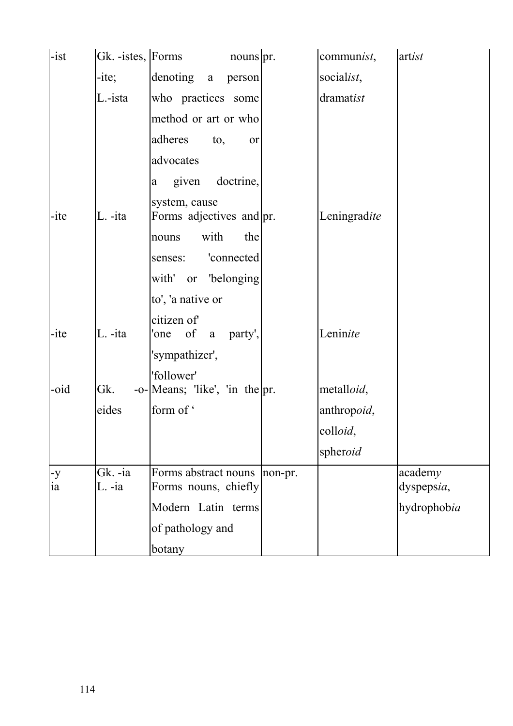| $-$ ist               |                   | Gk. -istes, $\vert$ Forms nouns $\vert$ pr.                       | communist,        | artist                |
|-----------------------|-------------------|-------------------------------------------------------------------|-------------------|-----------------------|
|                       | $-ite;$           | denoting a<br>person                                              | socialist,        |                       |
|                       | L.-ista           | who practices some                                                | dramatist         |                       |
|                       |                   | method or art or who                                              |                   |                       |
|                       |                   | adheres<br>to,<br>or                                              |                   |                       |
|                       |                   | advocates                                                         |                   |                       |
|                       |                   | given doctrine,<br>a                                              |                   |                       |
| -ite                  | L. -ita           | system, cause<br>Forms adjectives and pr.<br>with<br>the<br>nouns | Leningradite      |                       |
|                       |                   | 'connected<br>senses:                                             |                   |                       |
|                       |                   | with' or 'belonging                                               |                   |                       |
|                       |                   | to', 'a native or                                                 |                   |                       |
| -ite                  | L. -ita           | citizen of<br>'one of a<br>party',                                | Leninite          |                       |
|                       |                   | 'sympathizer',                                                    |                   |                       |
| -oid                  | Gk.               | 'follower'<br>$-o$ - $Means$ ; 'like', 'in the pr.                | metalloid,        |                       |
|                       | eides             | form of "                                                         | anthropoid,       |                       |
|                       |                   |                                                                   | $ {\rm coll}oid,$ |                       |
|                       |                   |                                                                   | spheroid          |                       |
| $-y$<br><sub>1a</sub> | Gk. -ia<br>L. -ia | Forms abstract nouns   non-pr.<br>Forms nouns, chiefly            |                   | academy<br>dyspepsia, |
|                       |                   | Modern Latin terms                                                |                   | hydrophobia           |
|                       |                   | of pathology and                                                  |                   |                       |
|                       |                   | botany                                                            |                   |                       |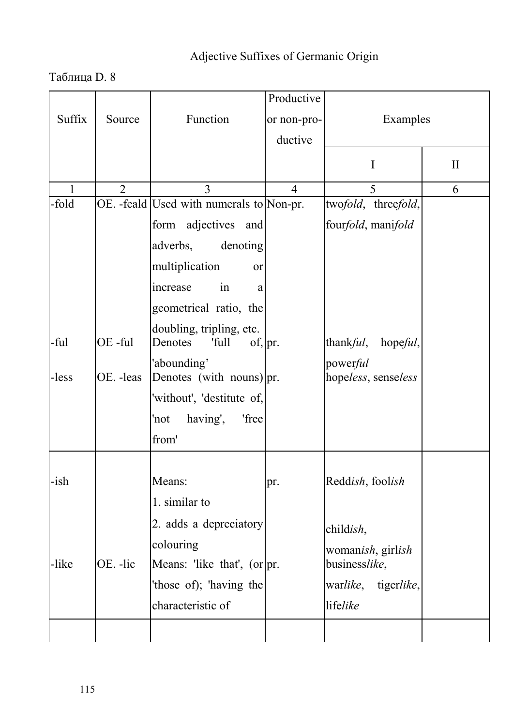# Adjective Suffixes of Germanic Origin

Таблица D. 8

|        |                |                                                          | Productive     |                                 |          |
|--------|----------------|----------------------------------------------------------|----------------|---------------------------------|----------|
| Suffix | Source         | Function                                                 | or non-pro-    | Examples                        |          |
|        |                |                                                          | ductive        |                                 |          |
|        |                |                                                          |                | I                               | $\rm II$ |
| 1      | $\overline{2}$ | 3                                                        | $\overline{4}$ | 5                               | 6        |
| -fold  |                | OE. - feald Used with numerals to Non-pr.                |                | twofold, threefold,             |          |
|        |                | form adjectives and                                      |                | fourfold, manifold              |          |
|        |                | adverbs,<br>denoting                                     |                |                                 |          |
|        |                | multiplication<br>or                                     |                |                                 |          |
|        |                | increase<br>in<br>$\rm a$                                |                |                                 |          |
|        |                | geometrical ratio, the                                   |                |                                 |          |
| -ful   | OE-ful         | doubling, tripling, etc.<br>Denotes<br>'full<br>of,  pr. |                | thankful,<br>hopeful,           |          |
| -less  | OE. - leas     | 'abounding'<br>Denotes (with nouns) pr.                  |                | powerful<br>hopeless, senseless |          |
|        |                | 'without', 'destitute of,                                |                |                                 |          |
|        |                | having',<br>'free<br>'not                                |                |                                 |          |
|        |                | from'                                                    |                |                                 |          |
|        |                |                                                          |                |                                 |          |
| -ish   |                | Means:                                                   | pr.            | Reddish, foolish                |          |
|        |                | 1. similar to                                            |                |                                 |          |
|        |                | 2. adds a depreciatory                                   |                | childish,                       |          |
|        |                | colouring                                                |                | womanish, girlish               |          |
| -like  | OE. -lic       | Means: 'like that', (or pr.                              |                | businesslike,                   |          |
|        |                | 'those of); 'having the                                  |                | tigerlike,<br>war <i>like</i> , |          |
|        |                | characteristic of                                        |                | lifelike                        |          |
|        |                |                                                          |                |                                 |          |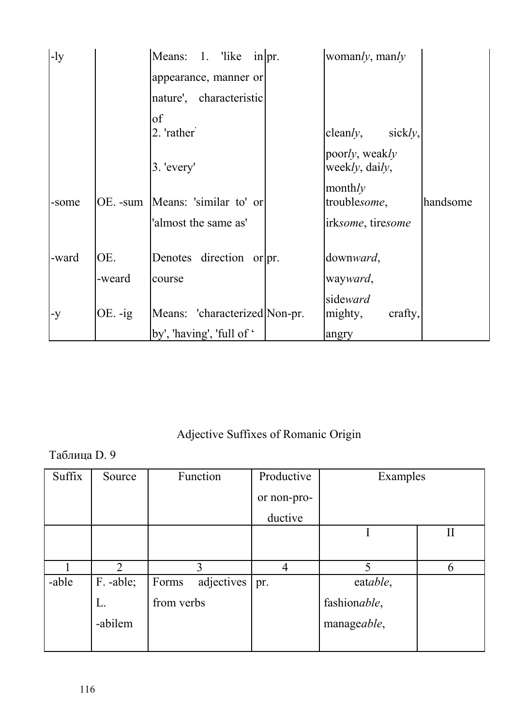| $-1y$ |           | Means: 1. Tike in $pr.$          | womanly, manly                   |          |
|-------|-----------|----------------------------------|----------------------------------|----------|
|       |           | appearance, manner or            |                                  |          |
|       |           | nature', characteristic          |                                  |          |
|       |           | of                               |                                  |          |
|       |           | 2. 'rather <sup>'</sup>          | $clearly, \text{ sickly},$       |          |
|       |           | $3.$ 'every'                     | poorly, weakly<br>weekly, daily, |          |
|       |           |                                  | month $l$ y                      |          |
| -some |           | OE. -sum  Means: 'similar to' or | troublesome,                     | handsome |
|       |           | 'almost the same as'             | irksome, tiresome                |          |
|       |           |                                  |                                  |          |
| -ward | OE.       | Denotes direction or $pr.$       | downward,                        |          |
|       | -weard    | course                           | way <i>ward</i> ,                |          |
|       |           |                                  | sideward                         |          |
| $-y$  | $OE. -ig$ | Means: 'characterized Non-pr.    | mighty,<br>crafty,               |          |
|       |           | by', 'having', 'full of '        | angry                            |          |

## Adjective Suffixes of Romanic Origin

## Таблица D. 9

| Suffix | Source        | Function            | Productive     | Examples     |              |
|--------|---------------|---------------------|----------------|--------------|--------------|
|        |               |                     | or non-pro-    |              |              |
|        |               |                     | ductive        |              |              |
|        |               |                     |                |              | $\mathbf{I}$ |
|        |               |                     |                |              |              |
|        | $\mathcal{L}$ | $\overline{3}$      | $\overline{4}$ | 5            | 6            |
| -able  | $F. -able;$   | adjectives<br>Forms | pr.            | eatable,     |              |
|        | L.            | from verbs          |                | fashionable, |              |
|        | -abilem       |                     |                | manageable,  |              |
|        |               |                     |                |              |              |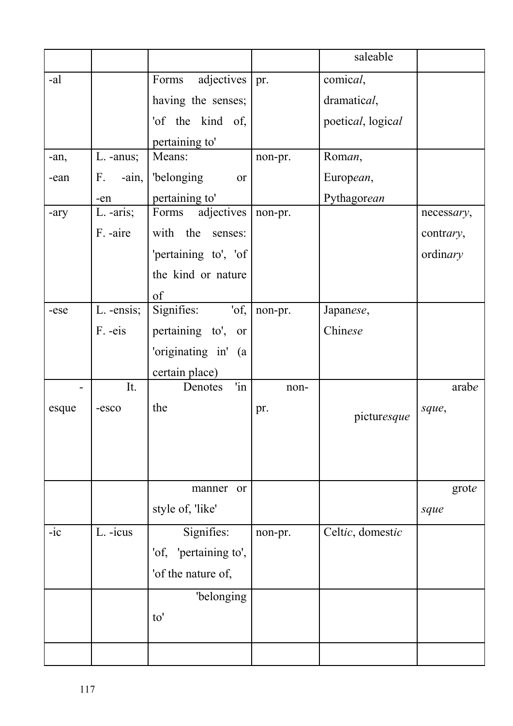|        |               |                       |         | saleable          |            |
|--------|---------------|-----------------------|---------|-------------------|------------|
| -al    |               | adjectives<br>Forms   | pr.     | comical,          |            |
|        |               | having the senses;    |         | dramatical,       |            |
|        |               | 'of the kind of,      |         | poetical, logical |            |
|        |               | pertaining to'        |         |                   |            |
| $-an,$ | $L. -anus;$   | Means:                | non-pr. | Roman,            |            |
| -ean   | F.<br>$-ain,$ | 'belonging<br>or      |         | European,         |            |
|        | -en           | pertaining to'        |         | Pythagorean       |            |
| -ary   | L. -aris;     | adjectives<br>Forms   | non-pr. |                   | necessary, |
|        | F. -aire      | with the senses:      |         |                   | contrary,  |
|        |               | 'pertaining to', 'of  |         |                   | ordinary   |
|        |               | the kind or nature    |         |                   |            |
|        |               | of                    |         |                   |            |
| -ese   | L. -ensis;    | 'of,<br>Signifies:    | non-pr. | Japanese,         |            |
|        | F. -eis       | pertaining to', or    |         | Chinese           |            |
|        |               | 'originating in' (a   |         |                   |            |
|        |               | certain place)        |         |                   |            |
|        | It.           | 'in<br>Denotes        | non-    |                   | arabe      |
| esque  | -esco         | the                   | pr.     | picturesque       | sque,      |
|        |               |                       |         |                   |            |
|        |               |                       |         |                   |            |
|        |               |                       |         |                   |            |
|        |               | manner<br>or          |         |                   | grote      |
|        |               | style of, 'like'      |         |                   | sque       |
| $-ic$  | L. -icus      | Signifies:            | non-pr. | Celtic, domestic  |            |
|        |               | 'of, 'pertaining to', |         |                   |            |
|        |               | 'of the nature of,    |         |                   |            |
|        |               | 'belonging            |         |                   |            |
|        |               | to'                   |         |                   |            |
|        |               |                       |         |                   |            |
|        |               |                       |         |                   |            |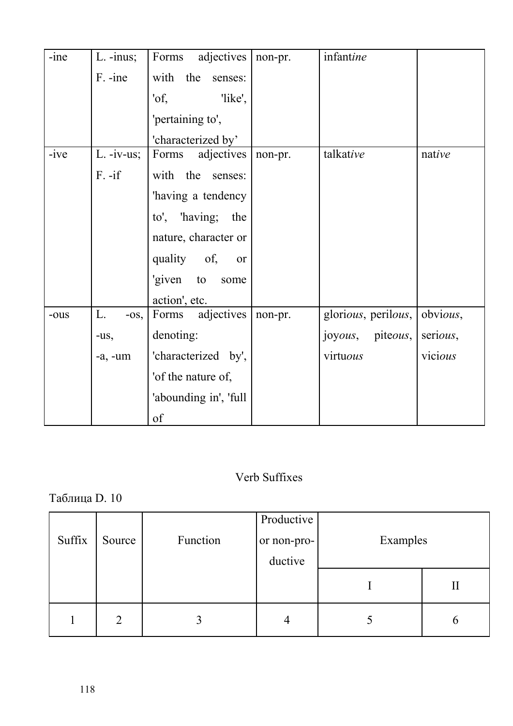| $-ine$ | $L. -inus;$  | adjectives<br>Forms   | non-pr. | infantine           |          |
|--------|--------------|-----------------------|---------|---------------------|----------|
|        | F. -ine      | with the<br>senses:   |         |                     |          |
|        |              | 'of,<br>'like',       |         |                     |          |
|        |              | 'pertaining to',      |         |                     |          |
|        |              | 'characterized by'    |         |                     |          |
| $-ive$ | $L. -iv-us;$ | adjectives<br>Forms   | non-pr. | talkative           | native   |
|        | $F. -if$     | with the<br>senses:   |         |                     |          |
|        |              | 'having a tendency    |         |                     |          |
|        |              | to', 'having; the     |         |                     |          |
|        |              | nature, character or  |         |                     |          |
|        |              | quality of,<br>or     |         |                     |          |
|        |              | 'given to<br>some     |         |                     |          |
|        |              | action', etc.         |         |                     |          |
| $-ous$ | L.<br>$-OS,$ | adjectives<br>Forms   | non-pr. | glorious, perilous, | obvious, |
|        | $-US$ ,      | denoting:             |         | joyous, piteous,    | serious, |
|        | $-a$ , $-um$ | 'characterized by',   |         | virtuous            | vicious  |
|        |              | 'of the nature of,    |         |                     |          |
|        |              | 'abounding in', 'full |         |                     |          |
|        |              | of                    |         |                     |          |

### Verb Suffixes

Таблица D. 10

| Suffix | Source         | Function | Productive<br>or non-pro-<br>ductive | Examples |             |
|--------|----------------|----------|--------------------------------------|----------|-------------|
|        |                |          |                                      |          | $\prod$     |
|        | $\overline{2}$ | C        | 4                                    |          | $\mathbf b$ |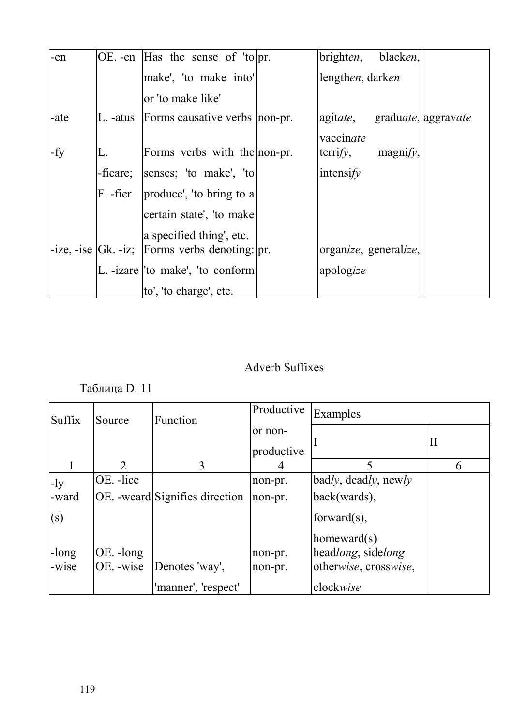| -en   |          | $OE.$ -en  Has the sense of 'to pr.                                                 | brighten,                        | blacken,                     |  |
|-------|----------|-------------------------------------------------------------------------------------|----------------------------------|------------------------------|--|
|       |          | make', 'to make into'                                                               | lengthen, darken                 |                              |  |
|       |          | or 'to make like'                                                                   |                                  |                              |  |
| -ate  |          | L. -atus Forms causative verbs non-pr.                                              |                                  | agitate, graduate, aggravate |  |
| $-fv$ | L.       | Forms verbs with the non-pr.                                                        | vaccinate<br>$\text{terri}f_y$ , | $\text{magnify,}$            |  |
|       | -ficare; | senses; 'to make', 'to                                                              | intensi $f_y$                    |                              |  |
|       | F. -fier | produce', 'to bring to a                                                            |                                  |                              |  |
|       |          | certain state', 'to make                                                            |                                  |                              |  |
|       |          | a specified thing', etc.<br>$-ize$ , $-ise  Gk$ . $-iz$ ; Forms verbs denoting: pr. |                                  | organize, generalize,        |  |
|       |          | L. -izare 'to make', 'to conform                                                    | apologize                        |                              |  |
|       |          | to', 'to charge', etc.                                                              |                                  |                              |  |

## Adverb Suffixes

Таблица D. 11

| Suffix                 | Source         | Function                        | Productive | Examples                             |   |
|------------------------|----------------|---------------------------------|------------|--------------------------------------|---|
|                        |                |                                 | or non-    |                                      | П |
|                        |                |                                 | productive |                                      |   |
|                        | $\overline{2}$ | 3                               |            |                                      | 6 |
| $ $ -ly                | OE. -lice      |                                 | non-pr.    | badly, deadly, newly                 |   |
| -ward                  |                | OE. - weard Signifies direction | non-pr.    | back(wards),                         |   |
| (s)                    |                |                                 |            | forward $(s)$ ,                      |   |
| $\left  -\right $ long | OE. -long      |                                 | non-pr.    | homeward $(s)$<br>headlong, sidelong |   |
| -wise                  | OE. -wise      | Denotes 'way',                  | non-pr.    | otherwise, crosswise,                |   |
|                        |                | 'manner', 'respect'             |            | clockwise                            |   |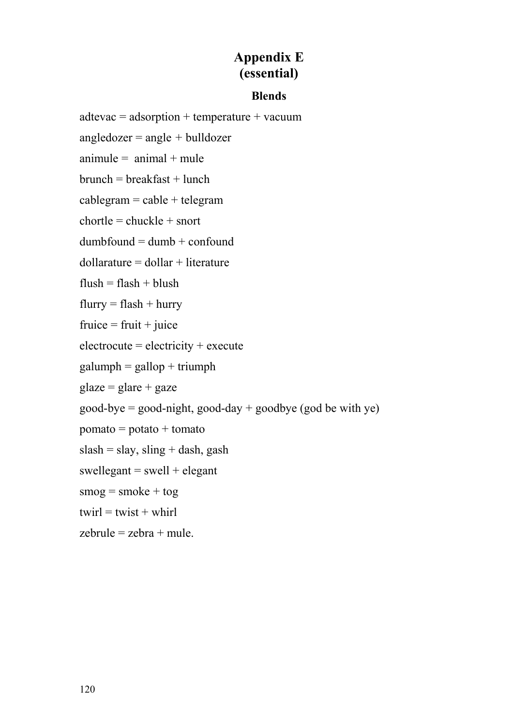### **Appendix E (essential)**

#### **Blends**

 $adtevac = adsorption + temperature + vacuum$ 

angledozer = angle *+* bulldozer

animule =  $\text{animal} + \text{mule}$ 

 $brunch = breakfast + lunch$ 

 $cablegram = cable + telegram$ 

 $chortle = chuckle + snort$ 

 $d$ umbfound =  $d$ umb + confound

 $dollarature = dollar + literature$ 

 $flush = flash + blush$ 

 $flurry = flash + hurry$ 

 $fruice = fruit + juice$ 

 $electrocute = electricity + execute$ 

 $\text{g} \text{alumph} = \text{g} \text{allop} + \text{triumph}$ 

 $glaze = glare + gaze$ 

 $good-bye = good-night, good-day + goodbye (god be with ye)$ 

 $pomato = potato + tomato$ 

 $slash = slay$ ,  $sling + dash$ , gash

 $swellegant = swell + elegant$ 

 $smog = smoke + tog$ 

 $twirl = twist + whirl$ 

 $zebrule = zebra + mule.$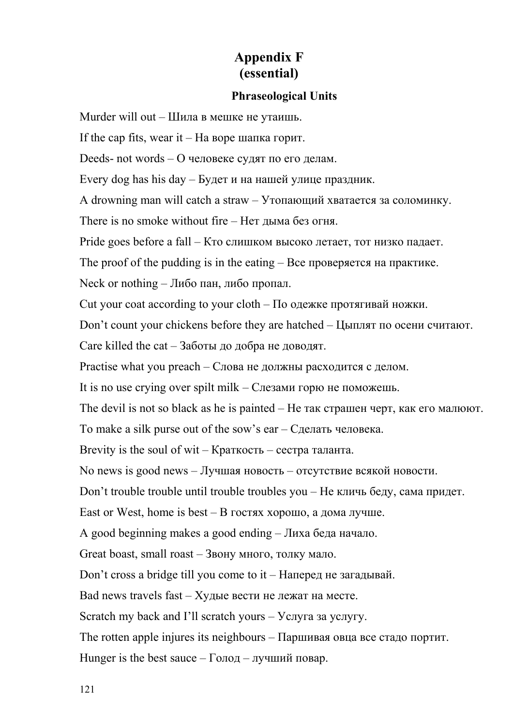### **Appendix F (essential)**

#### **Phraseological Units**

Murder will out – Шила в мешке не утаишь. If the cap fits, wear it – На воре шапка горит. Deeds- not words – О человеке судят по его делам. Every dog has his day – Будет и на нашей улице праздник. A drowning man will catch a straw – Утопающий хватается за соломинку. There is no smoke without fire – Нет дыма без огня. Pride goes before a fall – Кто слишком высоко летает, тот низко падает. The proof of the pudding is in the eating – Все проверяется на практике. Neck or nothing – Либо пан, либо пропал. Cut your coat according to your cloth – По одежке протягивай ножки. Don't count your chickens before they are hatched – Цыплят по осени считают. Care killed the cat – Заботы до добра не доводят. Practise what you preach – Слова не должны расходится с делом. It is no use crying over spilt milk – Слезами горю не поможешь. The devil is not so black as he is painted – Не так страшен черт, как его малюют. To make a silk purse out of the sow's ear – Сделать человека. Brevity is the soul of wit – Краткость – сестра таланта. No news is good news – Лучшая новость – отсутствие всякой новости. Don't trouble trouble until trouble troubles you – Не кличь беду, сама придет. East or West, home is best – В гостях хорошо, а дома лучше. A good beginning makes a good ending – Лиха беда начало. Great boast, small roast – Звону много, толку мало. Don't cross a bridge till you come to it – Наперед не загадывай. Bad news travels fast – Худые вести не лежат на месте. Scratch my back and I'll scratch yours – Услуга за услугу. The rotten apple injures its neighbours – Паршивая овца все стадо портит. Hunger is the best sauce  $-\Gamma$ олод  $-\pi$ учший повар.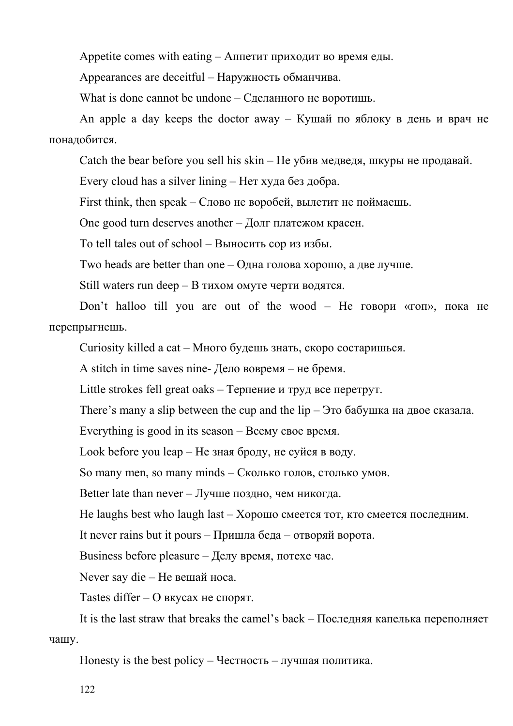Appetite comes with eating – Аппетит приходит во время еды.

Appearances are deceitful – Наружность обманчива.

What is done cannot be undone – Сделанного не воротишь.

An apple a day keeps the doctor away – Кушай по яблоку в день и врач не понадобится.

Catch the bear before you sell his skin – Не убив медведя, шкуры не продавай.

Every cloud has a silver lining – Нет худа без добра.

First think, then speak – Слово не воробей, вылетит не поймаешь.

One good turn deserves another  $-$  Долг платежом красен.

To tell tales out of school – Выносить сор из избы.

Two heads are better than one  $-$  Одна голова хорошо, а две лучше.

Still waters run deep – В тихом омуте черти водятся.

Don't halloo till you are out of the wood – Не говори «гоп», пока не перепрыгнешь.

Curiosity killed a cat – Много будешь знать, скоро состаришься.

A stitch in time saves nine- Дело вовремя – не бремя.

Little strokes fell great oaks – Терпение и труд все перетрут.

There's many a slip between the cup and the lip – Это бабушка на двое сказала.

Everything is good in its season – Всему свое время.

Look before you leap – Не зная броду, не суйся в воду.

So many men, so many minds – Сколько голов, столько умов.

Better late than never – Лучше поздно, чем никогда.

He laughs best who laugh last – Хорошо смеется тот, кто смеется последним.

It never rains but it pours – Пришла беда – отворяй ворота.

Business before pleasure – Делу время, потехе час.

Never say die – Не вешай носа.

Tastes differ – О вкусах не спорят.

It is the last straw that breaks the camel's back – Последняя капелька переполняет чашу.

Honesty is the best policy –  $\text{V}$  честность – лучшая политика.

122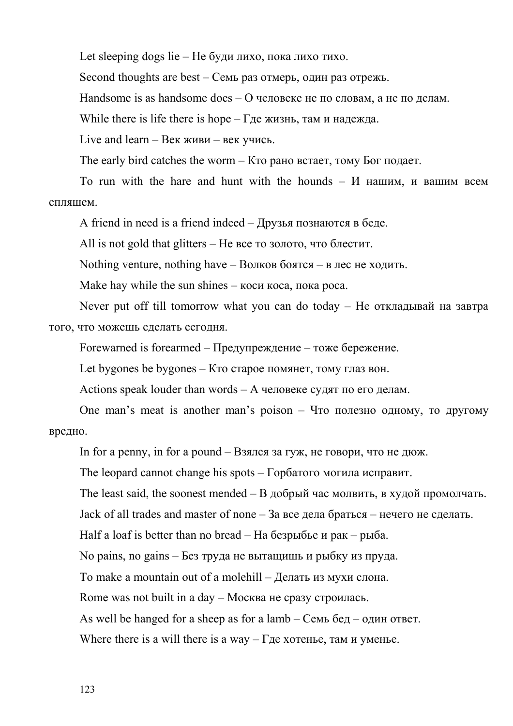Let sleeping dogs lie – Не буди лихо, пока лихо тихо.

Second thoughts are best – Семь раз отмерь, один раз отрежь.

Handsome is as handsome does  $-$  О человеке не по словам, а не по делам.

While there is life there is hope –  $\Gamma$ де жизнь, там и надежда.

Live and learn – Век живи – век учись.

The early bird catches the worm – Кто рано встает, тому Бог подает.

To run with the hare and hunt with the hounds  $-$   *нашим, и вашим всем* спляшем.

A friend in need is a friend indeed – Друзья познаются в беде.

All is not gold that glitters – Не все то золото, что блестит.

Nothing venture, nothing have – Волков боятся – в лес не ходить.

Make hay while the sun shines – коси коса, пока роса.

Never put off till tomorrow what you can do today – Не откладывай на завтра того, что можешь сделать сегодня.

Forewarned is forearmed –  $\Pi$ редупреждение – тоже бережение.

Let bygones be bygones – Кто старое помянет, тому глаз вон.

Actions speak louder than words – А человеке судят по его делам.

One man's meat is another man's poison – Что полезно одному, то другому вредно.

In for a penny, in for a pound – Взялся за гуж, не говори, что не дюж.

The leopard cannot change his spots  $-\Gamma$ орбатого могила исправит.

The least said, the soonest mended  $-$  В добрый час молвить, в худой промолчать.

Jack of all trades and master of none – За все дела браться – нечего не сделать.

Half a loaf is better than no bread – На безрыбье и рак – рыба.

No pains, no gains – Без труда не вытащишь и рыбку из пруда.

To make a mountain out of a molehill – Делать из мухи слона.

Rome was not built in a day – Москва не сразу строилась.

As well be hanged for a sheep as for a lamb – Семь бед – один ответ.

Where there is a will there is a way  $-\Gamma$  ge хотенье, там и уменье.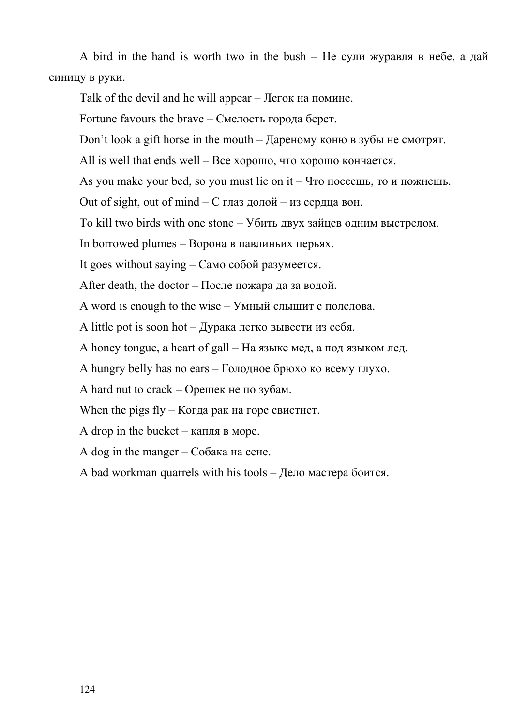A bird in the hand is worth two in the bush – Не сули журавля в небе, а дай синицу в руки.

Talk of the devil and he will appear – Легок на помине.

Fortune favours the brave – Смелость города берет.

Don't look a gift horse in the mouth – Дареному коню в зубы не смотрят.

All is well that ends well – Все хорошо, что хорошо кончается.

As you make your bed, so you must lie on it – Что посеешь, то и пожнешь.

Out of sight, out of mind – С глаз долой – из сердца вон.

To kill two birds with one stone – Убить двух зайцев одним выстрелом.

In borrowed plumes – Ворона в павлиньих перьях.

It goes without saying – Само собой разумеется.

After death, the doctor – После пожара да за водой.

A word is enough to the wise – Умный слышит с полслова.

A little pot is soon hot – Дурака легко вывести из себя.

A honey tongue, a heart of gall – На языке мед, а под языком лед.

A hungry belly has no ears – Голодное брюхо ко всему глухо.

A hard nut to crack – Орешек не по зубам.

When the pigs fly – Когда рак на горе свистнет.

A drop in the bucket – капля в море.

A dog in the manger – Собака на сене.

A bad workman quarrels with his tools – Дело мастера боится.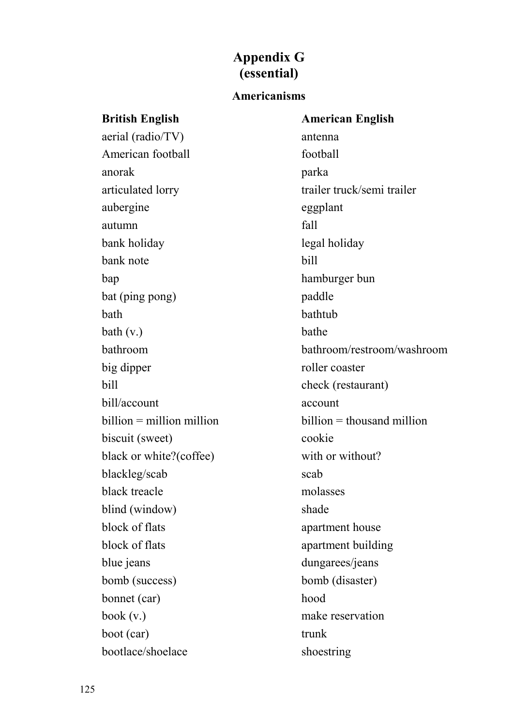## **Appendix G (essential)**

#### **Americanisms**

**British English American English** aerial (radio/TV) antenna American football football anorak parka articulated lorry trailer truck/semi trailer aubergine eggplant autumn fall bank holiday legal holiday bank note bill bap hamburger bun bat (ping pong) paddle bath bathtub bath (v.) bathe big dipper roller coaster bill check (restaurant) bill/account account  $billion = million million$   $billion = thousand million$ biscuit (sweet) cookie black or white?(coffee) with or without? blackleg/scab scab scab black treacle molasses blind (window) shade block of flats apartment house block of flats apartment building blue jeans dungarees/jeans bomb (success) bomb (disaster) bonnet (car) hood book (v.) make reservation boot (car) trunk bootlace/shoelace shoestring

bathroom bathroom/restroom/washroom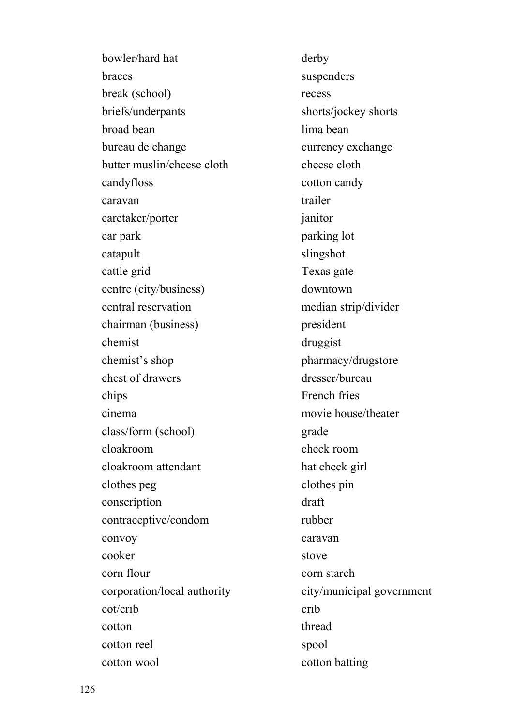| bowler/hard hat             | derby                     |
|-----------------------------|---------------------------|
| braces                      | suspenders                |
| break (school)              | recess                    |
| briefs/underpants           | shorts/jockey shorts      |
| broad bean                  | lima bean                 |
| bureau de change            | currency exchange         |
| butter muslin/cheese cloth  | cheese cloth              |
| candyfloss                  | cotton candy              |
| caravan                     | trailer                   |
| caretaker/porter            | janitor                   |
| car park                    | parking lot               |
| catapult                    | slingshot                 |
| cattle grid                 | Texas gate                |
| centre (city/business)      | downtown                  |
| central reservation         | median strip/divider      |
| chairman (business)         | president                 |
| chemist                     | druggist                  |
| chemist's shop              | pharmacy/drugstore        |
| chest of drawers            | dresser/bureau            |
| chips                       | French fries              |
| cinema                      | movie house/theater       |
| class/form (school)         | grade                     |
| cloakroom                   | check room                |
| cloakroom attendant         | hat check girl            |
| clothes peg                 | clothes pin               |
| conscription                | draft                     |
| contraceptive/condom        | rubber                    |
| convoy                      | caravan                   |
| cooker                      | stove                     |
| corn flour                  | corn starch               |
| corporation/local authority | city/municipal government |
| cot/crib                    | crib                      |
| cotton                      | thread                    |
| cotton reel                 | spool                     |
| cotton wool                 | cotton batting            |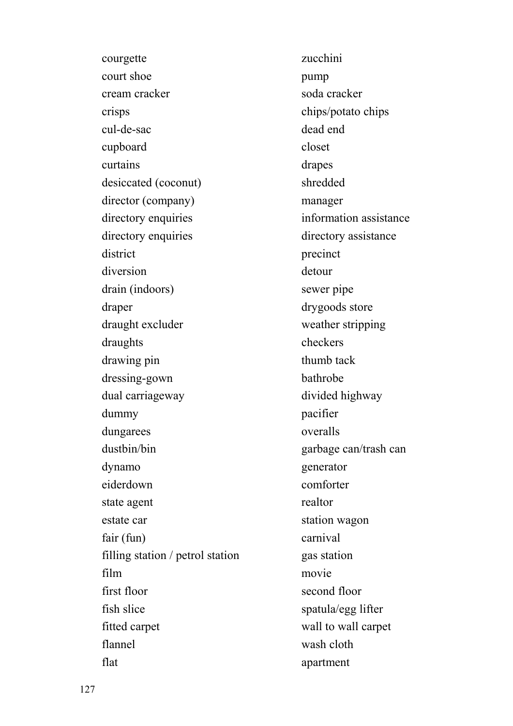courgette zucchini court shoe pump cream cracker soda cracker crisps chips/potato chips cul-de-sac dead end cupboard closet curtains drapes desiccated (coconut) shredded director (company) manager directory enquiries information assistance directory enquiries directory assistance district precinct diversion detour drain (indoors) sewer pipe draper drygoods store draught excluder weather stripping draughts checkers drawing pin thumb tack dressing-gown bathrobe dual carriageway divided highway dummy pacifier dungarees overalls dustbin/bin garbage can/trash can dynamo generator eiderdown comforter state agent realtor estate car station wagon fair (fun) carnival filling station / petrol station gas station film movie first floor second floor fish slice spatula/egg lifter fitted carpet wall to wall carpet flannel wash cloth flat apartment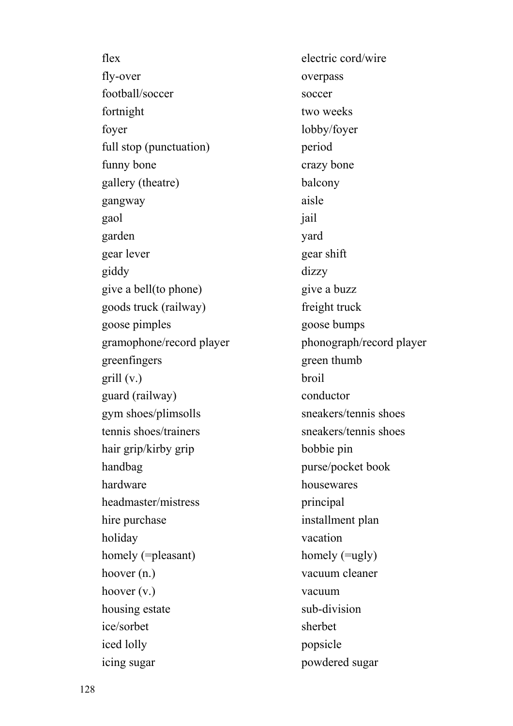flex electric cord/wire fly-over overpass football/soccer soccer fortnight two weeks foyer lobby/foyer full stop (punctuation) period funny bone crazy bone gallery (theatre) balcony gangway aisle gaol is a strong gaol in the strong gail of the strong gail in the strong gail in the strong gail in the strong gail garden yard gear lever gear shift giddy dizzy give a bell(to phone) give a buzz goods truck (railway) freight truck goose pimples goose bumps gramophone/record player phonograph/record player green fingers green thumb grill (v.) broil guard (railway) conductor gym shoes/plimsolls sneakers/tennis shoes tennis shoes/trainers sneakers/tennis shoes hair grip/kirby grip bobbie pin handbag purse/pocket book hardware housewares headmaster/mistress principal hire purchase installment plan holiday vacation homely (=pleasant) homely (=ugly) hoover (n.) vacuum cleaner hoover (v.) vacuum housing estate sub-division ice/sorbet sherbet iced lolly popsicle proposicle icing sugar powdered sugar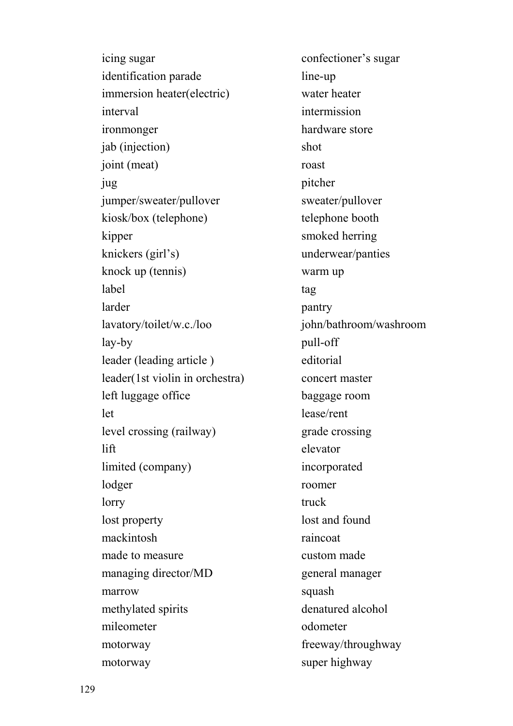icing sugar confectioner's sugar identification parade line-up immersion heater(electric) water heater interval intermission ironmonger hardware store jab (injection) shot joint (meat) roast jug pitcher jumper/sweater/pullover sweater/pullover kiosk/box (telephone) telephone booth kipper smoked herring knickers (girl's) underwear/panties knock up (tennis) warm up label tag larder pantry pantry lavatory/toilet/w.c./loo john/bathroom/washroom lay-by pull-off leader (leading article) editorial leader(1st violin in orchestra) concert master left luggage office baggage room let lease/rent level crossing (railway) grade crossing lift elevator limited (company) incorporated lodger roomer lorry truck lost property lost and found mackintosh raincoat made to measure custom made managing director/MD general manager marrow squash methylated spirits denatured alcohol mileometer odometer motorway freeway/throughway motorway super highway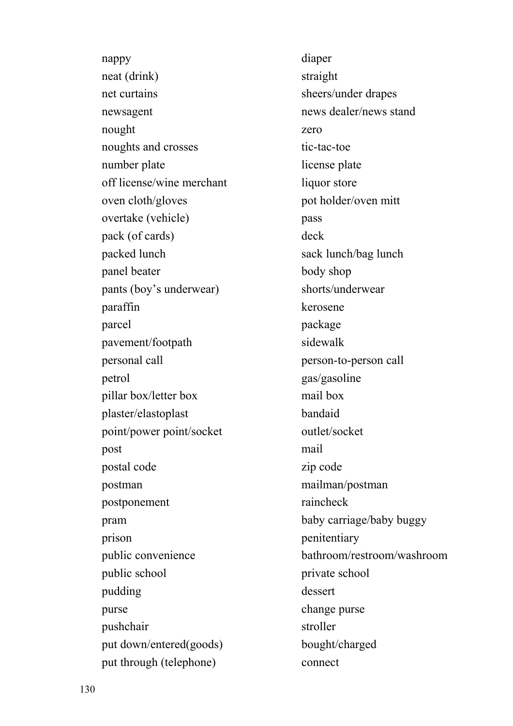nappy diaper neat (drink) straight net curtains sheers/under drapes newsagent news dealer/news stand nought zero noughts and crosses tic-tac-toe number plate license plate off license/wine merchant liquor store oven cloth/gloves pot holder/oven mitt overtake (vehicle) pass pack (of cards) deck packed lunch sack lunch/bag lunch panel beater body shop pants (boy's underwear) shorts/underwear paraffin kerosene parcel by package package pavement/footpath sidewalk personal call person-to-person call petrol gas/gasoline pillar box/letter box mail box plaster/elastoplast bandaid point/power point/socket outlet/socket post mail postal code zip code zip code postman mailman/postman postponement raincheck pram baby carriage/baby buggy prison penitentiary public school private school pudding dessert purse change purse change purse pushchair stroller put down/entered(goods) bought/charged put through (telephone) connect

public convenience bathroom/restroom/washroom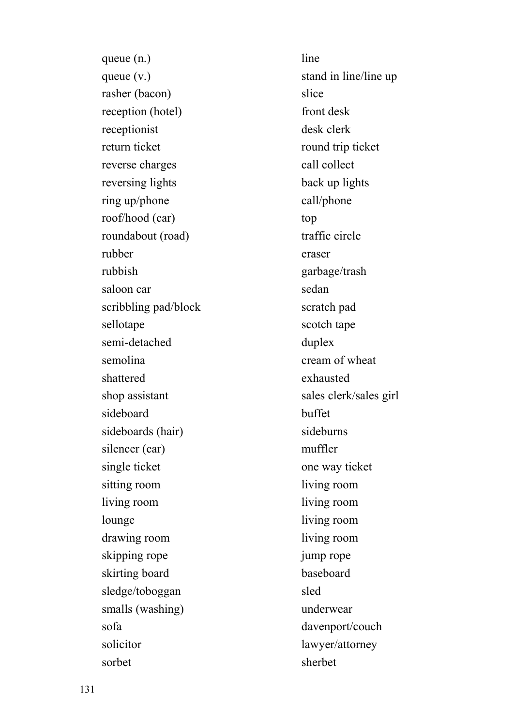queue (n.) line queue (v.) stand in line/line up rasher (bacon) slice reception (hotel) front desk receptionist desk clerk return ticket round trip ticket reverse charges call collect reversing lights back up lights ring up/phone call/phone roof/hood (car) top roundabout (road) traffic circle rubber eraser rubbish garbage/trash saloon car sedan scribbling pad/block scratch pad sellotape scotch tape semi-detached duplex semolina cream of wheat shattered exhausted shop assistant sales clerk/sales girl sideboard buffet sideboards (hair) sideburns silencer (car) muffler single ticket one way ticket sitting room living room living room living room lounge living room drawing room living room skipping rope iump rope skirting board baseboard sledge/toboggan sled smalls (washing) underwear sofa davenport/couch solicitor lawyer/attorney sorbet sherbet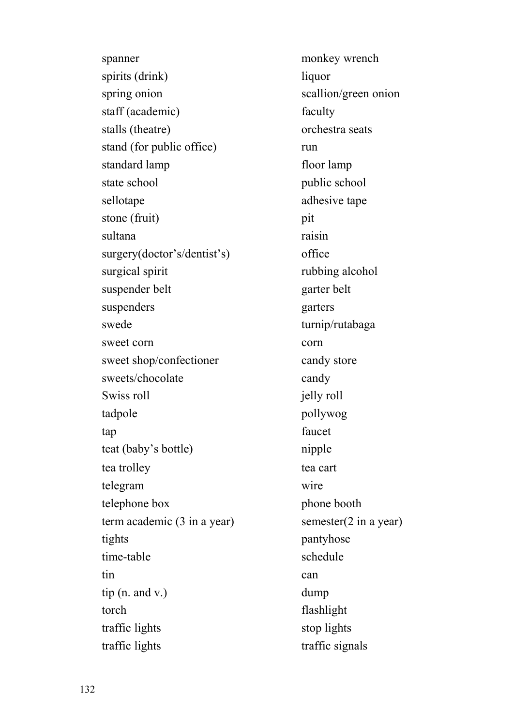spanner monkey wrench spirits (drink) liquor spring onion scallion/green onion staff (academic) faculty stalls (theatre) orchestra seats stand (for public office) run standard lamp floor lamp state school public school sellotape adhesive tape stone (fruit) pit sultana raisin surgery(doctor's/dentist's) office surgical spirit rubbing alcohol suspender belt garter belt suspenders garters swede turnip/rutabaga sweet corn corn sweet shop/confectioner candy store sweets/chocolate candy Swiss roll jelly roll tadpole pollywog tap faucet teat (baby's bottle) nipple tea trolley tea cart telegram wire telephone box phone booth term academic (3 in a year) semester(2 in a year) tights pantyhose time-table schedule tin can can be can can tip (n. and v.) dump torch flashlight traffic lights stop lights traffic lights traffic signals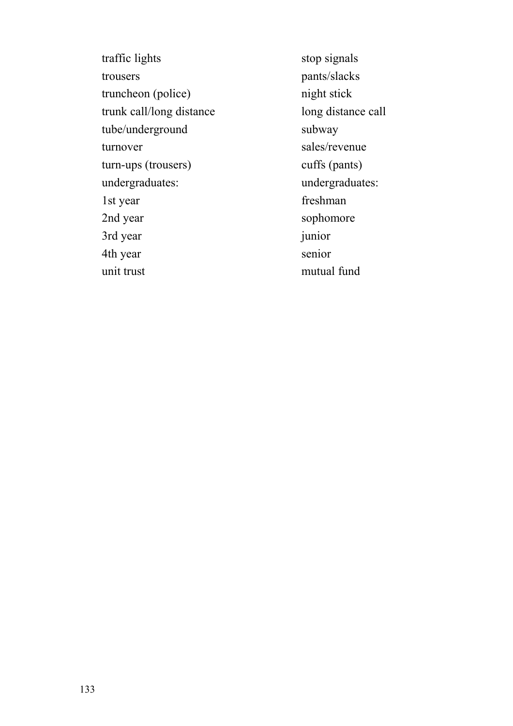traffic lights stop signals trousers pants/slacks truncheon (police) night stick trunk call/long distance long distance call tube/underground subway turnover sales/revenue turn-ups (trousers) cuffs (pants) undergraduates: undergraduates: 1st year freshman 2nd year sophomore 3rd year junior 4th year senior unit trust mutual fund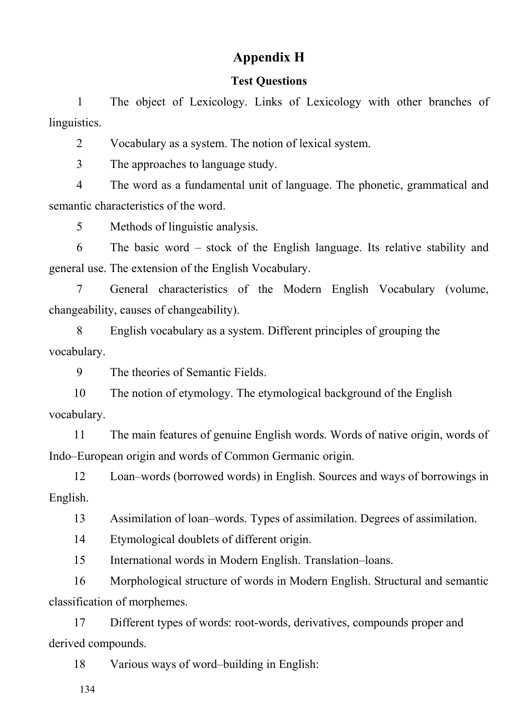### **Appendix H**

#### **Test Questions**

 The object of Lexicology. Links of Lexicology with other branches of linguistics.

Vocabulary as a system. The notion of lexical system.

The approaches to language study.

 The word as a fundamental unit of language. The phonetic, grammatical and semantic characteristics of the word.

Methods of linguistic analysis.

 The basic word – stock of the English language. Its relative stability and general use. The extension of the English Vocabulary.

 General characteristics of the Modern English Vocabulary (volume, changeability, causes of changeability).

 English vocabulary as a system. Different principles of grouping the vocabulary.

The theories of Semantic Fields.

 The notion of etymology. The etymological background of the English vocabulary.

 The main features of genuine English words. Words of native origin, words of Indo–European origin and words of Common Germanic origin.

 Loan–words (borrowed words) in English. Sources and ways of borrowings in English.

Assimilation of loan–words. Types of assimilation. Degrees of assimilation.

Etymological doublets of different origin.

International words in Modern English. Translation–loans.

 Morphological structure of words in Modern English. Structural and semantic classification of morphemes.

 Different types of words: root-words, derivatives, compounds proper and derived compounds.

Various ways of word–building in English: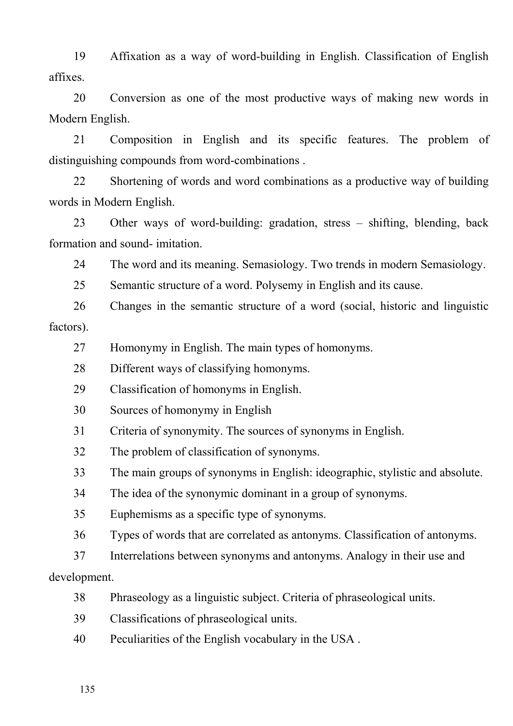Affixation as a way of word-building in English. Classification of English affixes.

 Conversion as one of the most productive ways of making new words in Modern English.

 Composition in English and its specific features. The problem of distinguishing compounds from word-combinations .

 Shortening of words and word combinations as a productive way of building words in Modern English.

 Other ways of word-building: gradation, stress – shifting, blending, back formation and sound- imitation.

The word and its meaning. Semasiology. Two trends in modern Semasiology.

Semantic structure of a word. Polysemy in English and its cause.

 Changes in the semantic structure of a word (social, historic and linguistic factors).

Homonymy in English. The main types of homonyms.

Different ways of classifying homonyms.

Classification of homonyms in English.

Sources of homonymy in English

Criteria of synonymity. The sources of synonyms in English.

The problem of classification of synonyms.

The main groups of synonyms in English: ideographic, stylistic and absolute.

The idea of the synonymic dominant in a group of synonyms.

Euphemisms as a specific type of synonyms.

Types of words that are correlated as antonyms. Classification of antonyms.

Interrelations between synonyms and antonyms. Analogy in their use and

#### development.

- Phraseology as a linguistic subject. Criteria of phraseological units.
- Classifications of phraseological units.
- Peculiarities of the English vocabulary in the USA .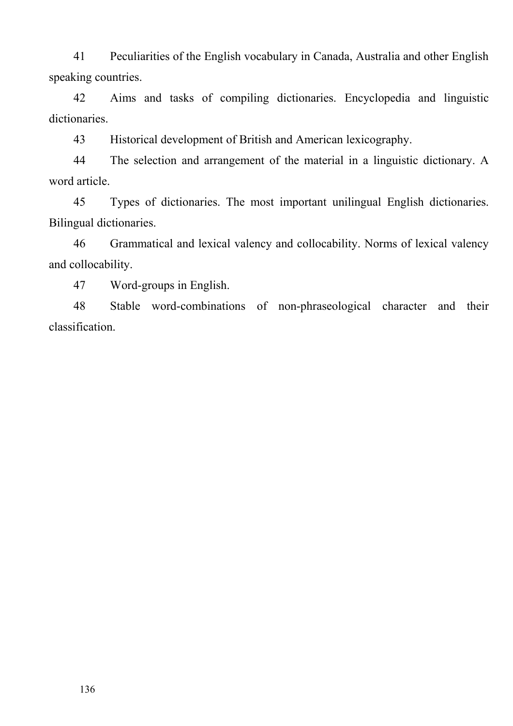41 Peculiarities of the English vocabulary in Canada, Australia and other English speaking countries.

42 Aims and tasks of compiling dictionaries. Encyclopedia and linguistic dictionaries.

43 Historical development of British and American lexicography.

44 The selection and arrangement of the material in a linguistic dictionary. A word article.

45 Types of dictionaries. The most important unilingual English dictionaries. Bilingual dictionaries.

46 Grammatical and lexical valency and collocability. Norms of lexical valency and collocability.

47 Word-groups in English.

48 Stable word-combinations of non-phraseological character and their classification.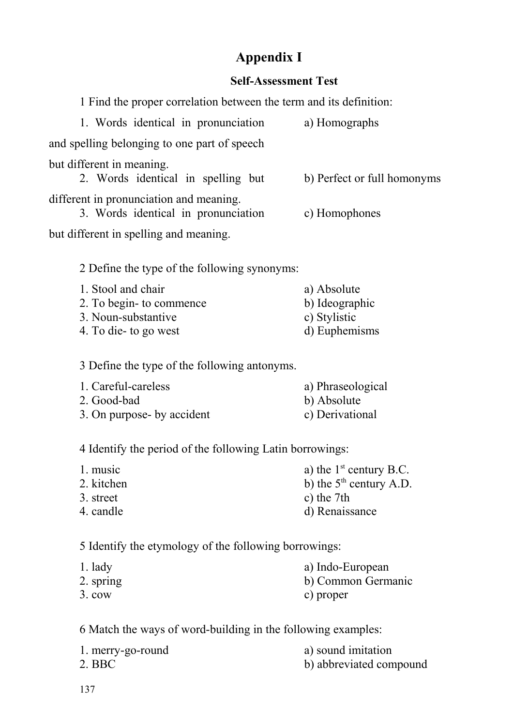## **Appendix I**

#### **Self-Assessment Test**

1 Find the proper correlation between the term and its definition: 1. Words identical in pronunciation and spelling belonging to one part of speech but different in meaning. a) Homographs 2. Words identical in spelling but different in pronunciation and meaning. b) Perfect or full homonyms 3. Words identical in pronunciation but different in spelling and meaning. c) Homophones 2 Define the type of the following synonyms: 1. Stool and chair a) Absolute 2. To begin- to commence b) Ideographic 3. Noun-substantive c) Stylistic 4. To die- to go west d) Euphemisms 3 Define the type of the following antonyms. 1. Careful-careless a) Phraseological 2. Good-bad b) Absolute 3. On purpose- by accident c) Derivational 4 Identify the period of the following Latin borrowings:

1. music a) the  $1<sup>st</sup>$  century B.C. 2. kitchen b) the  $5<sup>th</sup>$  century A.D. 3. street c) the 7th 4. candle d) Renaissance

5 Identify the etymology of the following borrowings:

| $1.$ lady       | a) Indo-European   |
|-----------------|--------------------|
| 2. spring       | b) Common Germanic |
| $3. \text{cow}$ | c) proper          |

6 Match the ways of word-building in the following examples:

| 1. merry-go-round | a) sound imitation      |
|-------------------|-------------------------|
| $2.$ BBC          | b) abbreviated compound |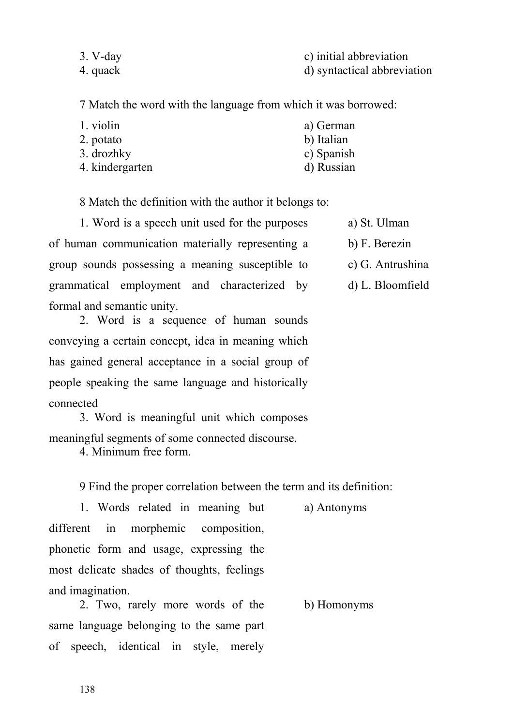3. V-day c) initial abbreviation 4. quack d) syntactical abbreviation

7 Match the word with the language from which it was borrowed:

| violin |  |
|--------|--|
|--------|--|

- 2. potato b) Italian
- 3. drozhky c) Spanish
- 4. kindergarten d) Russian

8 Match the definition with the author it belongs to:

1. Word is a speech unit used for the purposes of human communication materially representing a group sounds possessing a meaning susceptible to grammatical employment and characterized by formal and semantic unity.

2. Word is a sequence of human sounds conveying a certain concept, idea in meaning which has gained general acceptance in a social group of people speaking the same language and historically connected

3. Word is meaningful unit which composes meaningful segments of some connected discourse.

4. Minimum free form.

9 Find the proper correlation between the term and its definition:

1. Words related in meaning but different in morphemic composition, phonetic form and usage, expressing the most delicate shades of thoughts, feelings and imagination. a) Antonyms b) Homonyms

2. Two, rarely more words of the same language belonging to the same part of speech, identical in style, merely

- 
- b) F. Berezin
- c) G. Antrushina
- d) L. Bloomfield

a) St. Ulman

a) German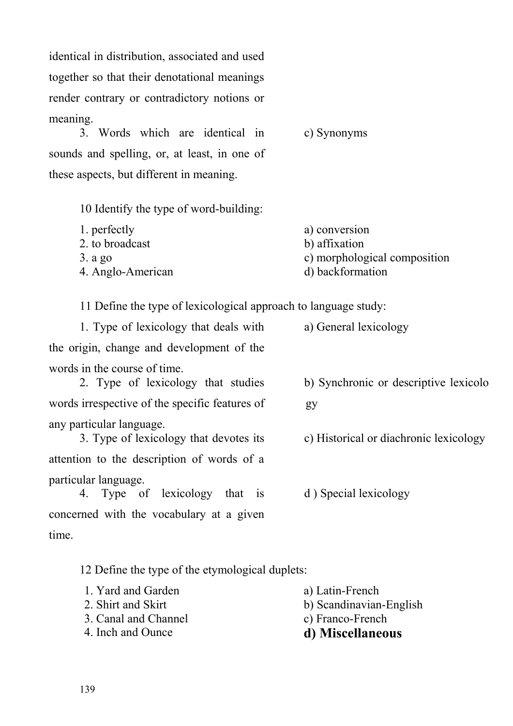identical in distribution, associated and used together so that their denotational meanings render contrary or contradictory notions or meaning.

3. Words which are identical in sounds and spelling, or, at least, in one of these aspects, but different in meaning. c) Synonyms

10 Identify the type of word-building:

| 1. perfectly      | a) conversion                |
|-------------------|------------------------------|
| 2. to broadcast   | b) affixation                |
| $3. a$ go         | c) morphological composition |
| 4. Anglo-American | d) backformation             |

11 Define the type of lexicological approach to language study:

| 1. Type of lexicology that deals with                              | a) General lexicology                  |
|--------------------------------------------------------------------|----------------------------------------|
| the origin, change and development of the                          |                                        |
| words in the course of time.<br>2. Type of lexicology that studies | b) Synchronic or descriptive lexicolo  |
| words irrespective of the specific features of                     | gy                                     |
| any particular language.<br>3. Type of lexicology that devotes its | c) Historical or diachronic lexicology |
| attention to the description of words of a                         |                                        |
| particular language.                                               |                                        |

4. Type of lexicology that is concerned with the vocabulary at a given time.

d ) Special lexicology

12 Define the type of the etymological duplets:

- 1. Yard and Garden a) Latin-French 2. Shirt and Skirt b) Scandinavian-English
- 
- 3. Canal and Channel c) Franco-French
- 
- 
- 
- 
- 4. Inch and Ounce **d) Miscellaneous**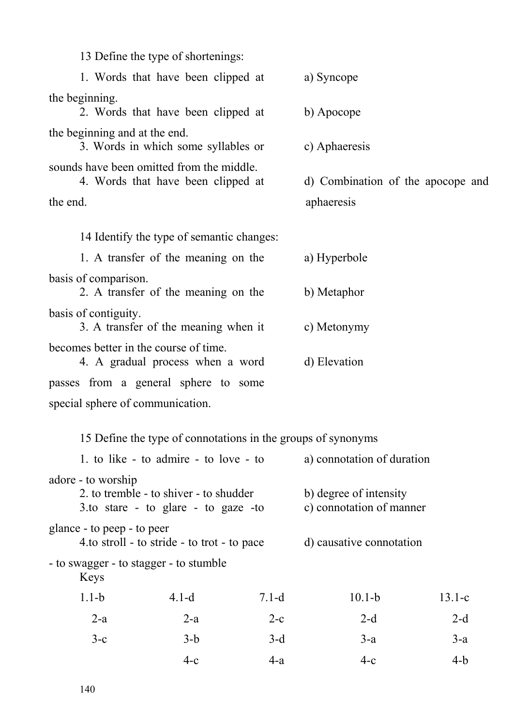13 Define the type of shortenings:

1. Words that have been clipped at the beginning. a) Syncope 2. Words that have been clipped at b) Apocope

the beginning and at the end.

3. Words in which some syllables or

sounds have been omitted from the middle.

4. Words that have been clipped at the end.

14 Identify the type of semantic changes:

1. A transfer of the meaning on the basis of comparison. a) Hyperbole

2. A transfer of the meaning on the

basis of contiguity.

3. A transfer of the meaning when it becomes better in the course of time. c) Metonymy d) Elevation

4. A gradual process when a word passes from a general sphere to some special sphere of communication.

15 Define the type of connotations in the groups of synonyms

| 1. to like - to admire - to love - to                                                                |                                             |         | a) connotation of duration                         |          |  |
|------------------------------------------------------------------------------------------------------|---------------------------------------------|---------|----------------------------------------------------|----------|--|
| adore - to worship<br>2. to tremble - to shiver - to shudder<br>3.to stare - to glare - to gaze - to |                                             |         | b) degree of intensity<br>c) connotation of manner |          |  |
| glance - to peep - to peer                                                                           | 4.to stroll - to stride - to trot - to pace |         | d) causative connotation                           |          |  |
| Keys                                                                                                 | - to swagger - to stagger - to stumble      |         |                                                    |          |  |
| $1.1-b$                                                                                              | $4.1-d$                                     | $7.1-d$ | $10.1-b$                                           | $13.1-c$ |  |
| $2-a$                                                                                                | $2-a$                                       | $2-c$   | $2-d$                                              | $2-d$    |  |
| $3-c$                                                                                                | $3-b$                                       | $3-d$   | $3-a$                                              | $3-a$    |  |
|                                                                                                      | $4-c$                                       | $4-a$   | 4-c                                                | $4-b$    |  |

d) Combination of the apocope and

c) Aphaeresis

aphaeresis

b) Metaphor